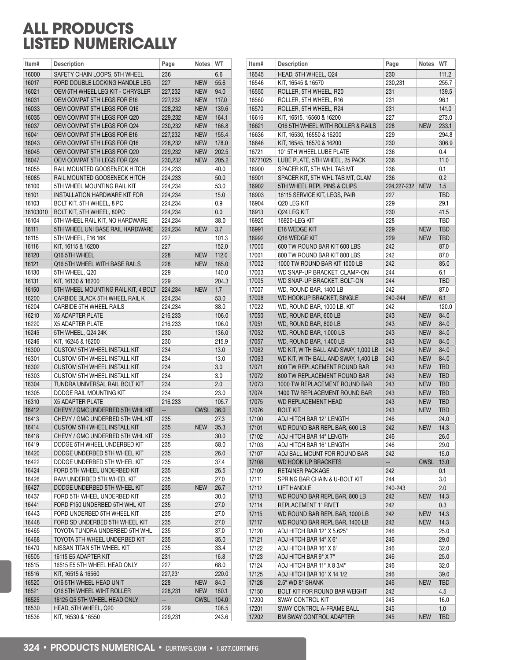## **ALL PRODUCTS LISTED NUMERICALLY**

| Item#          | Description                                   | Page           | Notes WT   |                | Item#          | Description                                      | Page                     | Notes                    | WT            |
|----------------|-----------------------------------------------|----------------|------------|----------------|----------------|--------------------------------------------------|--------------------------|--------------------------|---------------|
| 16000          | SAFETY CHAIN LOOPS, 5TH WHEEL                 | 236            |            | 6.6            | 16545          | HEAD, 5TH WHEEL, Q24                             | 230                      |                          | 111.2         |
| 16017          | FORD DOUBLE LOCKING HANDLE LEG                | 227            | <b>NEW</b> | 55.6           | 16546          | KIT, 16545 & 16570                               | 230,231                  |                          | 255.7         |
| 16021          | OEM 5TH WHEEL LEG KIT - CHRYSLER              | 227,232        | <b>NEW</b> | 94.0           | 16550          | ROLLER, 5TH WHEEL, R20                           | 231                      |                          | 139.5         |
| 16031          | OEM COMPAT 5TH LEGS FOR E16                   | 227,232        | <b>NEW</b> | 117.0          | 16560          | ROLLER, 5TH WHEEL, R16                           | 231                      |                          | 96.1          |
| 16033          | OEM COMPAT 5TH LEGS FOR Q16                   | 228,232        | <b>NEW</b> | 139.6          | 16570          | ROLLER, 5TH WHEEL, R24                           | 231                      |                          | 141.0         |
| 16035          | OEM COMPAT 5TH LEGS FOR Q20                   | 229,232        | <b>NEW</b> | 164.1          | 16616          | KIT, 16515, 16560 & 16200                        | 227                      |                          | 273.0         |
| 16037          | OEM COMPAT 5TH LEGS FOR Q24                   | 230,232        | <b>NEW</b> | 166.8          | 16621          | Q16 5TH WHEEL WITH ROLLER & RAILS                | 228                      | <b>NEW</b>               | 233.1         |
| 16041          | OEM COMPAT 5TH LEGS FOR E16                   | 227,232        | <b>NEW</b> | 155.4          | 16636          | KIT, 16530, 16550 & 16200                        | 229                      |                          | 294.8         |
| 16043          | OEM COMPAT 5TH LEGS FOR Q16                   | 228,232        | <b>NEW</b> | 178.0          | 16646          | KIT, 16545, 16570 & 16200                        | 230                      |                          | 306.9         |
| 16045          | OEM COMPAT 5TH LEGS FOR Q20                   | 229,232        | <b>NEW</b> | 202.5          | 16721          | 10" 5TH WHEEL LUBE PLATE                         | 236                      |                          | 0.4           |
| 16047          | OEM COMPAT 5TH LEGS FOR Q24                   | 230,232        | <b>NEW</b> | 205.2          | 16721025       | LUBE PLATE, 5TH WHEEL, 25 PACK                   | 236                      |                          | 11.0          |
| 16055          | <b>RAIL MOUNTED GOOSENECK HITCH</b>           | 224,233        |            | 40.0           | 16900          | SPACER KIT, 5TH WHL TAB MT                       | 236                      |                          | 0.1           |
| 16085          | RAIL MOUNTED GOOSENECK HITCH                  | 224,233        |            | 50.0           | 16901          | SPACER KIT, 5TH WHL TAB MT, CLAM                 | 236                      |                          | 0.2           |
| 16100          | 5TH WHEEL MOUNTING RAIL KIT                   | 224,234        |            | 53.0           | 16902          | 5TH WHEEL REPL PINS & CLIPS                      | 224,227-232 NEW          |                          | 1.5           |
| 16101          | <b>INSTALLATION HARDWARE KIT FOR</b>          | 224,234        |            | 15.0           | 16903          | 16115 SERVICE KIT, LEGS, PAIR                    | 227                      |                          | <b>TBD</b>    |
| 16103          | BOLT KIT, 5TH WHEEL, 8 PC                     | 224,234        |            | 0.9            | 16904          | Q20 LEG KIT                                      | 229                      |                          | 29.1          |
| 16103010       | BOLT KIT, 5TH WHEEL, 80PC                     | 224,234        |            | 0.0            | 16913          | Q24 LEG KIT                                      | 230                      |                          | 41.5          |
| 16104          | 5TH WHEEL RAIL KIT, NO HARDWARE               | 224,234        |            | 38.0           | 16920          | 16920-LEG KIT                                    | 228                      |                          | TBD           |
| 16111          | 5TH WHEEL UNI BASE RAIL HARDWARE              | 224,234        | <b>NEW</b> | 3.7            | 16991          | E16 WEDGE KIT                                    | 229                      | <b>NEW</b>               | <b>TBD</b>    |
| 16115          | 5TH WHEEL, E16 16K                            | 227            |            | 101.3          | 16992          | Q16 WEDGE KIT                                    | 229                      | <b>NEW</b>               | <b>TBD</b>    |
| 16116          | KIT, 16115 & 16200                            | 227            |            | 152.0          | 17000          | 600 TW ROUND BAR KIT 600 LBS                     | 242                      |                          | 87.0          |
| 16120          | Q16 5TH WHEEL                                 | 228            | <b>NEW</b> | 112.0          | 17001          | 800 TW ROUND BAR KIT 800 LBS                     | 242                      |                          | 87.0          |
| 16121          | Q16 5TH WHEEL WITH BASE RAILS                 | 228            | <b>NEW</b> | 165.0          | 17002          | 1000 TW ROUND BAR KIT 1000 LB                    | 242                      |                          | 85.0          |
| 16130          | 5TH WHEEL, Q20                                | 229            |            | 140.0          | 17003          | WD SNAP-UP BRACKET, CLAMP-ON                     | 244                      |                          | 6.1           |
| 16131          | KIT, 16130 & 16200                            | 229            |            | 204.3          | 17005          | WD SNAP-UP BRACKET, BOLT-ON                      | 244                      |                          | <b>TBD</b>    |
| 16150          | 5TH WHEEL MOUNTING RAIL KIT, 4 BOLT           | 224,234        | <b>NEW</b> | 1.7            | 17007          | WD, ROUND BAR, 1400 LB                           | 242                      |                          | 87.0          |
| 16200          | CARBIDE BLACK 5TH WHEEL RAIL K                | 224,234        |            | 53.0           | 17008          | WD HOOKUP BRACKET, SINGLE                        | 240-244                  | <b>NEW</b>               | 6.1           |
| 16204          | CARBIDE 5TH WHEEL RAILS                       | 224,234        |            | 38.0           | 17022          | WD, ROUND BAR, 1000 LB, KIT                      | 242                      |                          | 120.0<br>84.0 |
| 16210          | <b>X5 ADAPTER PLATE</b>                       | 216,233        |            | 106.0          | 17050          | WD, ROUND BAR, 600 LB                            | 243                      | <b>NEW</b>               |               |
| 16220<br>16245 | <b>X5 ADAPTER PLATE</b><br>5TH WHEEL, Q24 24K | 216,233<br>230 |            | 106.0<br>136.0 | 17051<br>17052 | WD, ROUND BAR, 800 LB<br>WD, ROUND BAR, 1,000 LB | 243<br>243               | <b>NEW</b><br><b>NEW</b> | 84.0<br>84.0  |
| 16246          | KIT, 16245 & 16200                            | 230            |            | 215.9          | 17057          | WD, ROUND BAR, 1,400 LB                          | 243                      | <b>NEW</b>               | 84.0          |
| 16300          | <b>CUSTOM 5TH WHEEL INSTALL KIT</b>           | 234            |            | 13.0           | 17062          | WD KIT, WITH BALL AND SWAY, 1,000 LB             | 243                      | <b>NEW</b>               | 84.0          |
| 16301          | <b>CUSTOM 5TH WHEEL INSTALL KIT</b>           | 234            |            | 13.0           | 17063          | WD KIT, WITH BALL AND SWAY, 1,400 LB             | 243                      | <b>NEW</b>               | 84.0          |
| 16302          | <b>CUSTOM 5TH WHEEL INSTALL KIT</b>           | 234            |            | 3.0            | 17071          | 600 TW REPLACEMENT ROUND BAR                     | 243                      | <b>NEW</b>               | <b>TBD</b>    |
| 16303          | <b>CUSTOM 5TH WHEEL INSTALL KIT</b>           | 234            |            | 3.0            | 17072          | 800 TW REPLACEMENT ROUND BAR                     | 243                      | <b>NEW</b>               | <b>TBD</b>    |
| 16304          | TUNDRA UNIVERSAL RAIL BOLT KIT                | 234            |            | 2.0            | 17073          | 1000 TW REPLACEMENT ROUND BAR                    | 243                      | <b>NEW</b>               | <b>TBD</b>    |
| 16305          | DODGE RAIL MOUNTING KIT                       | 234            |            | 23.0           | 17074          | 1400 TW REPLACEMENT ROUND BAR                    | 243                      | <b>NEW</b>               | <b>TBD</b>    |
| 16310          | <b>X5 ADAPTER PLATE</b>                       | 216,233        |            | 105.7          | 17075          | <b>WD REPLACEMENT HEAD</b>                       | 243                      | <b>NEW</b>               | <b>TBD</b>    |
| 16412          | CHEVY / GMC UNDERBED 5TH WHL KIT              | --             | CWSL 36.0  |                | 17076          | <b>BOLT KIT</b>                                  | 243                      | <b>NEW</b>               | <b>TBD</b>    |
| 16413          | CHEVY / GMC UNDERBED 5TH WHL KIT              | 235            |            | 27.3           | 17100          | ADJ HITCH BAR 12" LENGTH                         | 246                      |                          | 24.0          |
| 16414          | <b>CUSTOM 5TH WHEEL INSTALL KIT</b>           | 235            | <b>NEW</b> | 35.3           | 17101          | WD ROUND BAR REPL BAR, 600 LB                    | 242                      | <b>NEW</b>               | 14.3          |
| 16418          | CHEVY / GMC UNDERBED 5TH WHL KIT              | 235            |            | 30.0           | 17102          | ADJ HITCH BAR 14" LENGTH                         | 246                      |                          | 26.0          |
| 16419          | DODGE 5TH WHEEL UNDERBED KIT                  | 235            |            | 58.0           | 17103          | ADJ HITCH BAR 16" LENGTH                         | 246                      |                          | 29.0          |
| 16420          | DODGE UNDERBED 5TH WHEEL KIT                  | 235            |            | 26.0           | 17107          | ADJ BALL MOUNT FOR ROUND BAR                     | 242                      |                          | 15.0          |
| 16422          | DODGE UNDERBED 5TH WHEEL KIT                  | 235            |            | 37.4           | 17108          | <b>WD HOOK UP BRACKETS</b>                       | $\overline{\phantom{a}}$ | <b>CWSL 13.0</b>         |               |
| 16424          | FORD 5TH WHEEL UNDERBED KIT                   | 235            |            | 26.5           | 17109          | <b>RETAINER PACKAGE</b>                          | 242                      |                          | 0.1           |
| 16426          | RAM UNDERBED 5TH WHEEL KIT                    | 235            |            | 27.0           | 17111          | SPRING BAR CHAIN & U-BOLT KIT                    | 244                      |                          | 3.0           |
| 16427          | DODGE UNDERBED 5TH WHEEL KIT                  | 235            | <b>NEW</b> | 26.7           | 17112          | <b>LIFT HANDLE</b>                               | 240-243                  |                          | 2.0           |
| 16437          | FORD 5TH WHEEL UNDERBED KIT                   | 235            |            | 30.0           | 17113          | WD ROUND BAR REPL BAR, 800 LB                    | 242                      | <b>NEW</b>               | 14.3          |
| 16441          | FORD F150 UNDERBED 5TH WHL KIT                | 235            |            | 27.0           | 17114          | <b>REPLACEMENT 1" RIVET</b>                      | 242                      |                          | 0.3           |
| 16443          | FORD UNDERBED 5TH WHEEL KIT                   | 235            |            | 27.0           | 17115          | WD ROUND BAR REPL BAR, 1000 LB                   | 242                      | <b>NEW</b>               | 14.3          |
| 16448          | FORD SD UNDERBED 5TH WHEEL KIT                | 235            |            | 27.0           | 17117          | WD ROUND BAR REPL BAR, 1400 LB                   | 242                      | <b>NEW</b>               | 14.3          |
| 16465          | TOYOTA TUNDRA UNDERBED 5TH WHL                | 235            |            | 37.0           | 17120          | ADJ HITCH BAR 12" X 5.625"                       | 246                      |                          | 25.0          |
| 16468          | TOYOTA 5TH WHEEL UNDERBED KIT                 | 235            |            | 35.0           | 17121          | ADJ HITCH BAR 14" X 6"                           | 246                      |                          | 29.0          |
| 16470          | NISSAN TITAN 5TH WHEEL KIT                    | 235            |            | 33.4           | 17122          | ADJ HITCH BAR 16" X 6"                           | 246                      |                          | 32.0          |
| 16505          | 16115 E5 ADAPTER KIT                          | 231            |            | 16.8           | 17123          | ADJ HITCH BAR 9" X 7"                            | 246                      |                          | 25.0          |
| 16515          | 16515 E5 5TH WHEEL HEAD ONLY                  | 227            |            | 68.0           | 17124          | ADJ HITCH BAR 11" X 8 3/4"                       | 246                      |                          | 32.0          |
| 16516          | KIT, 16515 & 16560                            | 227,231        |            | 220.0          | 17125          | ADJ HITCH BAR 10" X 14 1/2                       | 246                      |                          | 39.0          |
| 16520          | Q16 5TH WHEEL HEAD UNIT                       | 228            | <b>NEW</b> | 84.0           | 17128          | 2.5" WD 8" SHANK                                 | 246                      | <b>NEW</b>               | <b>TBD</b>    |
| 16521          | Q16 5TH WHEEL WIHT ROLLER                     | 228,231        | <b>NEW</b> | 180.1          | 17150          | BOLT KIT FOR ROUND BAR WEIGHT                    | 242                      |                          | 4.5           |
| 16525          | 16125 Q5 5TH WHEEL HEAD ONLY                  | Щ,             | CWSL 104.0 |                | 17200          | <b>SWAY CONTROL KIT</b>                          | 245                      |                          | 16.0          |
| 16530          | HEAD, 5TH WHEEL, Q20                          | 229            |            | 108.5          | 17201          | SWAY CONTROL A-FRAME BALL                        | 245                      |                          | 1.0           |
| 16536          | KIT, 16530 & 16550                            | 229,231        |            | 243.6          | 17202          | BM SWAY CONTROL ADAPTER                          | 245                      | <b>NEW</b>               | <b>TBD</b>    |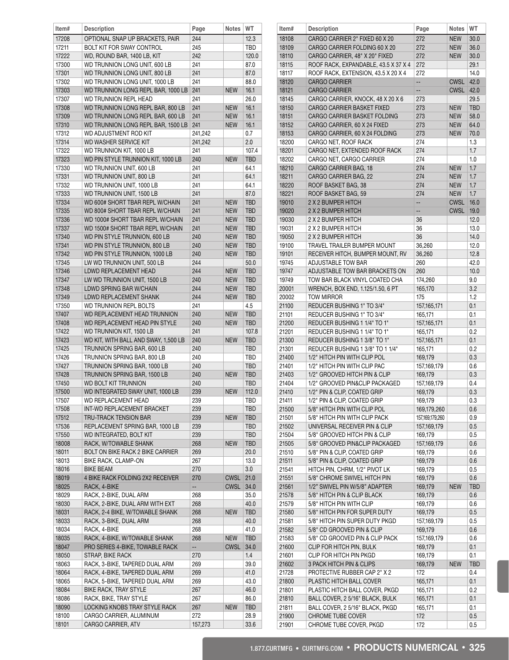| Item# | <b>Description</b>                     | Page                     | Notes WT   |            | Item# | <b>Description</b>                   | Page                     | Notes            | WT         |
|-------|----------------------------------------|--------------------------|------------|------------|-------|--------------------------------------|--------------------------|------------------|------------|
| 17208 | OPTIONAL SNAP UP BRACKETS, PAIR        | 244                      |            | 12.3       | 18108 | CARGO CARRIER 2" FIXED 60 X 20       | 272                      | <b>NEW</b>       | 30.0       |
| 17211 | BOLT KIT FOR SWAY CONTROL              | 245                      |            | TBD        | 18109 | CARGO CARRIER FOLDING 60 X 20        | 272                      | <b>NEW</b>       | 36.0       |
| 17222 | WD, ROUND BAR, 1400 LB, KIT            | 242                      |            | 120.0      | 18110 | CARGO CARRIER, 48" X 20" FIXED       | 272                      | <b>NEW</b>       | 30.0       |
| 17300 | WD TRUNNION LONG UNIT, 600 LB          | 241                      |            | 87.0       | 18115 | ROOF RACK, EXPANDABLE, 43.5 X 37 X 4 | 272                      |                  | 29.1       |
| 17301 | WD TRUNNION LONG UNIT, 800 LB          | 241                      |            | 87.0       | 18117 | ROOF RACK, EXTENSION, 43.5 X 20 X 4  | 272                      |                  | 14.0       |
| 17302 | WD TRUNNION LONG UNIT, 1000 LB         | 241                      |            | 88.0       | 18120 | <b>CARGO CARRIER</b>                 | Ξ.                       | <b>CWSL</b>      | 42.0       |
| 17303 | WD TRUNNION LONG REPL BAR, 1000 LB 241 |                          | <b>NEW</b> | 16.1       | 18121 | <b>CARGO CARRIER</b>                 | $\overline{\phantom{a}}$ | <b>CWSL</b>      | 42.0       |
| 17307 | WD TRUNNION REPL HEAD                  | 241                      |            | 26.0       | 18145 | CARGO CARRIER, KNOCK, 48 X 20 X 6    | 273                      |                  | 29.5       |
| 17308 | WD TRUNNION LONG REPL BAR, 800 LB      | 241                      | <b>NEW</b> | 16.1       | 18150 | CARGO CARRIER BASKET FIXED           | 273                      | <b>NEW</b>       | <b>TBD</b> |
| 17309 | WD TRUNNION LONG REPL BAR, 600 LB      | 241                      | <b>NEW</b> | 16.1       | 18151 | CARGO CARRIER BASKET FOLDING         | 273                      | <b>NEW</b>       | 58.0       |
| 17310 | WD TRUNNION LONG REPL BAR, 1500 LB 241 |                          | <b>NEW</b> | 16.1       | 18152 | CARGO CARRIER, 60 X 24 FIXED         | 273                      | <b>NEW</b>       | 64.0       |
| 17312 | WD ADJUSTMENT ROD KIT                  | 241,242                  |            | 0.7        | 18153 | CARGO CARRIER, 60 X 24 FOLDING       | 273                      | <b>NEW</b>       | 70.0       |
| 17314 | WD WASHER SERVICE KIT                  | 241,242                  |            | 2.0        | 18200 | CARGO NET. ROOF RACK                 | 274                      |                  | 1.3        |
| 17322 |                                        | 241                      |            | 107.4      | 18201 |                                      | 274                      |                  | 1.7        |
|       | WD TRUNNION KIT, 1000 LB               |                          |            |            |       | CARGO NET, EXTENDED ROOF RACK        |                          |                  |            |
| 17323 | WD PIN STYLE TRUNNION KIT, 1000 LB     | 240                      | <b>NEW</b> | <b>TBD</b> | 18202 | CARGO NET, CARGO CARRIER             | 274                      |                  | 1.0        |
| 17330 | WD TRUNNION UNIT, 600 LB               | 241                      |            | 64.1       | 18210 | CARGO CARRIER BAG, 18                | 274                      | <b>NEW</b>       | 1.7        |
| 17331 | WD TRUNNION UNIT, 800 LB               | 241                      |            | 64.1       | 18211 | CARGO CARRIER BAG, 22                | 274                      | <b>NEW</b>       | 1.7        |
| 17332 | WD TRUNNION UNIT, 1000 LB              | 241                      |            | 64.1       | 18220 | ROOF BASKET BAG, 38                  | 274                      | <b>NEW</b>       | 1.7        |
| 17333 | WD TRUNNION UNIT, 1500 LB              | 241                      |            | 87.0       | 18221 | ROOF BASKET BAG, 59                  | 274                      | <b>NEW</b>       | 1.7        |
| 17334 | WD 600# SHORT TBAR REPL W/CHAIN        | 241                      | <b>NEW</b> | <b>TBD</b> | 19010 | 2 X 2 BUMPER HITCH                   | u.                       | <b>CWSL</b> 16.0 |            |
| 17335 | WD 800# SHORT TBAR REPL W/CHAIN        | 241                      | <b>NEW</b> | <b>TBD</b> | 19020 | 2 X 2 BUMPER HITCH                   | ۰.                       | <b>CWSL 19.0</b> |            |
| 17336 | WD 1000# SHORT TBAR REPL W/CHAIN       | 241                      | <b>NEW</b> | <b>TBD</b> | 19030 | 2 X 2 BUMPER HITCH                   | 36                       |                  | 12.0       |
| 17337 | WD 1500# SHORT TBAR REPL W/CHAIN       | 241                      | <b>NEW</b> | <b>TBD</b> | 19031 | 2 X 2 BUMPER HITCH                   | 36                       |                  | 13.0       |
| 17340 | WD PIN STYLE TRUNNION, 600 LB          | 240                      | <b>NEW</b> | <b>TBD</b> | 19050 | 2 X 2 BUMPER HITCH                   | 36                       |                  | 14.0       |
| 17341 | WD PIN STYLE TRUNNION, 800 LB          | 240                      | <b>NEW</b> | <b>TBD</b> | 19100 | TRAVEL TRAILER BUMPER MOUNT          | 36,260                   |                  | 12.0       |
| 17342 | WD PIN STYLE TRUNNION, 1000 LB         | 240                      | <b>NEW</b> | <b>TBD</b> | 19101 | RECEIVER HITCH, BUMPER MOUNT, RV     | 36,260                   |                  | 12.8       |
| 17345 | LW WD TRUNNION UNIT, 500 LB            | 244                      |            | 50.0       | 19745 | ADJUSTABLE TOW BAR                   | 260                      |                  | 42.0       |
| 17346 | LDWD REPLACEMENT HEAD                  | 244                      | <b>NEW</b> | <b>TBD</b> | 19747 | ADJUSTABLE TOW BAR BRACKETS ON       | 260                      |                  | 10.0       |
| 17347 | LW WD TRUNNION UNIT, 1500 LB           | 240                      | <b>NEW</b> | <b>TBD</b> | 19749 | TOW BAR BLACK VINYL COATED CHA       | 174,260                  |                  | 9.0        |
| 17348 | LDWD SPRING BAR W/CHAIN                | 244                      | <b>NEW</b> | <b>TBD</b> | 20001 | WRENCH, BOX END, 1.125/1.50, 6 PT    | 165,170                  |                  | 3.2        |
| 17349 | LDWD REPLACEMENT SHANK                 | 244                      | <b>NEW</b> | <b>TBD</b> | 20002 | <b>TOW MIRROR</b>                    | 175                      |                  | 1.2        |
|       |                                        |                          |            |            |       |                                      |                          |                  |            |
| 17350 | WD TRUNNION REPL BOLTS                 | 241                      |            | 4.5        | 21100 | REDUCER BUSHING 1" TO 3/4"           | 157, 165, 171            |                  | 0.1        |
| 17407 | WD REPLACEMENT HEAD TRUNNION           | 240                      | <b>NEW</b> | <b>TBD</b> | 21101 | REDUCER BUSHING 1" TO 3/4"           | 165,171                  |                  | 0.1        |
| 17408 | WD REPLACEMENT HEAD PIN STYLE          | 240                      | <b>NEW</b> | <b>TBD</b> | 21200 | REDUCER BUSHING 1 1/4" TO 1"         | 157, 165, 171            |                  | 0.1        |
| 17422 | WD TRUNNION KIT, 1500 LB               | 241                      |            | 107.8      | 21201 | REDUCER BUSHING 1 1/4" TO 1"         | 165,171                  |                  | 0.2        |
| 17423 | WD KIT, WITH BALL AND SWAY, 1,500 LB   | 240                      | <b>NEW</b> | <b>TBD</b> | 21300 | REDUCER BUSHING 1 3/8" TO 1"         | 157,165,171              |                  | 0.1        |
| 17425 | TRUNNION SPRING BAR, 600 LB            | 240                      |            | <b>TBD</b> | 21301 | REDUCER BUSHING 1 3/8" TO 1 1/4"     | 165,171                  |                  | 0.2        |
| 17426 | TRUNNION SPRING BAR, 800 LB            | 240                      |            | TBD        | 21400 | 1/2" HITCH PIN WITH CLIP POL         | 169,179                  |                  | 0.3        |
| 17427 | TRUNNION SPRING BAR, 1000 LB           | 240                      |            | <b>TBD</b> | 21401 | 1/2" HITCH PIN WITH CLIP PAC         | 157,169,179              |                  | 0.6        |
| 17428 | TRUNNION SPRING BAR, 1500 LB           | 240                      | <b>NEW</b> | <b>TBD</b> | 21403 | 1/2" GROOVED HITCH PIN & CLIP        | 169,179                  |                  | 0.3        |
| 17450 | WD BOLT KIT TRUNNION                   | 240                      |            | TBD        | 21404 | 1/2" GROOVED PIN&CLIP PACKAGED       | 157,169,179              |                  | 0.4        |
| 17500 | WD INTEGRATED SWAY UNIT, 1000 LB       | 239                      | <b>NEW</b> | 112.0      | 21410 | 1/2" PIN & CLIP, COATED GRIP         | 169,179                  |                  | 0.3        |
| 17507 | <b>WD REPLACEMENT HEAD</b>             | 239                      |            | TBD        | 21411 | 1/2" PIN & CLIP, COATED GRIP         | 169,179                  |                  | 0.3        |
| 17508 | INT-WD REPLACEMENT BRACKET             | 239                      |            | TBD        | 21500 | 5/8" HITCH PIN WITH CLIP POL         | 169,179,260              |                  | 0.6        |
| 17512 | <b>TRU-TRACK TENSION BAR</b>           | 239                      | <b>NEW</b> | <b>TBD</b> | 21501 | 5/8" HITCH PIN WITH CLIP PACK        | 157,169,179,260          |                  | 0.9        |
| 17536 | REPLACEMENT SPRING BAR, 1000 LB        | 239                      |            | TBD        | 21502 | UNIVERSAL RECEIVER PIN & CLIP        | 157,169,179              |                  | 0.5        |
| 17550 | WD INTEGRATED, BOLT KIT                | 239                      |            | TBD        | 21504 | 5/8" GROOVED HITCH PIN & CLIP        | 169,179                  |                  | 0.5        |
| 18008 | RACK, W/TOWABLE SHANK                  | 268                      | <b>NEW</b> | TBD        | 21505 | 5/8" GROOVED PIN&CLIP PACKAGED       | 157,169,179              |                  | 0.6        |
| 18011 | BOLT ON BIKE RACK 2 BIKE CARRIER       | 269                      |            | 20.0       | 21510 | 5/8" PIN & CLIP, COATED GRIP         | 169,179                  |                  | 0.6        |
| 18013 | BIKE RACK, CLAMP-ON                    | 267                      |            | 13.0       | 21511 | 5/8" PIN & CLIP, COATED GRIP         | 169,179                  |                  | 0.6        |
| 18016 | <b>BIKE BEAM</b>                       | 270                      |            | 3.0        | 21541 | HITCH PIN, CHRM, 1/2" PIVOT LK       | 169,179                  |                  | 0.5        |
|       | 4 BIKE RACK FOLDING 2X2 RECEIVER       | 270                      | CWSL 21.0  |            |       |                                      |                          |                  |            |
| 18019 |                                        |                          |            |            | 21551 | 5/8" CHROME SWIVEL HITCH PIN         | 169,179                  |                  | 0.6        |
| 18025 | RACK, 4-BIKE                           | н.                       | CWSL 34.0  |            | 21561 | 1/2" SWIVEL PIN W/5/8" ADAPTER       | 169,179                  | <b>NEW</b>       | <b>TBD</b> |
| 18029 | RACK, 2-BIKE, DUAL ARM                 | 268                      |            | 35.0       | 21578 | 5/8" HITCH PIN & CLIP BLACK          | 169,179                  |                  | 0.6        |
| 18030 | RACK, 2-BIKE, DUAL ARM WITH EXT        | 268                      |            | 40.0       | 21579 | 5/8" HITCH PIN WITH CLIP             | 169,179                  |                  | 0.6        |
| 18031 | RACK, 2-4 BIKE, W/TOWABLE SHANK        | 268                      | <b>NEW</b> | TBD        | 21580 | 5/8" HITCH PIN FOR SUPER DUTY        | 169,179                  |                  | 0.5        |
| 18033 | RACK, 3-BIKE, DUAL ARM                 | 268                      |            | 40.0       | 21581 | 5/8" HITCH PIN SUPER DUTY PKGD       | 157,169,179              |                  | 0.5        |
| 18034 | RACK, 4-BIKE                           | 268                      |            | 41.0       | 21582 | 5/8" CD GROOVED PIN & CLIP           | 169,179                  |                  | 0.6        |
| 18035 | RACK, 4-BIKE, W/TOWABLE SHANK          | 268                      | <b>NEW</b> | <b>TBD</b> | 21583 | 5/8" CD GROOVED PIN & CLIP PACK      | 157,169,179              |                  | 0.6        |
| 18047 | PRO SERIES 4-BIKE, TOWABLE RACK        | $\overline{\phantom{a}}$ | CWSL 34.0  |            | 21600 | CLIP FOR HITCH PIN, BULK             | 169,179                  |                  | 0.1        |
| 18050 | STRAP, BIKE RACK                       | 270                      |            | 1.4        | 21601 | CLIP FOR HITCH PIN PKGD              | 169,179                  |                  | 0.1        |
| 18063 | RACK, 3-BIKE, TAPERED DUAL ARM         | 269                      |            | 39.0       | 21602 | 3 PACK HITCH PIN & CLIPS             | 169,179                  | <b>NEW</b>       | <b>TBD</b> |
| 18064 | RACK, 4-BIKE, TAPERED DUAL ARM         | 269                      |            | 41.0       | 21728 | PROTECTIVE RUBBER CAP 2" X 2         | 172                      |                  | 0.4        |
| 18065 | RACK, 5-BIKE, TAPERED DUAL ARM         | 269                      |            | 43.0       | 21800 | PLASTIC HITCH BALL COVER             | 165,171                  |                  | 0.1        |
| 18084 | BIKE RACK, TRAY STYLE                  | 267                      |            | 46.0       | 21801 | PLASTIC HITCH BALL COVER, PKGD       | 165,171                  |                  | 0.2        |
| 18086 | RACK, BIKE, TRAY STYLE                 | 267                      |            | 86.0       | 21810 | BALL COVER, 2 5/16" BLACK, BULK      | 165,171                  |                  | 0.1        |
| 18090 | LOCKING KNOBS TRAY STYLE RACK          | 267                      | <b>NEW</b> | TBD        | 21811 | BALL COVER, 2 5/16" BLACK, PKGD      | 165,171                  |                  | 0.1        |
| 18100 | CARGO CARRIER, ALUMINUM                | 272                      |            | 28.9       | 21900 | CHROME TUBE COVER                    | 172                      |                  | 0.5        |
| 18101 | CARGO CARRIER, ATV                     | 157,273                  |            | 33.6       | 21901 | CHROME TUBE COVER, PKGD              | 172                      |                  | 0.5        |
|       |                                        |                          |            |            |       |                                      |                          |                  |            |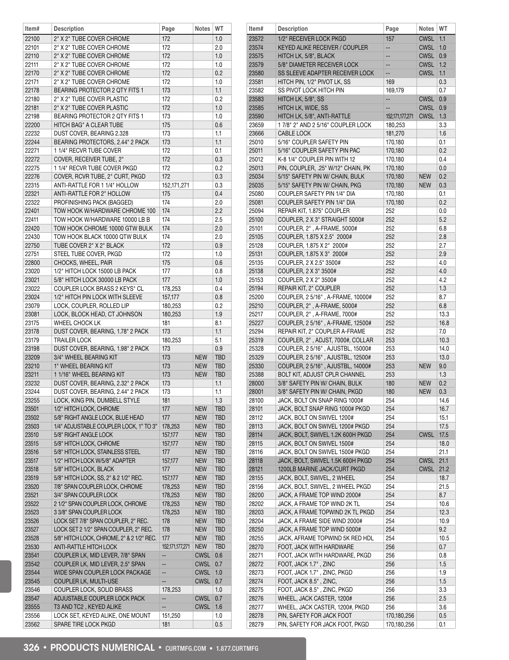| Item#          | <b>Description</b>                                                      | Page               | <b>Notes</b>             | <b>WT</b>                |                      |
|----------------|-------------------------------------------------------------------------|--------------------|--------------------------|--------------------------|----------------------|
| 22100          | 2" X 2" TUBE COVER CHROME                                               | 172                |                          | 1.0                      |                      |
| 22101          | 2" X 2" TUBE COVER CHROME                                               | 172                |                          | 2.0                      |                      |
| 22110          | 2" X 2" TUBE COVER CHROME                                               | 172                |                          | 1.0                      |                      |
| 22111          | 2" X 2" TUBE COVER CHROME                                               | 172                |                          | 1.0                      |                      |
| 22170          | 2" X 2" TUBE COVER CHROME                                               | 172                |                          | 0.2                      |                      |
| 22171          | 2" X 2" TUBE COVER CHROME                                               | 172                |                          | 1.0                      |                      |
| 22178          | BEARING PROTECTOR 2 QTY FITS 1                                          | 173                |                          | 1.1                      |                      |
| 22180          | 2" X 2" TUBE COVER PLASTIC                                              | 172                |                          | 0.2                      |                      |
| 22181          | 2" X 2" TUBE COVER PLASTIC                                              | 172                |                          | 1.0                      |                      |
| 22198          | BEARING PROTECTOR 2 QTY FITS 1                                          | 173                |                          | 1.0                      |                      |
| 22200<br>22232 | HITCH BAG" A CLEAR TUBE<br>DUST COVER, BEARING 2.328                    | 175<br>173         |                          | 0.6<br>1.1               |                      |
| 22244          | BEARING PROTECTORS, 2.44" 2 PACK                                        | 173                |                          | 1.1                      |                      |
| 22271          | 1 1/4" RECVR TUBE COVER                                                 | 172                |                          | 0.1                      |                      |
| 22272          | COVER, RECEIVER TUBE, 2"                                                | 172                |                          | 0.3                      |                      |
| 22275          | 1 1/4" RECVR TUBE COVER PKGD                                            | 172                |                          | 0.2                      |                      |
| 22276          | COVER, RCVR TUBE, 2" CURT, PKGD                                         | 172                |                          | 0.3                      |                      |
| 22315          | ANTI-RATTLE FOR 1 1/4" HOLLOW                                           | 152,171,271        |                          | 0.3                      |                      |
| 22321          | <b>ANTI-RATTLE FOR 2" HOLLOW</b>                                        | 175                |                          | 0.4                      |                      |
| 22322          | PROFINISHING PACK (BAGGED)                                              | 174                |                          | 2.0                      |                      |
| 22401          | TOW HOOK W/HARDWARE CHROME 100                                          | 174                |                          | 2.2                      |                      |
| 22411          | TOW HOOK W/HARDWARE 10000 LB B                                          | 174                |                          | 2.5                      |                      |
| 22420          | TOW HOOK CHROME 10000 GTW BULK                                          | 174                |                          | 2.0                      |                      |
| 22430          | TOW HOOK BLACK 10000 QTW BULK                                           | 174                |                          | 2.0                      |                      |
| 22750          | TUBE COVER 2" X 2" BLACK<br>STEEL TUBE COVER, PKGD                      | 172                |                          | 0.9                      |                      |
| 22751<br>22800 | CHOCKS, WHEEL, PAIR                                                     | 172<br>175         |                          | 1.0<br>0.6               |                      |
| 23020          | 1/2" HITCH LOCK 15000 LB PACK                                           | 177                |                          | 0.8                      |                      |
| 23021          | 5/8" HITCH LOCK 30000 LB PACK                                           | 177                |                          | 1.0                      |                      |
| 23022          | COUPLER LOCK BRASS 2 KEYS" CL                                           | 178,253            |                          | 0.4                      |                      |
| 23024          | 1/2" HITCH PIN LOCK WITH SLEEVE                                         | 157,177            |                          | 0.8                      |                      |
| 23079          | LOCK, COUPLER, ROLLED LIP                                               | 180,253            |                          | 0.2                      |                      |
| 23081          | LOCK, BLOCK HEAD, CT JOHNSON                                            | 180,253            |                          | 1.9                      |                      |
| 23175          | WHEEL CHOCK LK                                                          | 181                |                          | 8.1                      |                      |
| 23178          | DUST COVER, BEARING, 1.78" 2 PACK                                       | 173                |                          | 1.1                      |                      |
| 23179          | <b>TRAILER LOCK</b>                                                     | 180,253            |                          | 5.1                      |                      |
| 23198          | DUST COVER, BEARING, 1.98" 2 PACK                                       | 173                |                          | 0.9                      |                      |
| 23209          | 3/4" WHEEL BEARING KIT                                                  | 173                | <b>NEW</b>               | <b>TBD</b>               |                      |
| 23210          | 1" WHEEL BEARING KIT                                                    | 173                | <b>NEW</b>               | <b>TBD</b>               |                      |
| 23211<br>23232 | 1 1/16" WHEEL BEARING KIT<br>DUST COVER, BEARING, 2.32" 2 PACK          | 173<br>173         | <b>NEW</b>               | <b>TBD</b><br>1.1        |                      |
| 23244          | DUST COVER, BEARING, 2.44" 2 PACK                                       | 173                |                          | 1.1                      |                      |
| 23255          | LOCK, KING PIN, DUMBELL STYLE                                           | 181                |                          | 1.3                      |                      |
| 23501          | 1/2" HITCH LOCK, CHROME                                                 | 177                | <b>NEW</b>               | TBD                      | $\frac{1}{2}$        |
| 23502          | 5/8" RIGHT ANGLE LOCK, BLUE HEAD                                        | 177                | <b>NEW</b>               | <b>TBD</b>               |                      |
| 23503          | 1/4" ADJUSTABLE COUPLER LOCK, 1" TO 3"                                  | 178,253            | <b>NEW</b>               | <b>TBD</b>               |                      |
| 23510          | 5/8" RIGHT ANGLE LOCK                                                   | 157,177            | <b>NEW</b>               | <b>TBD</b>               |                      |
| 23515          | 5/8" HITCH LOCK, CHROME                                                 | 157,177            | <b>NEW</b>               | <b>TBD</b>               | $\frac{1}{2}$        |
| 23516          | 5/8" HITCH LOCK, STAINLESS STEEL                                        | 177                | <b>NEW</b>               | <b>TBD</b>               | $\overline{a}$       |
| 23517          | 1/2" HITCH LOCK W/5/8" ADAPTER                                          | 157,177            | <b>NEW</b>               | <b>TBD</b>               |                      |
| 23518          | 5/8" HITCH LOCK, BLACK                                                  | 177                | <b>NEW</b>               | <b>TBD</b>               | í                    |
| 23519<br>23520 | 5/8" HITCH LOCK, SS, 2" & 2 1/2" REC.<br>7/8" SPAN COUPLER LOCK, CHROME | 157,177<br>178,253 | <b>NEW</b>               | <b>TBD</b><br><b>TBD</b> |                      |
| 23521          | 3/4" SPAN COUPLER LOCK                                                  | 178,253            | <b>NEW</b><br><b>NEW</b> | <b>TBD</b>               | í                    |
| 23522          | 2 1/2" SPAN COUPLER LOCK, CHROME                                        | 178,253            | <b>NEW</b>               | <b>TBD</b>               | í                    |
| 23523          | 3 3/8" SPAN COUPLER LOCK                                                | 178,253            | <b>NEW</b>               | <b>TBD</b>               |                      |
| 23526          | LOCK SET 7/8" SPAN COUPLER, 2" REC.                                     | 178                | <b>NEW</b>               | <b>TBD</b>               |                      |
| 23527          | LOCK SET 2 1/2" SPAN COUPLER, 2" REC.                                   | 178                | <b>NEW</b>               | <b>TBD</b>               |                      |
| 23528          | 5/8" HITCH LOCK, CHROME, 2" & 2 1/2" REC.                               | 177                | <b>NEW</b>               | <b>TBD</b>               | í                    |
| 23530          | ANTI-RATTLE HITCH LOCK                                                  | 152,171,177,271    | <b>NEW</b>               | <b>TBD</b>               |                      |
| 23541          | COUPLER LK, MID LEVER, 7/8" SPAN                                        | --                 | <b>CWSL</b>              | 0.6                      |                      |
| 23542          | COUPLER LK, MID LEVER, 2.5" SPAN                                        | --                 | <b>CWSL</b>              | 0.7                      |                      |
| 23544          | WIDE SPAN COUPLER LOCK PACKAGE                                          | --                 | <b>CWSL</b>              | 1.0                      | í                    |
| 23545          | COUPLER LK, MULTI-USE                                                   | --                 | <b>CWSL</b>              | 0.7                      | í                    |
| 23546<br>23547 | COUPLER LOCK, SOLID BRASS<br>ADJUSTABLE COUPLER LOCK PACK               | 178,253<br>--      | <b>CWSL</b>              | 1.0<br>0.7               | $\frac{1}{2}$        |
| 23555          | T3 AND TC2, KEYED ALIKE                                                 | --                 | <b>CWSL</b>              | 1.6                      | í                    |
| 23556          | LOCK SET, KEYED ALIKE, ONE MOUNT                                        | 151,250            |                          | 1.0                      | $\ddot{\phantom{0}}$ |
| 23562          | SPARE TIRE LOCK PKGD                                                    | 181                |                          | 0.5                      | í                    |
|                |                                                                         |                    |                          |                          |                      |

| ltem# | Description                          | Page            | Notes       | WТ      |
|-------|--------------------------------------|-----------------|-------------|---------|
| 23572 | 1/2" RECEIVER LOCK PKGD              | 157             | <b>CWSL</b> | 1.1     |
| 23574 | KEYED ALIKE RECEIVER / COUPLER       | --              | <b>CWSL</b> | 1.0     |
| 23575 | HITCH LK, 5/8", BLACK                | --              | <b>CWSL</b> | 0.9     |
| 23579 | 5/8" DIAMETER RECEIVER LOCK          | --              | <b>CWSL</b> | 1.2     |
| 23580 | SS SLEEVE ADAPTER RECEIVER LOCK      | --              | <b>CWSL</b> | 1.1     |
| 23581 | HITCH PIN, 1/2" PIVOT LK, SS         | 169             |             | 0.3     |
| 23582 | SS PIVOT LOCK HITCH PIN              | 169,179         |             | 0.7     |
| 23583 | HITCH LK, 5/8", SS                   | --              | <b>CWSL</b> | 0.9     |
| 23585 | HITCH LK, WIDE, SS                   | --              | <b>CWSL</b> | 0.9     |
| 23590 | HITCH LK, 5/8", ANTI-RATTLE          | 152,171,177,271 | <b>CWSL</b> | 1.3     |
| 23659 | 1 7/8" 2" AND 2 5/16" COUPLER LOCK   |                 |             |         |
|       | CABLE LOCK                           | 180,253         |             | 3.3     |
| 23666 | 5/16" COUPLER SAFETY PIN             | 181,270         |             | 1.6     |
| 25010 |                                      | 170,180         |             | 0.1     |
| 25011 | 5/16" COUPLER SAFETY PIN PAC         | 170,180         |             | 0.2     |
| 25012 | K-8 1/4" COUPLER PIN WITH 12         | 170,180         |             | 0.4     |
| 25013 | PIN, COUPLER, .25" W/12" CHAIN, PK   | 170,180         |             | 0.0     |
| 25034 | 5/15" SAFETY PIN W/ CHAIN, BULK      | 170,180         | <b>NEW</b>  | 0.2     |
| 25035 | 5/15" SAFETY PIN W/ CHAIN, PKG       | 170,180         | <b>NEW</b>  | 0.3     |
| 25080 | COUPLER SAFETY PIN 1/4" DIA          | 170,180         |             | 0.1     |
| 25081 | COUPLER SAFETY PIN 1/4" DIA          | 170,180         |             | 0.2     |
| 25094 | REPAIR KIT, 1.875" COUPLER           | 252             |             | 0.0     |
| 25100 | COUPLER, 2 X 3" STRAIGHT 5000#       | 252             |             | 5.2     |
| 25101 | COUPLER, 2", A-FRAME, 5000#          | 252             |             | 6.8     |
| 25105 | COUPLER, 1.875 X 2.5" 2000#          | 252             |             | 2.8     |
| 25128 | COUPLER, 1.875 X 2" 2000#            | 252             |             | 2.7     |
| 25131 | COUPLER, 1.875 X 3" 2000#            | 252             |             | 2.9     |
| 25135 | COUPLER, 2 X 2.5" 3500#              | 252             |             | 4.0     |
| 25138 | COUPLER, 2 X 3" 3500#                | 252             |             | 4.0     |
| 25153 | COUPLER, 2 X 2" 3500#                | 252             |             | 4.2     |
| 25194 | REPAIR KIT, 2" COUPLER               | 252             |             | 1.3     |
|       |                                      | 252             |             |         |
| 25200 | COUPLER, 2 5/16", A-FRAME, 10000#    |                 |             | 8.7     |
| 25210 | COUPLER, 2", A-FRAME, 5000#          | 252             |             | 6.8     |
| 25217 | COUPLER, 2", A-FRAME, 7000#          | 252             |             | 13.3    |
| 25227 | COUPLER, 2 5/16", A-FRAME, 12500#    | 252             |             | 16.8    |
| 25294 | REPAIR KIT, 2" COUPLER A-FRAME       | 252             |             | 7.0     |
| 25319 | COUPLER, 2", ADJST, 7000#, COLLAR    | 253             |             | 10.3    |
| 25328 | COUPLER, 2 5/16", AJUSTBL, 15000#    | 253             |             | 14.0    |
| 25329 | COUPLER, 2 5/16", AJUSTBL, 12500#    | 253             |             | 13.0    |
| 25330 | COUPLER, 2 5/16", AJUSTBL, 14000#    | 253             | <b>NEW</b>  | 9.0     |
| 25388 | <b>BOLT KIT, ADJUST CPLR CHANNEL</b> | 253             |             | 1.3     |
| 28000 | 3/8" SAFETY PIN W/ CHAIN, BULK       | 180             | <b>NEW</b>  | 0.2     |
| 28001 | 3/8" SAFETY PIN W/ CHAIN, PKGD       | 180             | <b>NEW</b>  | 0.3     |
| 28100 | JACK, BOLT ON SNAP RING 1000#        | 254             |             | 14.6    |
| 28101 | JACK, BOLT SNAP RING 1000# PKGD      | 254             |             | 16.7    |
| 28112 | JACK, BOLT ON SWIVEL 1200#           | 254             |             | 15.1    |
| 28113 | JACK, BOLT ON SWIVEL 1200# PKGD      | 254             |             | 17.5    |
| 28114 | JACK, BOLT, SWIVEL 1.2K 600H PKGD    | 254             | <b>CWSL</b> | 17.5    |
| 28115 | JACK, BOLT ON SWIVEL 1500#           | 254             |             | 18.0    |
| 28116 | JACK, BOLT ON SWIVEL 1500# PKGD      | 254             |             | 21.1    |
| 28118 | JACK, BOLT, SWIVEL 1.5K 600H PKGD    | 254             | <b>CWSL</b> | 21.1    |
| 28121 | 1200LB MARINE JACK/CURT PKGD         | 254             | <b>CWSL</b> | 21.2    |
|       |                                      | 254             |             |         |
| 28155 | JACK, BOLT, SWIVEL, 2 WHEEL          |                 |             | 18.7    |
| 28156 | JACK, BOLT, SWIVEL, 2 WHEEL PKGD     | 254             |             | 21.5    |
| 28200 | JACK, A FRAME TOP WIND 2000#         | 254             |             | 8.7     |
| 28202 | JACK, A FRAME TOP WIND 2K TL         | 254             |             | 10.6    |
| 28203 | JACK, A FRAME TOPWIND 2K TL PKGD     | 254             |             | 12.3    |
| 28204 | JACK, A FRAME SIDE WIND 2000#        | 254             |             | 10.9    |
| 28250 | JACK, A FRAME TOP WIND 5000#         | 254             |             | 9.2     |
| 28255 | JACK, AFRAME TOPWIND 5K RED HDL      | 254             |             | 10.5    |
| 28270 | FOOT, JACK WITH HARDWARE             | 256             |             | 0.7     |
| 28271 | FOOT, JACK WITH HARDWARE, PKGD       | 256             |             | 0.8     |
| 28272 | FOOT, JACK 1.7", ZINC                | 256             |             | 1.5     |
| 28273 | FOOT, JACK 1.7", ZINC, PKGD          | 256             |             | 1.9     |
| 28274 | FOOT, JACK 8.5", ZINC,               | 256             |             | 1.5     |
| 28275 | FOOT, JACK 8.5", ZINC, PKGD          | 256             |             | 3.3     |
| 28276 | WHEEL, JACK CASTER, 1200#            | 256             |             | 2.5     |
| 28277 | WHEEL, JACK CASTER, 1200#, PKGD      | 256             |             | 3.6     |
| 28278 | PIN, SAFETY FOR JACK FOOT            | 170,180,256     |             | $0.5\,$ |
| 28279 | PIN, SAFETY FOR JACK FOOT, PKGD      | 170,180,256     |             | 0.1     |
|       |                                      |                 |             |         |

T.

ī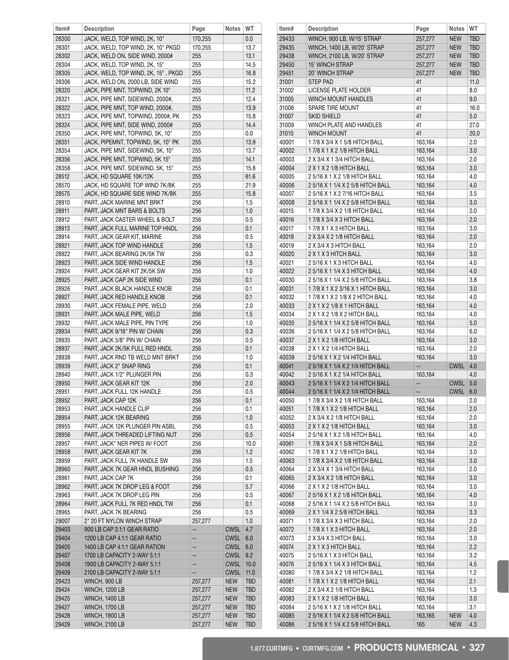| Item# | <b>Description</b>                  | Page                     | Notes            | WT         | ltem# | <b>Description</b>                | Page    | Notes           | WT.        |
|-------|-------------------------------------|--------------------------|------------------|------------|-------|-----------------------------------|---------|-----------------|------------|
| 28300 | JACK, WELD, TOP WIND, 2K, 10"       | 170,255                  |                  | 0.0        | 29433 | WINCH, 900 LB, W/15' STRAP        | 257,277 | <b>NEW</b>      | <b>TBD</b> |
| 28301 | JACK, WELD, TOP WIND, 2K, 10" PKGD  | 170,255                  |                  | 13.7       | 29435 | WINCH, 1400 LB, W/20' STRAP       | 257,277 | <b>NEW</b>      | <b>TBD</b> |
| 28302 | JACK, WELD ON, SIDE WIND, 2000#     | 255                      |                  | 13.1       | 29438 | WINCH, 2100 LB, W/20' STRAP       | 257,277 | <b>NEW</b>      | <b>TBD</b> |
| 28304 | JACK, WELD, TOP WIND, 2K, 15"       | 255                      |                  | 14.5       | 29450 | <b>15' WINCH STRAP</b>            | 257,277 | <b>NEW</b>      | <b>TBD</b> |
| 28305 | JACK, WELD, TOP WIND, 2K, 15", PKGD | 255                      |                  | 16.8       | 29451 | 20' WINCH STRAP                   | 257,277 | <b>NEW</b>      | <b>TBD</b> |
| 28306 | JACK, WELD ON, 2000 LB, SIDE WIND   | 255                      |                  | 15.2       | 31001 | <b>STEP PAD</b>                   | 41      |                 | 11.0       |
| 28320 | JACK, PIPE MNT, TOPWIND, 2K 10"     | 255                      |                  | 11.2       | 31002 | LICENSE PLATE HOLDER              | 41      |                 | 8.0        |
| 28321 | JACK, PIPE MNT, SIDEWIND, 2000#,    | 255                      |                  | 12.4       | 31005 | <b>WINCH MOUNT HANDLES</b>        | 41      |                 | 9.0        |
| 28322 | JACK, PIPE MNT, TOP WIND, 2000#,    | 255                      |                  | 13.9       | 31006 | <b>SPARE TIRE MOUNT</b>           | 41      |                 | 16.0       |
| 28323 | JACK, PIPE MNT, TOPWIND, 2000#, PK  | 255                      |                  | 15.8       | 31007 | <b>SKID SHIELD</b>                | 41      |                 | 5.0        |
| 28324 | JACK, PIPE MNT, SIDE WIND, 2000#    | 255                      |                  | 14.4       | 31009 | WINCH PLATE AND HANDLES           | 41      |                 | 27.0       |
| 28350 | JACK, PIPE MNT, TOPWIND, 5K, 10"    | 255                      |                  | 0.0        | 31010 | <b>WINCH MOUNT</b>                | 41      |                 | 20.0       |
|       |                                     | 255                      |                  |            |       |                                   |         |                 |            |
| 28351 | JACK, PIPEMNT, TOPWIND, 5K, 10" PK  |                          |                  | 13.9       | 40001 | 17/8 X 3/4 X 1 5/8 HITCH BALL     | 163,164 |                 | 2.0        |
| 28354 | JACK, PIPE MNT, SIDEWIND, 5K, 10"   | 255                      |                  | 13.7       | 40002 | 17/8 X 1 X 2 1/8 HITCH BALL       | 163,164 |                 | 3.0        |
| 28356 | JACK, PIPE MNT, TOPWIND, 5K 15"     | 255                      |                  | 14.1       | 40003 | 2 X 3/4 X 1 3/4 HITCH BALL        | 163,164 |                 | 2.0        |
| 28358 | JACK, PIPE MNT, SIDEWIND, 5K, 15"   | 255                      |                  | 15.8       | 40004 | 2 X 1 X 2 1/8 HITCH BALL          | 163,164 |                 | 3.0        |
| 28512 | JACK, HD SQUARE 10K/12K             | 255                      |                  | 61.6       | 40005 | 2 5/16 X 1 X 2 1/8 HITCH BALL     | 163,164 |                 | 4.0        |
| 28570 | JACK, HD SQUARE TOP WIND 7K/8K      | 255                      |                  | 21.9       | 40006 | 2 5/16 X 1 1/4 X 2 5/8 HITCH BALL | 163,164 |                 | 4.0        |
| 28575 | JACK, HD SQUARE SIDE WIND 7K/8K     | 255                      |                  | 15.8       | 40007 | 2 5/16 X 1 X 2 7/16 HITCH BALL    | 163,164 |                 | 3.5        |
| 28910 | PART. JACK MARINE MNT BRKT          | 256                      |                  | 1.5        | 40008 | 2 5/16 X 1 1/4 X 2 5/8 HITCH BALL | 163,164 |                 | 3.0        |
| 28911 | PART, JACK MNT BARS & BOLTS         | 256                      |                  | 1.0        | 40015 | 1 7/8 X 3/4 X 2 1/8 HITCH BALL    | 163,164 |                 | 2.0        |
| 28912 | PART, JACK CASTER WHEEL & BOLT      | 256                      |                  | 0.5        | 40016 | 17/8 X 3/4 X 3 HITCH BALL         | 163,164 |                 | 2.0        |
| 28913 | PART, JACK FULL MARINE TOP HNDL     | 256                      |                  | 0.1        | 40017 | 17/8 X 1 X 3 HITCH BALL           | 163.164 |                 | 3.0        |
| 28914 | PART, JACK GEAR KIT, MARINE         | 256                      |                  | 0.5        | 40018 | 2 X 3/4 X 2 1/8 HITCH BALL        | 163,164 |                 | 2.0        |
| 28921 | PART, JACK TOP WIND HANDLE          | 256                      |                  | 1.5        | 40019 | 2 X 3/4 X 3 HITCH BALL            | 163,164 |                 | 2.0        |
| 28922 | PART, JACK BEARING 2K/5K TW         | 256                      |                  | 0.3        | 40020 | 2 X 1 X 3 HITCH BALL              | 163,164 |                 | 3.0        |
| 28923 | PART, JACK SIDE WIND HANDLE         | 256                      |                  | 1.5        | 40021 | 2 5/16 X 1 X 3 HITCH BALL         | 163,164 |                 | 4.0        |
| 28924 | PART, JACK GEAR KIT 2K/5K SW        | 256                      |                  | 1.0        | 40022 | 2 5/16 X 1 1/4 X 3 HITCH BALL     | 163,164 |                 | 4.0        |
| 28925 | PART, JACK CAP 2K SIDE WIND         | 256                      |                  | 0.1        | 40030 | 2 5/16 X 1 1/4 X 2 5/8 HITCH BALL | 163,164 |                 | 3.8        |
| 28926 | PART, JACK BLACK HANDLE KNOB        | 256                      |                  | 0.1        | 40031 | 17/8 X 1 X 2 3/16 X 1 HITCH BALL  | 163,164 |                 | 3.0        |
| 28927 |                                     | 256                      |                  | 0.1        | 40032 | 17/8 X 1 X 2 1/8 X 2 HITCH BALL   | 163,164 |                 | 4.0        |
|       | PART, JACK RED HANDLE KNOB          |                          |                  |            |       |                                   |         |                 |            |
| 28930 | PART, JACK FEMALE PIPE, WELD        | 256                      |                  | 2.0        | 40033 | 2 X 1 X 2 1/8 X 1 HITCH BALL      | 163,164 |                 | 4.0        |
| 28931 | PART, JACK MALE PIPE, WELD          | 256                      |                  | 1.5        | 40034 | 2 X 1 X 2 1/8 X 2 HITCH BALL      | 163,164 |                 | 4.0        |
| 28932 | PART, JACK MALE PIPE, PIN TYPE      | 256                      |                  | 1.0        | 40035 | 2 5/16 X 1 1/4 X 2 5/8 HITCH BALL | 163,164 |                 | 5.0        |
| 28934 | PART, JACK 9/16" PIN W/ CHAIN       | 256                      |                  | 0.3        | 40036 | 2 5/16 X 1 1/4 X 2 5/8 HITCH BALL | 163,164 |                 | 6.0        |
| 28935 | PART, JACK 5/8" PIN W/ CHAIN        | 256                      |                  | 0.5        | 40037 | 2 X 1 X 2 1/8 HITCH BALL          | 163,164 |                 | 3.0        |
| 28937 | PART, JACK 2K/5K FULL RED HNDL      | 256                      |                  | 0.1        | 40038 | 2 X 1 X 2 1/4 HITCH BALL          | 163,164 |                 | 2.0        |
| 28938 | PART. JACK RND TB WELD MNT BRKT     | 256                      |                  | 1.0        | 40039 | 2 5/16 X 1 X 2 1/4 HITCH BALL     | 163,164 |                 | 3.0        |
| 28939 | PART, JACK 2" SNAP RING             | 256                      |                  | 0.1        | 40041 | 2 5/16 X 1 1/4 X 2 1/4 HITCH BALL | Ξ.      | CWSL 4.0        |            |
| 28940 | PART, JACK 1/2" PLUNGER PIN         | 256                      |                  | 0.3        | 40042 | 2 5/16 X 1 X 2 1/4 HITCH BALL     | 163.164 |                 | 4.0        |
| 28950 | PART, JACK GEAR KIT 12K             | 256                      |                  | 2.0        | 40043 | 2 5/16 X 1 1/4 X 2 1/4 HITCH BALL | Ξ.      | <b>CWSL 5.0</b> |            |
| 28951 | PART, JACK FULL 12K HANDLE          | 256                      |                  | 0.5        | 40044 | 2 5/16 X 1 1/4 X 2 1/4 HITCH BALL | --      | CWSL 6.0        |            |
| 28952 | PART, JACK CAP 12K                  | 256                      |                  | 0.1        | 40050 | 17/8 X 3/4 X 2 1/8 HITCH BALL     | 163,164 |                 | 2.0        |
| 28953 | PART, JACK HANDLE CLIP              | 256                      |                  | 0.1        | 40051 | 17/8 X 1 X 2 1/8 HITCH BALL       | 163,164 |                 | 2.0        |
| 28954 | PART, JACK 12K BEARING              | 256                      |                  | 1.0        | 40052 | 2 X 3/4 X 2 1/8 HITCH BALL        | 163,164 |                 | 2.0        |
| 28955 | PART, JACK 12K PLUNGER PIN ASBL     | 256                      |                  | 0.5        | 40053 | 2 X 1 X 2 1/8 HITCH BALL          | 163,164 |                 | 3.0        |
| 28956 | PART, JACK THREADED LIFTING NUT     | 256                      |                  | 0.5        | 40054 | 2 5/16 X 1 X 2 1/8 HITCH BALL     | 163,164 |                 | 4.0        |
| 28957 | PART, JACK" NER PIPES W/ FOOT       | 256                      |                  | 10.0       | 40061 | 1 7/8 X 3/4 X 1 5/8 HITCH BALL    | 163,164 |                 | 2.0        |
| 28958 | PART, JACK GEAR KIT 7K              | 256                      |                  | 1.2        | 40062 | 17/8 X 1 X 2 1/8 HITCH BALL       | 163,164 |                 | 3.0        |
| 28959 | PART. JACK FULL 7K HANDLE SW        | 256                      |                  | 1.5        | 40063 | 17/8 X 3/4 X 2 1/8 HITCH BALL     | 163,164 |                 | 3.0        |
| 28960 | PART, JACK 7K GEAR HNDL BUSHING     | 256                      |                  | 0.5        | 40064 | 2 X 3/4 X 1 3/4 HITCH BALL        | 163,164 |                 | 2.0        |
|       |                                     | 256                      |                  |            |       | 2 X 3/4 X 2 1/8 HITCH BALL        | 163,164 |                 |            |
| 28961 | PART, JACK CAP 7K                   |                          |                  | 0.1        | 40065 |                                   |         |                 | 3.0        |
| 28962 | PART, JACK 7K DROP LEG & FOOT       | 256                      |                  | 5.7        | 40066 | 2 X 1 X 2 1/8 HITCH BALL          | 163,164 |                 | 3.0        |
| 28963 | PART, JACK 7K DROP LEG PIN          | 256                      |                  | 0.5        | 40067 | 2 5/16 X 1 X 2 1/8 HITCH BALL     | 163,164 |                 | 4.0        |
| 28964 | PART, JACK FULL 7K RED HNDL TW      | 256                      |                  | 0.1        | 40068 | 2 5/16 X 1 1/4 X 2 5/8 HITCH BALL | 163,164 |                 | 3.0        |
| 28965 | PART, JACK 7K BEARING               | 256                      |                  | 0.5        | 40069 | 2 X 1 1/4 X 2 5/8 HITCH BALL      | 163,164 |                 | 3.3        |
| 29007 | 2" 20 FT NYLON WINCH STRAP          | 257,277                  |                  | 1.0        | 40071 | 17/8 X 3/4 X 3 HITCH BALL         | 163,164 |                 | 2.0        |
| 29403 | 900 LB CAP 3.1:1 GEAR RATIO         | $\overline{\phantom{a}}$ | <b>CWSL 4.7</b>  |            | 40072 | 17/8 X 1 X 3 HITCH BALL           | 163,164 |                 | 2.0        |
| 29404 | 1200 LB CAP 4.1:1 GEAR RATIO        | --                       | <b>CWSL 6.0</b>  |            | 40073 | 2 X 3/4 X 3 HITCH BALL            | 163,164 |                 | 3.0        |
| 29405 | 1400 LB CAP 4.1:1 GEAR RATION       | ۰.                       | <b>CWSL</b> 6.0  |            | 40074 | 2 X 1 X 3 HITCH BALL              | 163,164 |                 | 2.2        |
| 29407 | 1700 LB CAPACITY 2-WAY 5.1:1        | $\overline{\phantom{a}}$ | <b>CWSL 9.2</b>  |            | 40075 | 2 5/16 X 1 X 3 HITCH BALL         | 163,164 |                 | 3.2        |
| 29408 | 1900 LB CAPACITY 2-WAY 5.1:1        | ۰.                       | <b>CWSL</b> 10.0 |            | 40076 | 2 5/16 X 1 1/4 X 3 HITCH BALL     | 163,164 |                 | 4.5        |
| 29409 | 2100 LB CAPACITY 2-WAY 5.1:1        | $\overline{\phantom{a}}$ | <b>CWSL 11.0</b> |            | 40080 | 1 7/8 X 3/4 X 2 1/8 HITCH BALL    | 163,164 |                 | 1.2        |
| 29423 | WINCH, 900 LB                       | 257,277                  | <b>NEW</b>       | <b>TBD</b> | 40081 | 17/8 X 1 X 2 1/8 HITCH BALL       | 163,164 |                 | 2.1        |
| 29424 | <b>WINCH, 1200 LB</b>               | 257,277                  | <b>NEW</b>       | <b>TBD</b> | 40082 | 2 X 3/4 X 2 1/8 HITCH BALL        | 163,164 |                 | 1.3        |
| 29425 | <b>WINCH, 1400 LB</b>               | 257,277                  | <b>NEW</b>       | <b>TBD</b> | 40083 | 2 X 1 X 2 1/8 HITCH BALL          | 163,164 |                 | 3.0        |
| 29427 | <b>WINCH, 1700 LB</b>               | 257,277                  | <b>NEW</b>       | <b>TBD</b> | 40084 | 2 5/16 X 1 X 2 1/8 HITCH BALL     | 163,164 |                 | 3.1        |
| 29428 | <b>WINCH, 1900 LB</b>               | 257,277                  | <b>NEW</b>       | <b>TBD</b> | 40085 | 2 5/16 X 1 1/4 X 2 5/8 HITCH BALL | 163,165 | <b>NEW</b>      | 4.0        |
|       |                                     |                          |                  |            |       |                                   |         |                 |            |
| 29429 | <b>WINCH, 2100 LB</b>               | 257,277                  | <b>NEW</b>       | <b>TBD</b> | 40086 | 2 5/16 X 1 1/4 X 2 5/8 HITCH BALL | 165     | <b>NEW</b>      | 4.3        |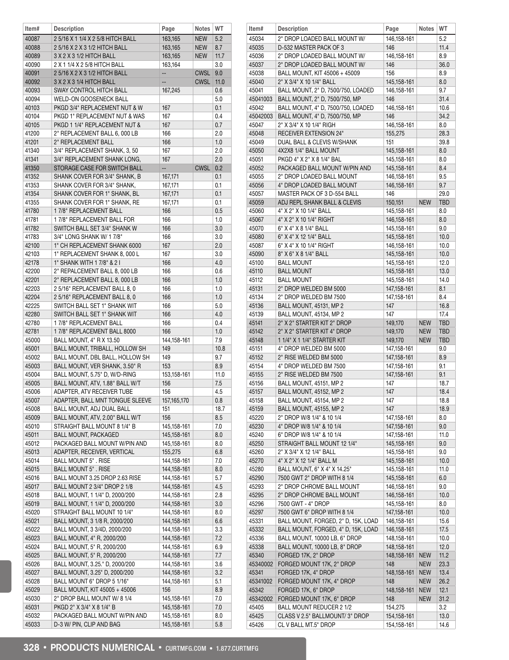| ltem#          | <b>Description</b>                                               | Page               | Notes       | WT          | ľ                   |
|----------------|------------------------------------------------------------------|--------------------|-------------|-------------|---------------------|
| 40087          | 2 5/16 X 1 1/4 X 2 5/8 HITCH BALL                                | 163,165            | <b>NEW</b>  | 5.2         | $\overline{4}$      |
| 40088          | 2 5/16 X 2 X 3 1/2 HITCH BALL                                    | 163,165            | <b>NEW</b>  | 8.7         | 4                   |
| 40089          | 3 X 2 X 3 1/2 HITCH BALL                                         | 163,165            | <b>NEW</b>  | 11.7        | 4                   |
| 40090          | 2 X 1 1/4 X 2 5/8 HITCH BALL                                     | 163,164            |             | 3.0         | $\overline{4}$      |
| 40091          | 2 5/16 X 2 X 3 1/2 HITCH BALL                                    |                    | <b>CWSL</b> | 9.0         | 4                   |
| 40092          | 3 X 2 X 3 1/4 HITCH BALL                                         | --                 | <b>CWSL</b> | 11.0        | 4                   |
| 40093          | SWAY CONTROL HITCH BALL                                          | 167,245            |             | 0.6         | 4                   |
| 40094          | WELD-ON GOOSENECK BALL                                           |                    |             | 5.0         | $\overline{4}$      |
| 40103          | PKGD 3/4" REPLACEMENT NUT & W                                    | 167                |             | 0.1         | 4                   |
| 40104          | PKGD 1" REPLACEMENT NUT & WAS                                    | 167                |             | 0.4         | 4                   |
| 40105          | PKGD 1 1/4" REPLACEMENT NUT &                                    | 167                |             | 0.7         | 4                   |
| 41200          | 2" REPLACEMENT BALL 6, 000 LB                                    | 166                |             | 2.0         | 4                   |
| 41201          | 2" REPLACEMENT BALL                                              | 166                |             | 1.0         | 4                   |
| 41340<br>41341 | 3/4" REPLACEMENT SHANK, 3, 50<br>3/4" REPLACEMENT SHANK LONG,    | 167<br>167         |             | 2.0<br>2.0  | $\overline{4}$<br>4 |
| 41350          | STORAGE CASE FOR SWITCH BALL                                     |                    | <b>CWSL</b> | 0.2         | 4                   |
| 41352          | SHANK COVER FOR 3/4" SHANK, B                                    | 167,171            |             | 0.1         | 4                   |
| 41353          | SHANK COVER FOR 3/4" SHANK,                                      | 167,171            |             | 0.1         | $\overline{4}$      |
| 41354          | SHANK COVER FOR 1" SHANK, BL                                     | 167,171            |             | 0.1         | 4                   |
| 41355          | SHANK COVER FOR 1" SHANK, RE                                     | 167,171            |             | 0.1         | 4                   |
| 41780          | 17/8" REPLACEMENT BALL                                           | 166                |             | 0.5         | 4                   |
| 41781          | 17/8" REPLACEMENT BALL FOR                                       | 166                |             | 1.0         | 4                   |
| 41782          | SWITCH BALL SET 3/4" SHANK W                                     | 166                |             | 3.0         | 4                   |
| 41783          | 3/4" LONG SHANK W/ 1 7/8"                                        | 166                |             | 3.0         | 4                   |
| 42100          | 1" CH REPLACEMENT SHANK 6000                                     | 167                |             | 2.0         | 4                   |
| 42103          | 1" REPLACEMENT SHANK 8, 000 L                                    | 167                |             | 3.0         | 4                   |
| 42178          | 1" SHANK WITH 1 7/8" & 2 I                                       | 166                |             | 4.0         | 4                   |
| 42200          | 2" REPALCEMENT BALL 8, 000 LB                                    | 166                |             | 0.6         | $\overline{4}$      |
| 42201          | 2" REPLACEMENT BALL 8, 000 LB                                    | 166                |             | 1.0         | 4                   |
| 42203          | 25/16" REPLACEMENT BALL 8, 0                                     | 166                |             | 1.0         | $\overline{4}$      |
| 42204          | 2 5/16" REPLACEMENT BALL 8, 0                                    | 166                |             | 1.0         | 4                   |
| 42225          | SWITCH BALL SET 1" SHANK WIT                                     | 166                |             | 5.0         | 4                   |
| 42280          | SWITCH BALL SET 1" SHANK WIT                                     | 166                |             | 4.0         | 4                   |
| 42780          | 17/8" REPLACEMENT BALL                                           | 166                |             | 0.4         | $\overline{4}$      |
| 42781          | 17/8" REPLACEMENT BALL 8000                                      | 166                |             | 1.0         | 4                   |
| 45000          | BALL MOUNT, 4" R X 13.50                                         | 144,158-161        |             | 7.9         | 4                   |
| 45001          | BALL MOUNT, TRIBALL, HOLLOW SH                                   | 149                |             | 10.8        | 4                   |
| 45002<br>45003 | BALL MOUNT, DBL BALL, HOLLOW SH                                  | 149                |             | 9.7         | $\overline{4}$      |
|                | BALL MOUNT, VER SHANK, 3.50" R                                   | 153                |             | 8.9         | 4                   |
| 45004<br>45005 | BALL MOUNT, 5.75" D, W/D-RING<br>BALL MOUNT, ATV, 1.88" BALL W/T | 153,158-161<br>156 |             | 11.0<br>7.5 | 4<br>4              |
| 45006          | ADAPTER, ATV RECEIVER TUBE                                       | 156                |             | 4.5         | 4                   |
| 45007          | ADAPTER, BALL MNT TONGUE SLEEVE                                  | 157,165,170        |             | 0.8         | 4                   |
| 45008          | BALL MOUNT, ADJ DUAL BALL                                        | 151                |             | 18.7        | 4                   |
| 45009          | BALL MOUNT, ATV, 2.00" BALL W/T                                  | 156                |             | 8.5         | 4                   |
| 45010          | STRAIGHT BALL MOUNT 8 1/4" B                                     | 145,158-161        |             | 7.0         | 4                   |
| 45011          | <b>BALL MOUNT, PACKAGED</b>                                      | 145,158-161        |             | 8.0         | 4                   |
| 45012          | PACKAGED BALL MOUNT W/PIN AND                                    | 145,158-161        |             | 8.0         | 4                   |
| 45013          | ADAPTER, RECEIVER, VERTICAL                                      | 155,275            |             | 6.8         | 4                   |
| 45014          | <b>BALL MOUNT 5". RISE</b>                                       | 144,158-161        |             | 7.0         | 4                   |
| 45015          | <b>BALL MOUNT 5". RISE</b>                                       | 144,158-161        |             | 8.0         | 4                   |
| 45016          | BALL MOUNT 3.25 DROP 2.63 RISE                                   | 144,158-161        |             | 5.7         | $\overline{4}$      |
| 45017          | BALL MOUNT 2 3/4" DROP 2 1/8                                     | 144,158-161        |             | 4.5         | 4                   |
| 45018          | BALL MOUNT, 1 1/4" D, 2000/200                                   | 144,158-161        |             | 2.8         | 4                   |
| 45019          | BALL MOUNT, 1 1/4" D, 2000/200                                   | 144,158-161        |             | 3.0         | 4                   |
| 45020          | STRAIGHT BALL MOUNT 10 1/4"                                      | 144,158-161        |             | 8.0         | 4                   |
| 45021          | BALL MOUNT, 3 1/8 R, 2000/200                                    | 144,158-161        |             | 6.6         | 4                   |
| 45022          | BALL MOUNT, 3 3/4D, 2000/200                                     | 144,158-161        |             | 3.3         | 4                   |
| 45023          | BALL MOUNT, 4" R, 2000/200                                       | 144,158-161        |             | 7.2         | 4                   |
| 45024          | BALL MOUNT, 5" R, 2000/200                                       | 144,158-161        |             | 6.9         | 4                   |
| 45025          | BALL MOUNT, 5" R, 2000/200                                       | 144,158-161        |             | 7.7         | $\overline{4}$      |
| 45026          | BALL MOUNT, 3.25." D, 2000/200                                   | 144,158-161        |             | 3.6         | $\overline{4}$      |
| 45027          | BALL MOUNT, 3.25" D, 2000/200                                    | 144,158-161        |             | 3.2         | 4                   |
| 45028          | BALL MOUNT 6" DROP 5 1/16"                                       | 144,158-161        |             | 5.1         | 4                   |
| 45029          | BALL MOUNT, KIT 45005 + 45006                                    | 156                |             | 8.9         | $\overline{4}$      |
| 45030          | 2" DROP BALL MOUNT W/ 8 1/4                                      | 145,158-161        |             | 7.0         | 4                   |
| 45031          | PKGD 2" X 3/4" X 8 1/4" B                                        | 145,158-161        |             | 7.0         | 4                   |
| 45032<br>45033 | PACKAGED BALL MOUNT W/PIN AND<br>D-3 W/ PIN, CLIP AND BAG        | 145,158-161        |             | 8.0<br>5.8  | 4                   |
|                |                                                                  | 145,158-161        |             |             | $\overline{4}$      |

| ltem#             | <b>Description</b>                                          | Page                       | <b>Notes</b> | WT           |
|-------------------|-------------------------------------------------------------|----------------------------|--------------|--------------|
| 45034             | 2" DROP LOADED BALL MOUNT W/                                | 146,158-161                |              | 5.2          |
| 45035             | D-532 MASTER PACK OF 3                                      | 146                        |              | 11.4         |
| 45036             | 2" DROP LOADED BALL MOUNT W/                                | 146,158-161                |              | 8.9          |
| 45037             | 2" DROP LOADED BALL MOUNT W/                                | 146                        |              | 36.0         |
| 45038             | BALL MOUNT, KIT 45006 + 45009                               | 156                        |              | 8.9          |
| 45040             | 2" X 3/4" X 10 1/4" BALL                                    | 145,158-161                |              | 8.0          |
| 45041             | BALL MOUNT, 2" D, 7500/750, LOADED                          | 146,158-161                |              | 9.7          |
| 45041003          | BALL MOUNT, 2" D, 7500/750, MP                              | 146                        |              | 31.4         |
| 45042<br>45042003 | BALL MOUNT, 4" D, 7500/750, LOADED                          | 146,158-161<br>146         |              | 10.6<br>34.2 |
| 45047             | BALL MOUNT, 4" D, 7500/750, MP<br>2" X 3/4" X 10 1/4" RIGH  | 146, 158-161               |              | 8.0          |
| 45048             | RECEIVER EXTENSION 24"                                      | 155,275                    |              | 28.3         |
| 45049             | DUAL BALL & CLEVIS W/SHANK                                  | 151                        |              | 39.8         |
| 45050             | 4X2X8 1/4" BALL MOUNT                                       | 145,158-161                |              | 8.0          |
| 45051             | PKGD 4" X 2" X 8 1/4" BAL                                   | 145,158-161                |              | 8.0          |
| 45052             | PACKAGED BALL MOUNT W/PIN AND                               | 145,158-161                |              | 8.4          |
| 45055             | 2" DROP LOADED BALL MOUNT                                   | 146,158-161                |              | 9.5          |
| 45056             | 4" DROP LOADED BALL MOUNT                                   | 146, 158-161               |              | 9.7          |
| 45057             | MASTER PACK OF 3 D-554 BALL                                 | 146                        |              | 29.0         |
| 45059             | ADJ REPL SHANK BALL & CLEVIS                                | 150,151                    | <b>NEW</b>   | <b>TBD</b>   |
| 45060             | 4" X 2" X 10 1/4" BALL                                      | 145,158-161                |              | 8.0          |
| 45067             | 4" X 2" X 10 1/4" RIGHT                                     | 146, 158-161               |              | 8.0          |
| 45070             | 6" X 4" X 8 1/4" BALL                                       | 145,158-161                |              | 9.0          |
| 45080             | 6" X 4" X 12 1/4" BALL                                      | 145,158-161                |              | 10.0         |
| 45087             | 6" X 4" X 10 1/4" RIGHT                                     | 146,158-161                |              | 10.0         |
| 45090             | 8" X 6" X 8 1/4" BALL                                       | 145,158-161                |              | 10.0         |
| 45100             | <b>BALL MOUNT</b>                                           | 145,158-161                |              | 12.0         |
| 45110             | <b>BALL MOUNT</b>                                           | 145,158-161                |              | 13.0         |
| 45112             | <b>BALL MOUNT</b>                                           | 145,158-161                |              | 14.0         |
| 45131             | 2" DROP WELDED BM 5000                                      | 147,158-161                |              | 8.1          |
| 45134<br>45136    | 2" DROP WELDED BM 7500<br>BALL MOUNT, 45131, MP 2           | 147,158-161<br>147         |              | 8.4<br>16.8  |
| 45139             | BALL MOUNT, 45134, MP 2                                     | 147                        |              | 17.4         |
| 45141             | 2" X 2" STARTER KIT 2" DROP                                 | 149,170                    | <b>NEW</b>   | TBD          |
| 45142             | 2" X 2" STARTER KIT 4" DROP                                 | 149,170                    | <b>NEW</b>   | TBD          |
| 45148             | 1 1/4" X 1 1/4" STARTER KIT                                 | 149,170                    | <b>NEW</b>   | <b>TBD</b>   |
| 45151             | 4" DROP WELDED BM 5000                                      | 147,158-161                |              | 9.0          |
| 45152             | 2" RISE WELDED BM 5000                                      | 147,158-161                |              | 8.9          |
| 45154             | 4" DROP WELDED BM 7500                                      | 147,158-161                |              | 9.1          |
| 45155             | 2" RISE WELDED BM 7500                                      | 147,158-161                |              | 9.1          |
| 45156             | BALL MOUNT, 45151, MP 2                                     | 147                        |              | 18.7         |
| 45157             | BALL MOUNT, 45152, MP 2                                     | 147                        |              | 18.4         |
| 45158             | BALL MOUNT, 45154, MP 2                                     | 147                        |              | 18.8         |
| 45159             | BALL MOUNT, 45155, MP 2                                     | 147                        |              | 18.9         |
| 45220             | 2" DROP W/8 1/4" & 10 1/4                                   | 147,158-161                |              | 8.0          |
| 45230             | 4" DROP W/8 1/4" & 10 1/4                                   | 147,158-161                |              | 9.0          |
| 45240             | 6" DROP W/8 1/4" & 10 1/4                                   | 147,158-161                |              | 11.0         |
| 45250             | STRAIGHT BALL MOUNT 12 1/4"                                 | 145,158-161                |              | 9.0          |
| 45260             | 2" X 3/4" X 12 1/4" BALL                                    | 145,158-161                |              | 9.0          |
| 45270             | 4" X 2" X 12 1/4" BALL M                                    | 145,158-161                |              | 10.0         |
| 45280             | BALL MOUNT, 6" X 4" X 14.25"<br>7500 GWT 2" DROP WITH 8 1/4 | 145,158-161                |              | 11.0<br>6.0  |
| 45290<br>45293    | 2" DROP CHROME BALL MOUNT                                   | 145,158-161<br>146,158-161 |              | 9.0          |
| 45295             | 2" DROP CHROME BALL MOUNT                                   | 146,158-161                |              | 10.0         |
| 45296             | 7500 GWT - 4" DROP                                          | 145,158-161                |              | 8.0          |
| 45297             | 7500 GWT 6" DROP WITH 8 1/4                                 | 147,158-161                |              | 10.0         |
| 45331             | BALL MOUNT, FORGED, 2" D, 15K, LOAD                         | 146,158-161                |              | 15.6         |
| 45332             | BALL MOUNT, FORGED, 4" D, 15K, LOAD                         | 146,158-161                |              | 17.5         |
| 45336             | BALL MOUNT, 10000 LB, 6" DROP                               | 148,158-161                |              | 10.0         |
| 45338             | BALL MOUNT, 10000 LB, 8" DROP                               | 148,158-161                |              | 12.0         |
| 45340             | FORGED 17K, 2" DROP                                         | 148,158-161                | <b>NEW</b>   | 11.2         |
| 45340002          | FORGED MOUNT 17K, 2" DROP                                   | 148                        | <b>NEW</b>   | 23.3         |
| 45341             | FORGED 17K, 4" DROP                                         | 148,158-161                | <b>NEW</b>   | 13.4         |
| 45341002          | FORGED MOUNT 17K, 4" DROP                                   | 148                        | <b>NEW</b>   | 26.2         |
| 45342             | FORGED 17K, 6" DROP                                         | 148,158-161                | <b>NEW</b>   | 12.1         |
| 45342002          | FORGED MOUNT 17K, 6" DROP                                   | 148                        | <b>NEW</b>   | 31.2         |
| 45405             | BALL MOUNT REDUCER 2 1/2                                    | 154,275                    |              | 3.2          |
| 45425             | CLASS V 2.5" BALLMOUNT/ 3" DROP                             | 154, 158-161               |              | 13.0         |
| 45426             | CL V BALL MT.5" DROP                                        | 154,158-161                |              | 14.6         |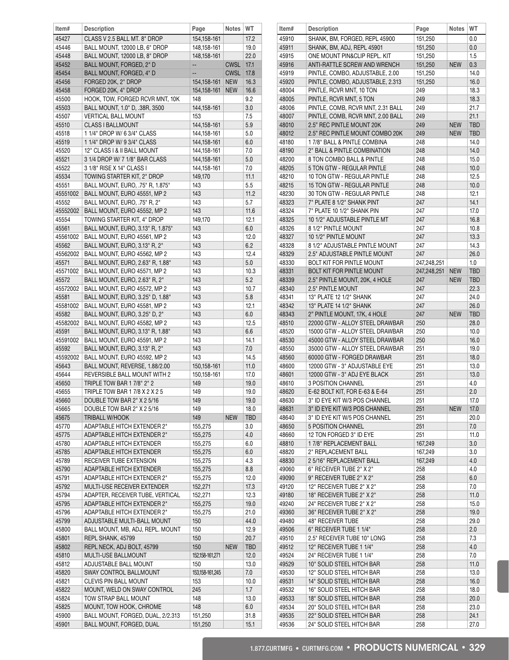| Item#    | <b>Description</b>                | Page                     | Notes WT         |         | Item# | <b>Description</b>                | Page        | <b>Notes</b> | WT         |
|----------|-----------------------------------|--------------------------|------------------|---------|-------|-----------------------------------|-------------|--------------|------------|
| 45427    | CLASS V 2.5 BALL MT. 8" DROP      | 154, 158-161             |                  | 17.2    | 45910 | SHANK, BM, FORGED, REPL 45900     | 151,250     |              | 0.0        |
| 45446    | BALL MOUNT, 12000 LB, 6" DROP     | 148,158-161              |                  | 19.0    | 45911 | SHANK, BM, ADJ, REPL 45901        | 151,250     |              | 0.0        |
| 45448    | BALL MOUNT, 12000 LB, 8" DROP     | 148,158-161              |                  | 22.0    | 45915 | ONE MOUNT PIN&CLIP REPL. KIT      | 151,250     |              | 1.5        |
| 45452    | BALL MOUNT, FORGED, 2" D          | --                       | <b>CWSL</b> 17.1 |         | 45916 | ANTI-RATTLE SCREW AND WRENCH      | 151,250     | <b>NEW</b>   | 0.3        |
|          |                                   |                          |                  |         |       |                                   |             |              |            |
| 45454    | BALL MOUNT, FORGED, 4" D          | $\overline{\phantom{a}}$ | <b>CWSL</b> 17.8 |         | 45919 | PINTLE, COMBO, ADJUSTABLE, 2.00   | 151,250     |              | 14.0       |
| 45456    | FORGED 20K, 2" DROP               | 154,158-161 NEW          |                  | 16.3    | 45920 | PINTLE, COMBO, ADJUSTABLE, 2.313  | 151,250     |              | 16.0       |
| 45458    | FORGED 20K, 4" DROP               | 154.158-161              | <b>NEW</b>       | 16.6    | 48004 | PINTLE, RCVR MNT, 10 TON          | 249         |              | 18.3       |
| 45500    | HOOK, TOW, FORGED RCVR MNT, 10K   | 148                      |                  | 9.2     | 48005 | PINTLE, RCVR MNT, 5 TON           | 249         |              | 18.3       |
| 45503    | BALL MOUNT, 1.0" D, .38R, 3500    | 144, 158-161             |                  | 3.0     | 48006 | PINTLE, COMB, RCVR MNT, 2.31 BALL | 249         |              | 21.7       |
| 45507    | <b>VERTICAL BALL MOUNT</b>        | 153                      |                  | 7.5     | 48007 | PINTLE, COMB, RCVR MNT, 2.00 BALL | 249         |              | 21.1       |
| 45510    | <b>CLASS I BALLMOUNT</b>          | 144,158-161              |                  | 5.9     | 48010 | 2.5" REC PINTLE MOUNT 20K         | 249         | <b>NEW</b>   | <b>TBD</b> |
| 45518    | 1 1/4" DROP W/ 6 3/4" CLASS       | 144.158-161              |                  | 5.0     | 48012 | 2.5" REC PINTLE MOUNT COMBO 20K   | 249         | <b>NEW</b>   | <b>TBD</b> |
| 45519    | 1 1/4" DROP W/ 9 3/4" CLASS       | 144, 158-161             |                  | 6.0     | 48180 | 17/8" BALL & PINTLE COMBINA       | 248         |              | 14.0       |
| 45520    | 12" CLASS I & II BALL MOUNT       | 144,158-161              |                  | 7.0     | 48190 | 2" BALL & PINTLE COMBINATION      | 248         |              | 14.0       |
|          |                                   |                          |                  |         |       |                                   |             |              |            |
| 45521    | 3 1/4 DROP W/ 7 1/8" BAR CLASS    | 144,158-161              |                  | 5.0     | 48200 | 8 TON COMBO BALL & PINTLE         | 248         |              | 15.0       |
| 45522    | 3 1/8" RISE X 14" CLASS I         | 144,158-161              |                  | 7.0     | 48205 | 5 TON GTW - REGULAR PINTLE        | 248         |              | 10.0       |
| 45534    | TOWING STARTER KIT, 2" DROP       | 149,170                  |                  | 11.1    | 48210 | 10 TON GTW - REGULAR PINTLE       | 248         |              | 12.5       |
| 45551    | BALL MOUNT, EURO, .75" R, 1.875"  | 143                      |                  | 5.5     | 48215 | 15 TON GTW - REGULAR PINTLE       | 248         |              | 10.0       |
| 45551002 | BALL MOUNT, EURO 45551, MP 2      | 143                      |                  | 11.2    | 48230 | 30 TON GTW - REGULAR PINTLE       | 248         |              | 12.1       |
| 45552    | BALL MOUNT, EURO, .75" R, 2"      | 143                      |                  | 5.7     | 48323 | 7" PLATE 8 1/2" SHANK PINT        | 247         |              | 14.1       |
| 45552002 | BALL MOUNT, EURO 45552, MP 2      | 143                      |                  | 11.6    | 48324 | 7" PLATE 10 1/2" SHANK PIN        | 247         |              | 17.0       |
| 45554    | TOWING STARTER KIT, 4" DROP       | 149,170                  |                  | 12.1    | 48325 | 10 1/2" ADJUSTABLE PINTLE MT      | 247         |              | 16.8       |
| 45561    |                                   | 143                      |                  | 6.0     | 48326 | 8 1/2" PINTLE MOUNT               | 247         |              | 10.8       |
|          | BALL MOUNT, EURO, 3.13" R, 1.875" |                          |                  |         |       |                                   |             |              |            |
| 45561002 | BALL MOUNT, EURO 45561, MP 2      | 143                      |                  | 12.0    | 48327 | 10 1/2" PINTLE MOUNT              | 247         |              | 13.3       |
| 45562    | BALL MOUNT, EURO, 3.13" R, 2"     | 143                      |                  | 6.2     | 48328 | 8 1/2" ADJUSTABLE PINTLE MOUNT    | 247         |              | 14.3       |
| 45562002 | BALL MOUNT, EURO 45562, MP 2      | 143                      |                  | 12.4    | 48329 | 2.5" ADJUSTABLE PINTLE MOUNT      | 247         |              | 26.0       |
| 45571    | BALL MOUNT, EURO, 2.63" R, 1.88"  | 143                      |                  | 5.0     | 48330 | BOLT KIT FOR PINTLE MOUNT         | 247,248,251 |              | 1.0        |
| 45571002 | BALL MOUNT, EURO 45571, MP 2      | 143                      |                  | 10.3    | 48331 | BOLT KIT FOR PINTLE MOUNT         | 247,248,251 | <b>NEW</b>   | <b>TBD</b> |
| 45572    | BALL MOUNT, EURO, 2.63" R, 2"     | 143                      |                  | 5.2     | 48339 | 2.5" PINTLE MOUNT, 20K, 4 HOLE    | 247         | <b>NEW</b>   | <b>TBD</b> |
| 45572002 | BALL MOUNT, EURO 45572, MP 2      | 143                      |                  | 10.7    | 48340 | 2.5" PINTLE MOUNT                 | 247         |              | 22.3       |
| 45581    | BALL MOUNT, EURO, 3.25" D, 1.88"  | 143                      |                  | 5.8     | 48341 | 13" PLATE 12 1/2" SHANK           | 247         |              | 24.0       |
|          |                                   |                          |                  |         |       |                                   |             |              |            |
| 45581002 | BALL MOUNT, EURO 45581, MP 2      | 143                      |                  | 12.1    | 48342 | 13" PLATE 14 1/2" SHANK           | 247         |              | 26.0       |
| 45582    | BALL MOUNT, EURO, 3.25" D, 2"     | 143                      |                  | 6.0     | 48343 | 2" PINTLE MOUNT, 17K, 4 HOLE      | 247         | <b>NEW</b>   | <b>TBD</b> |
| 45582002 | BALL MOUNT, EURO 45582, MP 2      | 143                      |                  | 12.5    | 48510 | 22000 GTW - ALLOY STEEL DRAWBAR   | 250         |              | 28.0       |
| 45591    | BALL MOUNT, EURO, 3.13" R, 1.88"  | 143                      |                  | 6.6     | 48520 | 15000 GTW - ALLOY STEEL DRAWBAR   | 250         |              | 10.0       |
| 45591002 | BALL MOUNT, EURO 45591, MP 2      | 143                      |                  | 14.1    | 48530 | 45000 GTW - ALLOY STEEL DRAWBAR   | 250         |              | 16.0       |
| 45592    | BALL MOUNT, EURO, 3.13" R, 2"     | 143                      |                  | 7.0     | 48550 | 35000 GTW - ALLOY STEEL DRAWBAR   | 251         |              | 19.0       |
| 45592002 | BALL MOUNT, EURO 45592, MP 2      | 143                      |                  | 14.5    | 48560 | 60000 GTW - FORGED DRAWBAR        | 251         |              | 18.0       |
| 45643    | BALL MOUNT, REVERSE, 1.88/2.00    | 150,158-161              |                  | 11.0    | 48600 | 12000 GTW - 3" ADJUSTABLE EYE     | 251         |              | 13.0       |
| 45644    | REVERSIBLE BALL MOUNT WITH 2      | 150,158-161              |                  | 17.0    | 48601 | 12000 GTW - 3" ADJ EYE BLACK      | 251         |              | 13.0       |
|          |                                   |                          |                  |         |       |                                   |             |              |            |
| 45650    | TRIPLE TOW BAR 1 7/8" 2" 2        | 149                      |                  | 19.0    | 48610 | 3 POSITION CHANNEL                | 251         |              | 4.0        |
| 45655    | TRIPLE TOW BAR 1 7/8 X 2 X 2 5    | 149                      |                  | 19.0    | 48620 | E-62 BOLT KIT, FOR E-63 & E-64    | 251         |              | 2.0        |
| 45660    | DOUBLE TOW BAR 2" X 2 5/16        | 149                      |                  | 19.0    | 48630 | 3" ID EYE KIT W/3 POS CHANNEL     | 251         |              | 17.0       |
| 45665    | DOUBLE TOW BAR 2" X 2 5/16        | 149                      |                  | 18.0    | 48631 | 3" ID EYE KIT W/3 POS CHANNEL     | 251         | <b>NEW</b>   | 17.0       |
| 45675    | <b>TRIBALL W/HOOK</b>             | 149                      | <b>NEW</b>       | TBD     | 48640 | 3" ID EYE KIT W/5 POS CHANNEL     | 251         |              | 20.0       |
| 45770    | ADAPTABLE HITCH EXTENDER 2"       | 155,275                  |                  | $3.0\,$ | 48650 | 5 POSITION CHANNEL                | 251         |              | 7.0        |
| 45775    | ADAPTABLE HITCH EXTENDER 2"       | 155,275                  |                  | 4.0     | 48660 | 12 TON FORGED 3" ID EYE           | 251         |              | 11.0       |
| 45780    | ADAPTABLE HITCH EXTENDER          | 155,275                  |                  | 6.0     | 48810 | 17/8" REPLACEMENT BALL            | 167,249     |              | 3.0        |
| 45785    | ADAPTABLE HITCH EXTENDER          | 155,275                  |                  | 6.0     | 48820 | 2" REPLACEMENT BALL               | 167,249     |              | 3.0        |
| 45789    | <b>RECEIVER TUBE EXTENSION</b>    | 155,275                  |                  | 4.3     | 48830 | 25/16" REPLACEMENT BALL           | 167,249     |              | 4.0        |
|          |                                   |                          |                  |         |       |                                   |             |              |            |
| 45790    | ADAPTABLE HITCH EXTENDER          | 155,275                  |                  | 8.8     | 49060 | 6" RECEIVER TUBE 2" X 2"          | 258         |              | 4.0        |
| 45791    | ADAPTABLE HITCH EXTENDER 2"       | 155,275                  |                  | 12.0    | 49090 | 9" RECEIVER TUBE 2" X 2"          | 258         |              | 6.0        |
| 45792    | MULTI-USE RECEIVER EXTENDER       | 152,271                  |                  | 17.3    | 49120 | 12" RECEIVER TUBE 2" X 2"         | 258         |              | 7.0        |
| 45794    | ADAPTER, RECEIVER TUBE, VERTICAL  | 152,271                  |                  | 12.3    | 49180 | 18" RECEIVER TUBE 2" X 2"         | 258         |              | 11.0       |
| 45795    | ADAPTABLE HITCH EXTENDER 2"       | 155,275                  |                  | 19.0    | 49240 | 24" RECEIVER TUBE 2" X 2"         | 258         |              | 15.0       |
| 45796    | ADAPTABLE HITCH EXTENDER 2"       | 155,275                  |                  | 21.0    | 49360 | 36" RECEIVER TUBE 2" X 2"         | 258         |              | 19.0       |
| 45799    | ADJUSTABLE MULTI-BALL MOUNT       | 150                      |                  | 44.0    | 49480 | 48" RECEIVER TUBE                 | 258         |              | 29.0       |
|          |                                   | 150                      |                  |         | 49506 | 6" RECEIVER TUBE 1 1/4"           | 258         |              | 2.0        |
| 45800    | BALL MOUNT, MB, ADJ, REPL. MOUNT  |                          |                  | 12.9    |       |                                   |             |              |            |
| 45801    | REPL SHANK, 45799                 | 150                      |                  | 20.7    | 49510 | 2.5" RECEIVER TUBE 10" LONG       | 258         |              | 7.3        |
| 45802    | REPL NECK, ADJ BOLT, 45799        | 150                      | <b>NEW</b>       | TBD     | 49512 | 12" RECEIVER TUBE 1 1/4"          | 258         |              | 4.0        |
| 45810    | MULTI-USE BALLMOUNT               | 152,158-161,271          |                  | 12.0    | 49524 | 24" RECEIVER TUBE 1 1/4"          | 258         |              | 7.0        |
| 45812    | ADJUSTABLE BALL MOUNT             | 150                      |                  | 13.0    | 49529 | 10" SOLID STEEL HITCH BAR         | 258         |              | 11.0       |
| 45820    | SWAY CONTROL BALLMOUNT            | 153,158-161,245          |                  | 7.0     | 49530 | 12" SOLID STEEL HITCH BAR         | 258         |              | 13.0       |
| 45821    | <b>CLEVIS PIN BALL MOUNT</b>      | 153                      |                  | 10.0    | 49531 | 14" SOLID STEEL HITCH BAR         | 258         |              | 16.0       |
| 45822    | MOUNT, WELD ON SWAY CONTROL       | 245                      |                  | 1.7     | 49532 | 16" SOLID STEEL HITCH BAR         | 258         |              | 18.0       |
| 45824    | TOW STRAP BALL MOUNT              | 148                      |                  | 13.0    | 49533 | 18" SOLID STEEL HITCH BAR         | 258         |              | 20.0       |
|          |                                   | 148                      |                  |         |       |                                   |             |              |            |
| 45825    | MOUNT, TOW HOOK, CHROME           |                          |                  | 6.0     | 49534 | 20" SOLID STEEL HITCH BAR         | 258         |              | 23.0       |
| 45900    | BALL MOUNT, FORGED, DUAL, 2/2.313 | 151,250                  |                  | 31.8    | 49535 | 22" SOLID STEEL HITCH BAR         | 258         |              | 24.1       |
| 45901    | BALL MOUNT, FORGED, DUAL          | 151,250                  |                  | 15.1    | 49536 | 24" SOLID STEEL HITCH BAR         | 258         |              | 27.0       |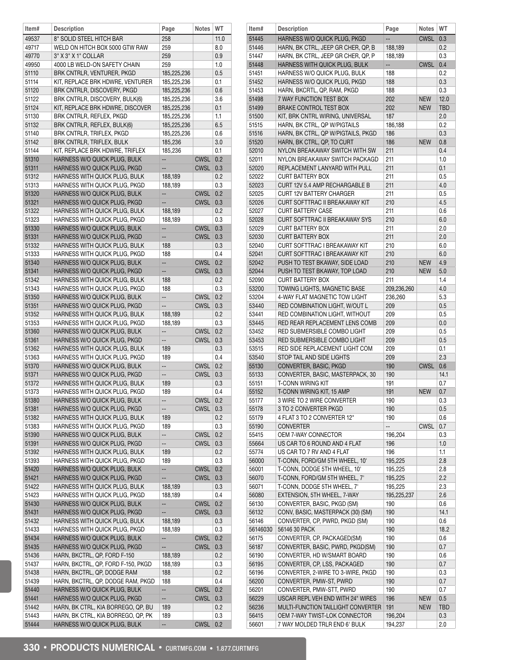| 258<br>HARNESS W/O QUICK PLUG, PKGD<br>$CWSL$ 0.3<br>49537<br>8" SOLID STEEL HITCH BAR<br>11.0<br>51445<br>49717<br>WELD ON HITCH BOX 5000 GTW RAW<br>259<br>8.0<br>51446<br>HARN, BK CTRL, JEEP GR CHER, QP, B<br>188,189<br>0.2<br>259<br>49770<br>3" X 3" X 1" COLLAR<br>0.9<br>51447<br>HARN, BK CTRL, JEEP GR CHER, QP, P<br>188,189<br>0.3<br>49950<br>4000 LB WELD-ON SAFETY CHAIN<br>259<br>1.0<br>51448<br>HARNESS WITH QUICK PLUG, BULK<br>CWSL 0.4<br>$\overline{\phantom{a}}$<br>51110<br>185,225,236<br>0.5<br>51451<br>BRK CNTRLR, VENTURER, PKGD<br>HARNESS W/O QUICK PLUG, BULK<br>188<br>0.2<br>0.3<br>51114<br>0.1<br>51452<br>188<br>KIT, REPLACE BRK HDWRE, VENTURER<br>185,225,236<br>HARNESS W/O QUICK PLUG, PKGD<br>51120<br>BRK CNTRLR, DISCOVERY, PKGD<br>0.6<br>51453<br>188<br>0.3<br>185,225,236<br>HARN, BKCRTL, QP, RAM, PKGD<br>202<br>51122<br>BRK CNTRLR, DISCOVERY, BULK(6)<br>185,225,236<br>3.6<br>51498<br>7 WAY FUNCTION TEST BOX<br><b>NEW</b><br>12.0<br>51124<br>0.1<br>51499<br>202<br><b>NEW</b><br><b>TBD</b><br>KIT, REPLACE BRK HDWRE, DISCOVER<br>185,225,236<br><b>BRAKE CONTROL TEST BOX</b><br>51130<br>187<br>2.0<br><b>BRK CNTRLR, REFLEX, PKGD</b><br>185,225,236<br>1.1<br>51500<br>KIT, BRK CNTRL WIRING, UNIVERSAL<br>51132<br>6.5<br>0.2<br>BRK CNTRLR, REFLEX, BULK(6)<br>185.225.236<br>51515<br>HARN, BK CTRL, QP W/PIGTAILS<br>186,188<br>51140<br>BRK CNTRLR, TRIFLEX, PKGD<br>185,225,236<br>0.6<br>51516<br>HARN, BK CTRL, QP W/PIGTAILS, PKGD<br>186<br>0.3<br>51142<br>BRK CNTRLR, TRIFLEX, BULK<br>185,236<br>3.0<br>51520<br>HARN, BK CTRL, QP, TO CURT<br>186<br><b>NEW</b><br>0.8<br>51144<br>0.1<br>52010<br>211<br>0.4<br>KIT, REPLACE BRK HDWRE, TRIFLEX<br>185,236<br>NYLON BREAKAWAY SWITCH WITH SW<br>51310<br>HARNESS W/O QUICK PLUG, BULK<br>$\mathbb{L}^2$<br>CWSL 0.2<br>52011<br>NYLON BREAKAWAY SWITCH PACKAGD<br>211<br>1.0<br>51311<br>CWSL 0.3<br>52020<br>211<br>0.1<br>HARNESS W/O QUICK PLUG, PKGD<br>REPLACEMENT LANYARD WITH PULL<br>$\overline{\phantom{a}}$<br>188,189<br>0.2<br>52022<br>211<br>0.5<br>51312<br>HARNESS WITH QUICK PLUG, BULK<br><b>CURT BATTERY BOX</b><br>0.3<br>51313<br>HARNESS WITH QUICK PLUG, PKGD<br>52023<br>211<br>4.0<br>188,189<br>CURT 12V 5.4 AMP RECHARGABLE B<br>51320<br>HARNESS W/O QUICK PLUG, BULK<br>$CWSL$ 0.2<br>52025<br>211<br>0.5<br><b>CURT 12V BATTERY CHARGER</b><br>$\overline{\phantom{a}}$<br>4.5<br>51321<br>HARNESS W/O QUICK PLUG. PKGD<br>CWSL 0.3<br>52026<br><b>CURT SOFTTRAC II BREAKAWAY KIT</b><br>210<br>$\overline{\phantom{a}}$<br>51322<br>0.2<br>52027<br><b>CURT BATTERY CASE</b><br>211<br>0.6<br><b>HARNESS WITH QUICK PLUG, BULK</b><br>188.189<br>51323<br>0.3<br>52028<br>210<br>6.0<br>HARNESS WITH QUICK PLUG, PKGD<br>188,189<br><b>CURT SOFTTRAC II BREAKAWAY SYS</b><br>2.0<br>51330<br>HARNESS W/O QUICK PLUG, BULK<br>CWSL 0.3<br>52029<br><b>CURT BATTERY BOX</b><br>211<br>$\overline{\phantom{a}}$<br>51331<br>HARNESS W/O QUICK PLUG, PKGD<br>$CWSL$ 0.3<br>52030<br><b>CURT BATTERY BOX</b><br>211<br>2.0<br>$\overline{\phantom{a}}$<br>51332<br>188<br>52040<br>210<br>6.0<br><b>HARNESS WITH QUICK PLUG. BULK</b><br>0.3<br><b>CURT SOFTTRAC I BREAKAWAY KIT</b><br>0.4<br>51333<br>52041<br>210<br>6.0<br>HARNESS WITH QUICK PLUG, PKGD<br>188<br>CURT SOFTTRAC I BREAKAWAY KIT<br>51340<br>CWSL 0.2<br>52042<br>210<br><b>NEW</b><br>4.9<br>HARNESS W/O QUICK PLUG, BULK<br>PUSH TO TEST BKAWAY, SIDE LOAD<br>$\overline{\phantom{a}}$<br>51341<br>HARNESS W/O QUICK PLUG, PKGD<br>CWSL 0.3<br>52044<br>PUSH TO TEST BKAWAY, TOP LOAD<br>210<br><b>NEW</b><br>5.0<br>$\overline{\phantom{a}}$<br>51342<br>188<br>0.2<br>52090<br><b>CURT BATTERY BOX</b><br>211<br>1.4<br>HARNESS WITH QUICK PLUG, BULK<br>0.3<br>4.0<br>51343<br>188<br>53200<br>209,236,260<br>HARNESS WITH QUICK PLUG, PKGD<br>TOWING LIGHTS, MAGNETIC BASE<br>51350<br>Ξ.<br>$CWSL$ 0.2<br>53204<br>5.3<br>HARNESS W/O QUICK PLUG, BULK<br>4-WAY FLAT MAGNETIC TOW LIGHT<br>236,260<br>51351<br><b>CWSL</b><br>0.3<br>53440<br>209<br>0.5<br>HARNESS W/O QUICK PLUG, PKGD<br>$\overline{\phantom{a}}$<br>RED COMBINATION LIGHT, W/OUT L<br>51352<br>188,189<br>0.2<br>53441<br>209<br>0.5<br>HARNESS WITH QUICK PLUG, BULK<br>RED COMBINATION LIGHT, WITHOUT<br>51353<br>188,189<br>0.3<br>53445<br>209<br>0.0<br>HARNESS WITH QUICK PLUG, PKGD<br>RED REAR REPLACEMENT LENS COMB<br>51360<br>HARNESS W/O QUICK PLUG, BULK<br>$CWSL$ 0.2<br>53452<br>RED SUBMERSIBLE COMBO LIGHT<br>209<br>0.5<br>$\overline{\phantom{a}}$<br>51361<br>HARNESS W/O QUICK PLUG, PKGD<br>$\overline{\phantom{a}}$<br>$CWSL$ 0.3<br>53453<br>RED SUBMERSIBLE COMBO LIGHT<br>209<br>0.5<br>0.3<br>53515<br>209<br>0.1<br>51362<br>HARNESS WITH QUICK PLUG, BULK<br>189<br>RED SIDE REPLACEMENT LIGHT COM<br>0.4<br>2.3<br>51363<br>189<br>53540<br>209<br>HARNESS WITH QUICK PLUG. PKGD<br>STOP TAIL AND SIDE LIGHTS<br>51370<br>HARNESS W/O QUICK PLUG, BULK<br>$CWSL$ 0.2<br>55130<br>190<br>CWSL 0.6<br>CONVERTER, BASIC, PKGD<br>--<br>51371<br>HARNESS W/O QUICK PLUG, PKGD<br><b>CWSL</b><br>0.3<br>55133<br>CONVERTER, BASIC, MASTERPACK, 30<br>190<br>14.1<br>--<br>51372<br>189<br>0.3<br>55151<br><b>T-CONN WIRING KIT</b><br>191<br>0.7<br>HARNESS WITH QUICK PLUG, BULK<br>51373<br>189<br>0.4<br>55152<br>191<br><b>NEW</b><br>0.7<br>HARNESS WITH QUICK PLUG, PKGD<br>T-CONN WIRING KIT, 15 AMP<br>51380<br><b>CWSL</b><br>0.2<br>55177<br>190<br>0.3<br>HARNESS W/O QUICK PLUG. BULK<br>3 WIRE TO 2 WIRE CONVERTER<br>$\overline{\phantom{a}}$<br>51381<br>HARNESS W/O QUICK PLUG, PKGD<br>$CWSL$ 0.3<br>55178<br>3 TO 2 CONVERTER PKGD<br>190<br>0.5<br>$\overline{\phantom{a}}$<br>51382<br>HARNESS WITH QUICK PLUG, BULK<br>189<br>0.2<br>55179<br>4 FLAT 3 TO 2 CONVERTER 12"<br>190<br>0.6<br>Щ.<br>51383<br>0.3<br>55190<br><b>CWSL</b><br>0.7<br>HARNESS WITH QUICK PLUG, PKGD<br>189<br><b>CONVERTER</b><br>0.2<br>51390<br>HARNESS W/O QUICK PLUG, BULK<br>н.<br>CWSL<br>55415<br>OEM 7-WAY CONNECTOR<br>196.204<br>0.3<br>51391<br>$CWSL$ 0.3<br>55664<br>1.0<br>HARNESS W/O QUICK PLUG, PKGD<br>н.<br>US CAR TO 6 ROUND AND 4 FLAT<br>196<br>51392<br>189<br>55774<br>196<br>HARNESS WITH QUICK PLUG, BULK<br>0.2<br>US CAR TO 7 RV AND 4 FLAT<br>1.1<br>51393<br>HARNESS WITH QUICK PLUG, PKGD<br>0.3<br>56000<br>T-CONN, FORD/GM 5TH WHEEL, 10'<br>195,225<br>2.8<br>189<br>51420<br>HARNESS W/O QUICK PLUG, BULK<br>$CWSL$ 0.2<br>56001<br>T-CONN, DODGE 5TH WHEEL, 10'<br>195,225<br>2.8<br>н.<br>51421<br>56070<br>195,225<br>2.2<br>HARNESS W/O QUICK PLUG, PKGD<br>CWSL 0.3<br>T-CONN, FORD/GM 5TH WHEEL, 7'<br>н,<br>51422<br>195,225<br>2.3<br>HARNESS WITH QUICK PLUG, BULK<br>188,189<br>0.3<br>56071<br>T-CONN, DODGE 5TH WHEEL, 7'<br>51423<br>0.4<br>56080<br>EXTENSION, 5TH WHEEL, 7-WAY<br>2.6<br>HARNESS WITH QUICK PLUG, PKGD<br>188,189<br>195,225,237<br>51430<br>HARNESS W/O QUICK PLUG, BULK<br>CWSL 0.2<br>56130<br>CONVERTER, BASIC, PKGD (SM)<br>щ.<br>190<br>0.6<br>51431<br>56132<br>190<br>HARNESS W/O QUICK PLUG, PKGD<br>$\overline{\phantom{a}}$<br>CWSL 0.3<br>CONV, BASIC, MASTERPACK (30) (SM)<br>14.1<br>51432<br>56146<br>190<br>0.6<br>HARNESS WITH QUICK PLUG, BULK<br>188,189<br>0.3<br>CONVERTER, CP, PWRD, PKGD (SM)<br>51433<br>0.3<br>56146030<br>56146 30 PACK<br>18.2<br>HARNESS WITH QUICK PLUG, PKGD<br>188,189<br>190<br>51434<br><b>CWSL 0.2</b><br>56175<br>CONVERTER, CP, PACKAGED(SM)<br>190<br>0.6<br>HARNESS W/O QUICK PLUG, BULK<br>н.<br>51435<br>HARNESS W/O QUICK PLUG, PKGD<br>CWSL 0.3<br>56187<br>190<br>0.7<br>CONVERTER, BASIC, PWRD, PKGD(SM)<br>н,<br>51436<br>188,189<br>56190<br>CONVERTER, HD W/SMART BOARD<br>HARN, BKCTRL, QP, FORD F-150<br>0.2<br>190<br>0.6<br>51437<br>HARN, BKCTRL, QP, FORD F-150, PKGD<br>188,189<br>0.3<br>56195<br>CONVERTER, CP, LSS, PACKAGED<br>190<br>0.7<br>51438<br>0.2<br>0.3<br>HARN, BKCTRL, QP, DODGE RAM<br>188<br>56196<br>CONVERTER, 2-WIRE TO 3-WIRE, PKGD<br>190<br>0.4<br>0.7<br>51439<br>HARN, BKCTRL, QP, DODGE RAM, PKGD<br>188<br>56200<br>CONVERTER, PMW-ST, PWRD<br>190<br>51440<br>HARNESS W/O QUICK PLUG, BULK<br><b>CWSL 0.2</b><br>56201<br>190<br>0.7<br>CONVERTER, PMW-STT, PWRD<br>Ξ.<br>51441<br>HARNESS W/O QUICK PLUG, PKGD<br>Щ,<br>56229<br>196<br><b>NEW</b><br>0.5<br>CWSL 0.3<br>USCAR REPL VEH END WITH 24" WIRES<br>51442<br>56236<br>MULTI-FUNCTION TAILLIGHT CONVERTER   191<br><b>TBD</b><br>HARN, BK CTRL, KIA BORREGO, QP, BU<br>189<br>0.2<br><b>NEW</b><br>0.3<br>51443<br>HARN, BK CTRL, KIA BORREGO, QP, PK<br>189<br>56415<br>OEM 7-WAY TWIST-LOK CONNECTOR<br>196,204<br>0.3<br>51444<br>HARNESS W/O QUICK PLUG, BULK<br><b>CWSL 0.2</b><br>56601<br>7 WAY MOLDED TRLR END 6' BULK<br>194,237<br>2.0<br>$\overline{\phantom{a}}$ | Item# | <b>Description</b> | Page | <b>Notes</b> | <b>WT</b> | Item# | <b>Description</b> | Page | Notes WT |  |
|-----------------------------------------------------------------------------------------------------------------------------------------------------------------------------------------------------------------------------------------------------------------------------------------------------------------------------------------------------------------------------------------------------------------------------------------------------------------------------------------------------------------------------------------------------------------------------------------------------------------------------------------------------------------------------------------------------------------------------------------------------------------------------------------------------------------------------------------------------------------------------------------------------------------------------------------------------------------------------------------------------------------------------------------------------------------------------------------------------------------------------------------------------------------------------------------------------------------------------------------------------------------------------------------------------------------------------------------------------------------------------------------------------------------------------------------------------------------------------------------------------------------------------------------------------------------------------------------------------------------------------------------------------------------------------------------------------------------------------------------------------------------------------------------------------------------------------------------------------------------------------------------------------------------------------------------------------------------------------------------------------------------------------------------------------------------------------------------------------------------------------------------------------------------------------------------------------------------------------------------------------------------------------------------------------------------------------------------------------------------------------------------------------------------------------------------------------------------------------------------------------------------------------------------------------------------------------------------------------------------------------------------------------------------------------------------------------------------------------------------------------------------------------------------------------------------------------------------------------------------------------------------------------------------------------------------------------------------------------------------------------------------------------------------------------------------------------------------------------------------------------------------------------------------------------------------------------------------------------------------------------------------------------------------------------------------------------------------------------------------------------------------------------------------------------------------------------------------------------------------------------------------------------------------------------------------------------------------------------------------------------------------------------------------------------------------------------------------------------------------------------------------------------------------------------------------------------------------------------------------------------------------------------------------------------------------------------------------------------------------------------------------------------------------------------------------------------------------------------------------------------------------------------------------------------------------------------------------------------------------------------------------------------------------------------------------------------------------------------------------------------------------------------------------------------------------------------------------------------------------------------------------------------------------------------------------------------------------------------------------------------------------------------------------------------------------------------------------------------------------------------------------------------------------------------------------------------------------------------------------------------------------------------------------------------------------------------------------------------------------------------------------------------------------------------------------------------------------------------------------------------------------------------------------------------------------------------------------------------------------------------------------------------------------------------------------------------------------------------------------------------------------------------------------------------------------------------------------------------------------------------------------------------------------------------------------------------------------------------------------------------------------------------------------------------------------------------------------------------------------------------------------------------------------------------------------------------------------------------------------------------------------------------------------------------------------------------------------------------------------------------------------------------------------------------------------------------------------------------------------------------------------------------------------------------------------------------------------------------------------------------------------------------------------------------------------------------------------------------------------------------------------------------------------------------------------------------------------------------------------------------------------------------------------------------------------------------------------------------------------------------------------------------------------------------------------------------------------------------------------------------------------------------------------------------------------------------------------------------------------------------------------------------------------------------------------------------------------------------------------------------------------------------------------------------------------------------------------------------------------------------------------------------------------------------------------------------------------------------------------------------------------------------------------------------------------------------------------------------------------------------------------------------------------------------------------------------------------------------------------------------------------------------------------------------------------------------------------------------------------------------------------------------------------------------------------------------------------------------------------------------------------------------------------------------------------------------------------------------------------------------------------------------------------------------------------------------------------------------------------------------------------------------------------------------------------------------------------------------------------------------------------------------------------------------------------------------------------------------------------------------------------------------------------------------------------------------------------------------------------------------------------------------------------------------------------------------------------------------------------------------------------------------------------------------------------------------------------------------------------------------------------------------------------------------------------------------------------------------------------------------------------------------------------------------------------------------------------------|-------|--------------------|------|--------------|-----------|-------|--------------------|------|----------|--|
|                                                                                                                                                                                                                                                                                                                                                                                                                                                                                                                                                                                                                                                                                                                                                                                                                                                                                                                                                                                                                                                                                                                                                                                                                                                                                                                                                                                                                                                                                                                                                                                                                                                                                                                                                                                                                                                                                                                                                                                                                                                                                                                                                                                                                                                                                                                                                                                                                                                                                                                                                                                                                                                                                                                                                                                                                                                                                                                                                                                                                                                                                                                                                                                                                                                                                                                                                                                                                                                                                                                                                                                                                                                                                                                                                                                                                                                                                                                                                                                                                                                                                                                                                                                                                                                                                                                                                                                                                                                                                                                                                                                                                                                                                                                                                                                                                                                                                                                                                                                                                                                                                                                                                                                                                                                                                                                                                                                                                                                                                                                                                                                                                                                                                                                                                                                                                                                                                                                                                                                                                                                                                                                                                                                                                                                                                                                                                                                                                                                                                                                                                                                                                                                                                                                                                                                                                                                                                                                                                                                                                                                                                                                                                                                                                                                                                                                                                                                                                                                                                                                                                                                                                                                                                                                                                                                                                                                                                                                                                                                                                                                                                                                                                                                                                                                                                                                                                                                                                                                                                                                                                                                                                                                                                                                                                                                                                                               |       |                    |      |              |           |       |                    |      |          |  |
|                                                                                                                                                                                                                                                                                                                                                                                                                                                                                                                                                                                                                                                                                                                                                                                                                                                                                                                                                                                                                                                                                                                                                                                                                                                                                                                                                                                                                                                                                                                                                                                                                                                                                                                                                                                                                                                                                                                                                                                                                                                                                                                                                                                                                                                                                                                                                                                                                                                                                                                                                                                                                                                                                                                                                                                                                                                                                                                                                                                                                                                                                                                                                                                                                                                                                                                                                                                                                                                                                                                                                                                                                                                                                                                                                                                                                                                                                                                                                                                                                                                                                                                                                                                                                                                                                                                                                                                                                                                                                                                                                                                                                                                                                                                                                                                                                                                                                                                                                                                                                                                                                                                                                                                                                                                                                                                                                                                                                                                                                                                                                                                                                                                                                                                                                                                                                                                                                                                                                                                                                                                                                                                                                                                                                                                                                                                                                                                                                                                                                                                                                                                                                                                                                                                                                                                                                                                                                                                                                                                                                                                                                                                                                                                                                                                                                                                                                                                                                                                                                                                                                                                                                                                                                                                                                                                                                                                                                                                                                                                                                                                                                                                                                                                                                                                                                                                                                                                                                                                                                                                                                                                                                                                                                                                                                                                                                                               |       |                    |      |              |           |       |                    |      |          |  |
|                                                                                                                                                                                                                                                                                                                                                                                                                                                                                                                                                                                                                                                                                                                                                                                                                                                                                                                                                                                                                                                                                                                                                                                                                                                                                                                                                                                                                                                                                                                                                                                                                                                                                                                                                                                                                                                                                                                                                                                                                                                                                                                                                                                                                                                                                                                                                                                                                                                                                                                                                                                                                                                                                                                                                                                                                                                                                                                                                                                                                                                                                                                                                                                                                                                                                                                                                                                                                                                                                                                                                                                                                                                                                                                                                                                                                                                                                                                                                                                                                                                                                                                                                                                                                                                                                                                                                                                                                                                                                                                                                                                                                                                                                                                                                                                                                                                                                                                                                                                                                                                                                                                                                                                                                                                                                                                                                                                                                                                                                                                                                                                                                                                                                                                                                                                                                                                                                                                                                                                                                                                                                                                                                                                                                                                                                                                                                                                                                                                                                                                                                                                                                                                                                                                                                                                                                                                                                                                                                                                                                                                                                                                                                                                                                                                                                                                                                                                                                                                                                                                                                                                                                                                                                                                                                                                                                                                                                                                                                                                                                                                                                                                                                                                                                                                                                                                                                                                                                                                                                                                                                                                                                                                                                                                                                                                                                                               |       |                    |      |              |           |       |                    |      |          |  |
|                                                                                                                                                                                                                                                                                                                                                                                                                                                                                                                                                                                                                                                                                                                                                                                                                                                                                                                                                                                                                                                                                                                                                                                                                                                                                                                                                                                                                                                                                                                                                                                                                                                                                                                                                                                                                                                                                                                                                                                                                                                                                                                                                                                                                                                                                                                                                                                                                                                                                                                                                                                                                                                                                                                                                                                                                                                                                                                                                                                                                                                                                                                                                                                                                                                                                                                                                                                                                                                                                                                                                                                                                                                                                                                                                                                                                                                                                                                                                                                                                                                                                                                                                                                                                                                                                                                                                                                                                                                                                                                                                                                                                                                                                                                                                                                                                                                                                                                                                                                                                                                                                                                                                                                                                                                                                                                                                                                                                                                                                                                                                                                                                                                                                                                                                                                                                                                                                                                                                                                                                                                                                                                                                                                                                                                                                                                                                                                                                                                                                                                                                                                                                                                                                                                                                                                                                                                                                                                                                                                                                                                                                                                                                                                                                                                                                                                                                                                                                                                                                                                                                                                                                                                                                                                                                                                                                                                                                                                                                                                                                                                                                                                                                                                                                                                                                                                                                                                                                                                                                                                                                                                                                                                                                                                                                                                                                                               |       |                    |      |              |           |       |                    |      |          |  |
|                                                                                                                                                                                                                                                                                                                                                                                                                                                                                                                                                                                                                                                                                                                                                                                                                                                                                                                                                                                                                                                                                                                                                                                                                                                                                                                                                                                                                                                                                                                                                                                                                                                                                                                                                                                                                                                                                                                                                                                                                                                                                                                                                                                                                                                                                                                                                                                                                                                                                                                                                                                                                                                                                                                                                                                                                                                                                                                                                                                                                                                                                                                                                                                                                                                                                                                                                                                                                                                                                                                                                                                                                                                                                                                                                                                                                                                                                                                                                                                                                                                                                                                                                                                                                                                                                                                                                                                                                                                                                                                                                                                                                                                                                                                                                                                                                                                                                                                                                                                                                                                                                                                                                                                                                                                                                                                                                                                                                                                                                                                                                                                                                                                                                                                                                                                                                                                                                                                                                                                                                                                                                                                                                                                                                                                                                                                                                                                                                                                                                                                                                                                                                                                                                                                                                                                                                                                                                                                                                                                                                                                                                                                                                                                                                                                                                                                                                                                                                                                                                                                                                                                                                                                                                                                                                                                                                                                                                                                                                                                                                                                                                                                                                                                                                                                                                                                                                                                                                                                                                                                                                                                                                                                                                                                                                                                                                                               |       |                    |      |              |           |       |                    |      |          |  |
|                                                                                                                                                                                                                                                                                                                                                                                                                                                                                                                                                                                                                                                                                                                                                                                                                                                                                                                                                                                                                                                                                                                                                                                                                                                                                                                                                                                                                                                                                                                                                                                                                                                                                                                                                                                                                                                                                                                                                                                                                                                                                                                                                                                                                                                                                                                                                                                                                                                                                                                                                                                                                                                                                                                                                                                                                                                                                                                                                                                                                                                                                                                                                                                                                                                                                                                                                                                                                                                                                                                                                                                                                                                                                                                                                                                                                                                                                                                                                                                                                                                                                                                                                                                                                                                                                                                                                                                                                                                                                                                                                                                                                                                                                                                                                                                                                                                                                                                                                                                                                                                                                                                                                                                                                                                                                                                                                                                                                                                                                                                                                                                                                                                                                                                                                                                                                                                                                                                                                                                                                                                                                                                                                                                                                                                                                                                                                                                                                                                                                                                                                                                                                                                                                                                                                                                                                                                                                                                                                                                                                                                                                                                                                                                                                                                                                                                                                                                                                                                                                                                                                                                                                                                                                                                                                                                                                                                                                                                                                                                                                                                                                                                                                                                                                                                                                                                                                                                                                                                                                                                                                                                                                                                                                                                                                                                                                                               |       |                    |      |              |           |       |                    |      |          |  |
|                                                                                                                                                                                                                                                                                                                                                                                                                                                                                                                                                                                                                                                                                                                                                                                                                                                                                                                                                                                                                                                                                                                                                                                                                                                                                                                                                                                                                                                                                                                                                                                                                                                                                                                                                                                                                                                                                                                                                                                                                                                                                                                                                                                                                                                                                                                                                                                                                                                                                                                                                                                                                                                                                                                                                                                                                                                                                                                                                                                                                                                                                                                                                                                                                                                                                                                                                                                                                                                                                                                                                                                                                                                                                                                                                                                                                                                                                                                                                                                                                                                                                                                                                                                                                                                                                                                                                                                                                                                                                                                                                                                                                                                                                                                                                                                                                                                                                                                                                                                                                                                                                                                                                                                                                                                                                                                                                                                                                                                                                                                                                                                                                                                                                                                                                                                                                                                                                                                                                                                                                                                                                                                                                                                                                                                                                                                                                                                                                                                                                                                                                                                                                                                                                                                                                                                                                                                                                                                                                                                                                                                                                                                                                                                                                                                                                                                                                                                                                                                                                                                                                                                                                                                                                                                                                                                                                                                                                                                                                                                                                                                                                                                                                                                                                                                                                                                                                                                                                                                                                                                                                                                                                                                                                                                                                                                                                                               |       |                    |      |              |           |       |                    |      |          |  |
|                                                                                                                                                                                                                                                                                                                                                                                                                                                                                                                                                                                                                                                                                                                                                                                                                                                                                                                                                                                                                                                                                                                                                                                                                                                                                                                                                                                                                                                                                                                                                                                                                                                                                                                                                                                                                                                                                                                                                                                                                                                                                                                                                                                                                                                                                                                                                                                                                                                                                                                                                                                                                                                                                                                                                                                                                                                                                                                                                                                                                                                                                                                                                                                                                                                                                                                                                                                                                                                                                                                                                                                                                                                                                                                                                                                                                                                                                                                                                                                                                                                                                                                                                                                                                                                                                                                                                                                                                                                                                                                                                                                                                                                                                                                                                                                                                                                                                                                                                                                                                                                                                                                                                                                                                                                                                                                                                                                                                                                                                                                                                                                                                                                                                                                                                                                                                                                                                                                                                                                                                                                                                                                                                                                                                                                                                                                                                                                                                                                                                                                                                                                                                                                                                                                                                                                                                                                                                                                                                                                                                                                                                                                                                                                                                                                                                                                                                                                                                                                                                                                                                                                                                                                                                                                                                                                                                                                                                                                                                                                                                                                                                                                                                                                                                                                                                                                                                                                                                                                                                                                                                                                                                                                                                                                                                                                                                                               |       |                    |      |              |           |       |                    |      |          |  |
|                                                                                                                                                                                                                                                                                                                                                                                                                                                                                                                                                                                                                                                                                                                                                                                                                                                                                                                                                                                                                                                                                                                                                                                                                                                                                                                                                                                                                                                                                                                                                                                                                                                                                                                                                                                                                                                                                                                                                                                                                                                                                                                                                                                                                                                                                                                                                                                                                                                                                                                                                                                                                                                                                                                                                                                                                                                                                                                                                                                                                                                                                                                                                                                                                                                                                                                                                                                                                                                                                                                                                                                                                                                                                                                                                                                                                                                                                                                                                                                                                                                                                                                                                                                                                                                                                                                                                                                                                                                                                                                                                                                                                                                                                                                                                                                                                                                                                                                                                                                                                                                                                                                                                                                                                                                                                                                                                                                                                                                                                                                                                                                                                                                                                                                                                                                                                                                                                                                                                                                                                                                                                                                                                                                                                                                                                                                                                                                                                                                                                                                                                                                                                                                                                                                                                                                                                                                                                                                                                                                                                                                                                                                                                                                                                                                                                                                                                                                                                                                                                                                                                                                                                                                                                                                                                                                                                                                                                                                                                                                                                                                                                                                                                                                                                                                                                                                                                                                                                                                                                                                                                                                                                                                                                                                                                                                                                                               |       |                    |      |              |           |       |                    |      |          |  |
|                                                                                                                                                                                                                                                                                                                                                                                                                                                                                                                                                                                                                                                                                                                                                                                                                                                                                                                                                                                                                                                                                                                                                                                                                                                                                                                                                                                                                                                                                                                                                                                                                                                                                                                                                                                                                                                                                                                                                                                                                                                                                                                                                                                                                                                                                                                                                                                                                                                                                                                                                                                                                                                                                                                                                                                                                                                                                                                                                                                                                                                                                                                                                                                                                                                                                                                                                                                                                                                                                                                                                                                                                                                                                                                                                                                                                                                                                                                                                                                                                                                                                                                                                                                                                                                                                                                                                                                                                                                                                                                                                                                                                                                                                                                                                                                                                                                                                                                                                                                                                                                                                                                                                                                                                                                                                                                                                                                                                                                                                                                                                                                                                                                                                                                                                                                                                                                                                                                                                                                                                                                                                                                                                                                                                                                                                                                                                                                                                                                                                                                                                                                                                                                                                                                                                                                                                                                                                                                                                                                                                                                                                                                                                                                                                                                                                                                                                                                                                                                                                                                                                                                                                                                                                                                                                                                                                                                                                                                                                                                                                                                                                                                                                                                                                                                                                                                                                                                                                                                                                                                                                                                                                                                                                                                                                                                                                                               |       |                    |      |              |           |       |                    |      |          |  |
|                                                                                                                                                                                                                                                                                                                                                                                                                                                                                                                                                                                                                                                                                                                                                                                                                                                                                                                                                                                                                                                                                                                                                                                                                                                                                                                                                                                                                                                                                                                                                                                                                                                                                                                                                                                                                                                                                                                                                                                                                                                                                                                                                                                                                                                                                                                                                                                                                                                                                                                                                                                                                                                                                                                                                                                                                                                                                                                                                                                                                                                                                                                                                                                                                                                                                                                                                                                                                                                                                                                                                                                                                                                                                                                                                                                                                                                                                                                                                                                                                                                                                                                                                                                                                                                                                                                                                                                                                                                                                                                                                                                                                                                                                                                                                                                                                                                                                                                                                                                                                                                                                                                                                                                                                                                                                                                                                                                                                                                                                                                                                                                                                                                                                                                                                                                                                                                                                                                                                                                                                                                                                                                                                                                                                                                                                                                                                                                                                                                                                                                                                                                                                                                                                                                                                                                                                                                                                                                                                                                                                                                                                                                                                                                                                                                                                                                                                                                                                                                                                                                                                                                                                                                                                                                                                                                                                                                                                                                                                                                                                                                                                                                                                                                                                                                                                                                                                                                                                                                                                                                                                                                                                                                                                                                                                                                                                                               |       |                    |      |              |           |       |                    |      |          |  |
|                                                                                                                                                                                                                                                                                                                                                                                                                                                                                                                                                                                                                                                                                                                                                                                                                                                                                                                                                                                                                                                                                                                                                                                                                                                                                                                                                                                                                                                                                                                                                                                                                                                                                                                                                                                                                                                                                                                                                                                                                                                                                                                                                                                                                                                                                                                                                                                                                                                                                                                                                                                                                                                                                                                                                                                                                                                                                                                                                                                                                                                                                                                                                                                                                                                                                                                                                                                                                                                                                                                                                                                                                                                                                                                                                                                                                                                                                                                                                                                                                                                                                                                                                                                                                                                                                                                                                                                                                                                                                                                                                                                                                                                                                                                                                                                                                                                                                                                                                                                                                                                                                                                                                                                                                                                                                                                                                                                                                                                                                                                                                                                                                                                                                                                                                                                                                                                                                                                                                                                                                                                                                                                                                                                                                                                                                                                                                                                                                                                                                                                                                                                                                                                                                                                                                                                                                                                                                                                                                                                                                                                                                                                                                                                                                                                                                                                                                                                                                                                                                                                                                                                                                                                                                                                                                                                                                                                                                                                                                                                                                                                                                                                                                                                                                                                                                                                                                                                                                                                                                                                                                                                                                                                                                                                                                                                                                                               |       |                    |      |              |           |       |                    |      |          |  |
|                                                                                                                                                                                                                                                                                                                                                                                                                                                                                                                                                                                                                                                                                                                                                                                                                                                                                                                                                                                                                                                                                                                                                                                                                                                                                                                                                                                                                                                                                                                                                                                                                                                                                                                                                                                                                                                                                                                                                                                                                                                                                                                                                                                                                                                                                                                                                                                                                                                                                                                                                                                                                                                                                                                                                                                                                                                                                                                                                                                                                                                                                                                                                                                                                                                                                                                                                                                                                                                                                                                                                                                                                                                                                                                                                                                                                                                                                                                                                                                                                                                                                                                                                                                                                                                                                                                                                                                                                                                                                                                                                                                                                                                                                                                                                                                                                                                                                                                                                                                                                                                                                                                                                                                                                                                                                                                                                                                                                                                                                                                                                                                                                                                                                                                                                                                                                                                                                                                                                                                                                                                                                                                                                                                                                                                                                                                                                                                                                                                                                                                                                                                                                                                                                                                                                                                                                                                                                                                                                                                                                                                                                                                                                                                                                                                                                                                                                                                                                                                                                                                                                                                                                                                                                                                                                                                                                                                                                                                                                                                                                                                                                                                                                                                                                                                                                                                                                                                                                                                                                                                                                                                                                                                                                                                                                                                                                                               |       |                    |      |              |           |       |                    |      |          |  |
|                                                                                                                                                                                                                                                                                                                                                                                                                                                                                                                                                                                                                                                                                                                                                                                                                                                                                                                                                                                                                                                                                                                                                                                                                                                                                                                                                                                                                                                                                                                                                                                                                                                                                                                                                                                                                                                                                                                                                                                                                                                                                                                                                                                                                                                                                                                                                                                                                                                                                                                                                                                                                                                                                                                                                                                                                                                                                                                                                                                                                                                                                                                                                                                                                                                                                                                                                                                                                                                                                                                                                                                                                                                                                                                                                                                                                                                                                                                                                                                                                                                                                                                                                                                                                                                                                                                                                                                                                                                                                                                                                                                                                                                                                                                                                                                                                                                                                                                                                                                                                                                                                                                                                                                                                                                                                                                                                                                                                                                                                                                                                                                                                                                                                                                                                                                                                                                                                                                                                                                                                                                                                                                                                                                                                                                                                                                                                                                                                                                                                                                                                                                                                                                                                                                                                                                                                                                                                                                                                                                                                                                                                                                                                                                                                                                                                                                                                                                                                                                                                                                                                                                                                                                                                                                                                                                                                                                                                                                                                                                                                                                                                                                                                                                                                                                                                                                                                                                                                                                                                                                                                                                                                                                                                                                                                                                                                                               |       |                    |      |              |           |       |                    |      |          |  |
|                                                                                                                                                                                                                                                                                                                                                                                                                                                                                                                                                                                                                                                                                                                                                                                                                                                                                                                                                                                                                                                                                                                                                                                                                                                                                                                                                                                                                                                                                                                                                                                                                                                                                                                                                                                                                                                                                                                                                                                                                                                                                                                                                                                                                                                                                                                                                                                                                                                                                                                                                                                                                                                                                                                                                                                                                                                                                                                                                                                                                                                                                                                                                                                                                                                                                                                                                                                                                                                                                                                                                                                                                                                                                                                                                                                                                                                                                                                                                                                                                                                                                                                                                                                                                                                                                                                                                                                                                                                                                                                                                                                                                                                                                                                                                                                                                                                                                                                                                                                                                                                                                                                                                                                                                                                                                                                                                                                                                                                                                                                                                                                                                                                                                                                                                                                                                                                                                                                                                                                                                                                                                                                                                                                                                                                                                                                                                                                                                                                                                                                                                                                                                                                                                                                                                                                                                                                                                                                                                                                                                                                                                                                                                                                                                                                                                                                                                                                                                                                                                                                                                                                                                                                                                                                                                                                                                                                                                                                                                                                                                                                                                                                                                                                                                                                                                                                                                                                                                                                                                                                                                                                                                                                                                                                                                                                                                                               |       |                    |      |              |           |       |                    |      |          |  |
|                                                                                                                                                                                                                                                                                                                                                                                                                                                                                                                                                                                                                                                                                                                                                                                                                                                                                                                                                                                                                                                                                                                                                                                                                                                                                                                                                                                                                                                                                                                                                                                                                                                                                                                                                                                                                                                                                                                                                                                                                                                                                                                                                                                                                                                                                                                                                                                                                                                                                                                                                                                                                                                                                                                                                                                                                                                                                                                                                                                                                                                                                                                                                                                                                                                                                                                                                                                                                                                                                                                                                                                                                                                                                                                                                                                                                                                                                                                                                                                                                                                                                                                                                                                                                                                                                                                                                                                                                                                                                                                                                                                                                                                                                                                                                                                                                                                                                                                                                                                                                                                                                                                                                                                                                                                                                                                                                                                                                                                                                                                                                                                                                                                                                                                                                                                                                                                                                                                                                                                                                                                                                                                                                                                                                                                                                                                                                                                                                                                                                                                                                                                                                                                                                                                                                                                                                                                                                                                                                                                                                                                                                                                                                                                                                                                                                                                                                                                                                                                                                                                                                                                                                                                                                                                                                                                                                                                                                                                                                                                                                                                                                                                                                                                                                                                                                                                                                                                                                                                                                                                                                                                                                                                                                                                                                                                                                                               |       |                    |      |              |           |       |                    |      |          |  |
|                                                                                                                                                                                                                                                                                                                                                                                                                                                                                                                                                                                                                                                                                                                                                                                                                                                                                                                                                                                                                                                                                                                                                                                                                                                                                                                                                                                                                                                                                                                                                                                                                                                                                                                                                                                                                                                                                                                                                                                                                                                                                                                                                                                                                                                                                                                                                                                                                                                                                                                                                                                                                                                                                                                                                                                                                                                                                                                                                                                                                                                                                                                                                                                                                                                                                                                                                                                                                                                                                                                                                                                                                                                                                                                                                                                                                                                                                                                                                                                                                                                                                                                                                                                                                                                                                                                                                                                                                                                                                                                                                                                                                                                                                                                                                                                                                                                                                                                                                                                                                                                                                                                                                                                                                                                                                                                                                                                                                                                                                                                                                                                                                                                                                                                                                                                                                                                                                                                                                                                                                                                                                                                                                                                                                                                                                                                                                                                                                                                                                                                                                                                                                                                                                                                                                                                                                                                                                                                                                                                                                                                                                                                                                                                                                                                                                                                                                                                                                                                                                                                                                                                                                                                                                                                                                                                                                                                                                                                                                                                                                                                                                                                                                                                                                                                                                                                                                                                                                                                                                                                                                                                                                                                                                                                                                                                                                                               |       |                    |      |              |           |       |                    |      |          |  |
|                                                                                                                                                                                                                                                                                                                                                                                                                                                                                                                                                                                                                                                                                                                                                                                                                                                                                                                                                                                                                                                                                                                                                                                                                                                                                                                                                                                                                                                                                                                                                                                                                                                                                                                                                                                                                                                                                                                                                                                                                                                                                                                                                                                                                                                                                                                                                                                                                                                                                                                                                                                                                                                                                                                                                                                                                                                                                                                                                                                                                                                                                                                                                                                                                                                                                                                                                                                                                                                                                                                                                                                                                                                                                                                                                                                                                                                                                                                                                                                                                                                                                                                                                                                                                                                                                                                                                                                                                                                                                                                                                                                                                                                                                                                                                                                                                                                                                                                                                                                                                                                                                                                                                                                                                                                                                                                                                                                                                                                                                                                                                                                                                                                                                                                                                                                                                                                                                                                                                                                                                                                                                                                                                                                                                                                                                                                                                                                                                                                                                                                                                                                                                                                                                                                                                                                                                                                                                                                                                                                                                                                                                                                                                                                                                                                                                                                                                                                                                                                                                                                                                                                                                                                                                                                                                                                                                                                                                                                                                                                                                                                                                                                                                                                                                                                                                                                                                                                                                                                                                                                                                                                                                                                                                                                                                                                                                                               |       |                    |      |              |           |       |                    |      |          |  |
|                                                                                                                                                                                                                                                                                                                                                                                                                                                                                                                                                                                                                                                                                                                                                                                                                                                                                                                                                                                                                                                                                                                                                                                                                                                                                                                                                                                                                                                                                                                                                                                                                                                                                                                                                                                                                                                                                                                                                                                                                                                                                                                                                                                                                                                                                                                                                                                                                                                                                                                                                                                                                                                                                                                                                                                                                                                                                                                                                                                                                                                                                                                                                                                                                                                                                                                                                                                                                                                                                                                                                                                                                                                                                                                                                                                                                                                                                                                                                                                                                                                                                                                                                                                                                                                                                                                                                                                                                                                                                                                                                                                                                                                                                                                                                                                                                                                                                                                                                                                                                                                                                                                                                                                                                                                                                                                                                                                                                                                                                                                                                                                                                                                                                                                                                                                                                                                                                                                                                                                                                                                                                                                                                                                                                                                                                                                                                                                                                                                                                                                                                                                                                                                                                                                                                                                                                                                                                                                                                                                                                                                                                                                                                                                                                                                                                                                                                                                                                                                                                                                                                                                                                                                                                                                                                                                                                                                                                                                                                                                                                                                                                                                                                                                                                                                                                                                                                                                                                                                                                                                                                                                                                                                                                                                                                                                                                                               |       |                    |      |              |           |       |                    |      |          |  |
|                                                                                                                                                                                                                                                                                                                                                                                                                                                                                                                                                                                                                                                                                                                                                                                                                                                                                                                                                                                                                                                                                                                                                                                                                                                                                                                                                                                                                                                                                                                                                                                                                                                                                                                                                                                                                                                                                                                                                                                                                                                                                                                                                                                                                                                                                                                                                                                                                                                                                                                                                                                                                                                                                                                                                                                                                                                                                                                                                                                                                                                                                                                                                                                                                                                                                                                                                                                                                                                                                                                                                                                                                                                                                                                                                                                                                                                                                                                                                                                                                                                                                                                                                                                                                                                                                                                                                                                                                                                                                                                                                                                                                                                                                                                                                                                                                                                                                                                                                                                                                                                                                                                                                                                                                                                                                                                                                                                                                                                                                                                                                                                                                                                                                                                                                                                                                                                                                                                                                                                                                                                                                                                                                                                                                                                                                                                                                                                                                                                                                                                                                                                                                                                                                                                                                                                                                                                                                                                                                                                                                                                                                                                                                                                                                                                                                                                                                                                                                                                                                                                                                                                                                                                                                                                                                                                                                                                                                                                                                                                                                                                                                                                                                                                                                                                                                                                                                                                                                                                                                                                                                                                                                                                                                                                                                                                                                                               |       |                    |      |              |           |       |                    |      |          |  |
|                                                                                                                                                                                                                                                                                                                                                                                                                                                                                                                                                                                                                                                                                                                                                                                                                                                                                                                                                                                                                                                                                                                                                                                                                                                                                                                                                                                                                                                                                                                                                                                                                                                                                                                                                                                                                                                                                                                                                                                                                                                                                                                                                                                                                                                                                                                                                                                                                                                                                                                                                                                                                                                                                                                                                                                                                                                                                                                                                                                                                                                                                                                                                                                                                                                                                                                                                                                                                                                                                                                                                                                                                                                                                                                                                                                                                                                                                                                                                                                                                                                                                                                                                                                                                                                                                                                                                                                                                                                                                                                                                                                                                                                                                                                                                                                                                                                                                                                                                                                                                                                                                                                                                                                                                                                                                                                                                                                                                                                                                                                                                                                                                                                                                                                                                                                                                                                                                                                                                                                                                                                                                                                                                                                                                                                                                                                                                                                                                                                                                                                                                                                                                                                                                                                                                                                                                                                                                                                                                                                                                                                                                                                                                                                                                                                                                                                                                                                                                                                                                                                                                                                                                                                                                                                                                                                                                                                                                                                                                                                                                                                                                                                                                                                                                                                                                                                                                                                                                                                                                                                                                                                                                                                                                                                                                                                                                                               |       |                    |      |              |           |       |                    |      |          |  |
|                                                                                                                                                                                                                                                                                                                                                                                                                                                                                                                                                                                                                                                                                                                                                                                                                                                                                                                                                                                                                                                                                                                                                                                                                                                                                                                                                                                                                                                                                                                                                                                                                                                                                                                                                                                                                                                                                                                                                                                                                                                                                                                                                                                                                                                                                                                                                                                                                                                                                                                                                                                                                                                                                                                                                                                                                                                                                                                                                                                                                                                                                                                                                                                                                                                                                                                                                                                                                                                                                                                                                                                                                                                                                                                                                                                                                                                                                                                                                                                                                                                                                                                                                                                                                                                                                                                                                                                                                                                                                                                                                                                                                                                                                                                                                                                                                                                                                                                                                                                                                                                                                                                                                                                                                                                                                                                                                                                                                                                                                                                                                                                                                                                                                                                                                                                                                                                                                                                                                                                                                                                                                                                                                                                                                                                                                                                                                                                                                                                                                                                                                                                                                                                                                                                                                                                                                                                                                                                                                                                                                                                                                                                                                                                                                                                                                                                                                                                                                                                                                                                                                                                                                                                                                                                                                                                                                                                                                                                                                                                                                                                                                                                                                                                                                                                                                                                                                                                                                                                                                                                                                                                                                                                                                                                                                                                                                                               |       |                    |      |              |           |       |                    |      |          |  |
|                                                                                                                                                                                                                                                                                                                                                                                                                                                                                                                                                                                                                                                                                                                                                                                                                                                                                                                                                                                                                                                                                                                                                                                                                                                                                                                                                                                                                                                                                                                                                                                                                                                                                                                                                                                                                                                                                                                                                                                                                                                                                                                                                                                                                                                                                                                                                                                                                                                                                                                                                                                                                                                                                                                                                                                                                                                                                                                                                                                                                                                                                                                                                                                                                                                                                                                                                                                                                                                                                                                                                                                                                                                                                                                                                                                                                                                                                                                                                                                                                                                                                                                                                                                                                                                                                                                                                                                                                                                                                                                                                                                                                                                                                                                                                                                                                                                                                                                                                                                                                                                                                                                                                                                                                                                                                                                                                                                                                                                                                                                                                                                                                                                                                                                                                                                                                                                                                                                                                                                                                                                                                                                                                                                                                                                                                                                                                                                                                                                                                                                                                                                                                                                                                                                                                                                                                                                                                                                                                                                                                                                                                                                                                                                                                                                                                                                                                                                                                                                                                                                                                                                                                                                                                                                                                                                                                                                                                                                                                                                                                                                                                                                                                                                                                                                                                                                                                                                                                                                                                                                                                                                                                                                                                                                                                                                                                                               |       |                    |      |              |           |       |                    |      |          |  |
|                                                                                                                                                                                                                                                                                                                                                                                                                                                                                                                                                                                                                                                                                                                                                                                                                                                                                                                                                                                                                                                                                                                                                                                                                                                                                                                                                                                                                                                                                                                                                                                                                                                                                                                                                                                                                                                                                                                                                                                                                                                                                                                                                                                                                                                                                                                                                                                                                                                                                                                                                                                                                                                                                                                                                                                                                                                                                                                                                                                                                                                                                                                                                                                                                                                                                                                                                                                                                                                                                                                                                                                                                                                                                                                                                                                                                                                                                                                                                                                                                                                                                                                                                                                                                                                                                                                                                                                                                                                                                                                                                                                                                                                                                                                                                                                                                                                                                                                                                                                                                                                                                                                                                                                                                                                                                                                                                                                                                                                                                                                                                                                                                                                                                                                                                                                                                                                                                                                                                                                                                                                                                                                                                                                                                                                                                                                                                                                                                                                                                                                                                                                                                                                                                                                                                                                                                                                                                                                                                                                                                                                                                                                                                                                                                                                                                                                                                                                                                                                                                                                                                                                                                                                                                                                                                                                                                                                                                                                                                                                                                                                                                                                                                                                                                                                                                                                                                                                                                                                                                                                                                                                                                                                                                                                                                                                                                                               |       |                    |      |              |           |       |                    |      |          |  |
|                                                                                                                                                                                                                                                                                                                                                                                                                                                                                                                                                                                                                                                                                                                                                                                                                                                                                                                                                                                                                                                                                                                                                                                                                                                                                                                                                                                                                                                                                                                                                                                                                                                                                                                                                                                                                                                                                                                                                                                                                                                                                                                                                                                                                                                                                                                                                                                                                                                                                                                                                                                                                                                                                                                                                                                                                                                                                                                                                                                                                                                                                                                                                                                                                                                                                                                                                                                                                                                                                                                                                                                                                                                                                                                                                                                                                                                                                                                                                                                                                                                                                                                                                                                                                                                                                                                                                                                                                                                                                                                                                                                                                                                                                                                                                                                                                                                                                                                                                                                                                                                                                                                                                                                                                                                                                                                                                                                                                                                                                                                                                                                                                                                                                                                                                                                                                                                                                                                                                                                                                                                                                                                                                                                                                                                                                                                                                                                                                                                                                                                                                                                                                                                                                                                                                                                                                                                                                                                                                                                                                                                                                                                                                                                                                                                                                                                                                                                                                                                                                                                                                                                                                                                                                                                                                                                                                                                                                                                                                                                                                                                                                                                                                                                                                                                                                                                                                                                                                                                                                                                                                                                                                                                                                                                                                                                                                                               |       |                    |      |              |           |       |                    |      |          |  |
|                                                                                                                                                                                                                                                                                                                                                                                                                                                                                                                                                                                                                                                                                                                                                                                                                                                                                                                                                                                                                                                                                                                                                                                                                                                                                                                                                                                                                                                                                                                                                                                                                                                                                                                                                                                                                                                                                                                                                                                                                                                                                                                                                                                                                                                                                                                                                                                                                                                                                                                                                                                                                                                                                                                                                                                                                                                                                                                                                                                                                                                                                                                                                                                                                                                                                                                                                                                                                                                                                                                                                                                                                                                                                                                                                                                                                                                                                                                                                                                                                                                                                                                                                                                                                                                                                                                                                                                                                                                                                                                                                                                                                                                                                                                                                                                                                                                                                                                                                                                                                                                                                                                                                                                                                                                                                                                                                                                                                                                                                                                                                                                                                                                                                                                                                                                                                                                                                                                                                                                                                                                                                                                                                                                                                                                                                                                                                                                                                                                                                                                                                                                                                                                                                                                                                                                                                                                                                                                                                                                                                                                                                                                                                                                                                                                                                                                                                                                                                                                                                                                                                                                                                                                                                                                                                                                                                                                                                                                                                                                                                                                                                                                                                                                                                                                                                                                                                                                                                                                                                                                                                                                                                                                                                                                                                                                                                                               |       |                    |      |              |           |       |                    |      |          |  |
|                                                                                                                                                                                                                                                                                                                                                                                                                                                                                                                                                                                                                                                                                                                                                                                                                                                                                                                                                                                                                                                                                                                                                                                                                                                                                                                                                                                                                                                                                                                                                                                                                                                                                                                                                                                                                                                                                                                                                                                                                                                                                                                                                                                                                                                                                                                                                                                                                                                                                                                                                                                                                                                                                                                                                                                                                                                                                                                                                                                                                                                                                                                                                                                                                                                                                                                                                                                                                                                                                                                                                                                                                                                                                                                                                                                                                                                                                                                                                                                                                                                                                                                                                                                                                                                                                                                                                                                                                                                                                                                                                                                                                                                                                                                                                                                                                                                                                                                                                                                                                                                                                                                                                                                                                                                                                                                                                                                                                                                                                                                                                                                                                                                                                                                                                                                                                                                                                                                                                                                                                                                                                                                                                                                                                                                                                                                                                                                                                                                                                                                                                                                                                                                                                                                                                                                                                                                                                                                                                                                                                                                                                                                                                                                                                                                                                                                                                                                                                                                                                                                                                                                                                                                                                                                                                                                                                                                                                                                                                                                                                                                                                                                                                                                                                                                                                                                                                                                                                                                                                                                                                                                                                                                                                                                                                                                                                                               |       |                    |      |              |           |       |                    |      |          |  |
|                                                                                                                                                                                                                                                                                                                                                                                                                                                                                                                                                                                                                                                                                                                                                                                                                                                                                                                                                                                                                                                                                                                                                                                                                                                                                                                                                                                                                                                                                                                                                                                                                                                                                                                                                                                                                                                                                                                                                                                                                                                                                                                                                                                                                                                                                                                                                                                                                                                                                                                                                                                                                                                                                                                                                                                                                                                                                                                                                                                                                                                                                                                                                                                                                                                                                                                                                                                                                                                                                                                                                                                                                                                                                                                                                                                                                                                                                                                                                                                                                                                                                                                                                                                                                                                                                                                                                                                                                                                                                                                                                                                                                                                                                                                                                                                                                                                                                                                                                                                                                                                                                                                                                                                                                                                                                                                                                                                                                                                                                                                                                                                                                                                                                                                                                                                                                                                                                                                                                                                                                                                                                                                                                                                                                                                                                                                                                                                                                                                                                                                                                                                                                                                                                                                                                                                                                                                                                                                                                                                                                                                                                                                                                                                                                                                                                                                                                                                                                                                                                                                                                                                                                                                                                                                                                                                                                                                                                                                                                                                                                                                                                                                                                                                                                                                                                                                                                                                                                                                                                                                                                                                                                                                                                                                                                                                                                                               |       |                    |      |              |           |       |                    |      |          |  |
|                                                                                                                                                                                                                                                                                                                                                                                                                                                                                                                                                                                                                                                                                                                                                                                                                                                                                                                                                                                                                                                                                                                                                                                                                                                                                                                                                                                                                                                                                                                                                                                                                                                                                                                                                                                                                                                                                                                                                                                                                                                                                                                                                                                                                                                                                                                                                                                                                                                                                                                                                                                                                                                                                                                                                                                                                                                                                                                                                                                                                                                                                                                                                                                                                                                                                                                                                                                                                                                                                                                                                                                                                                                                                                                                                                                                                                                                                                                                                                                                                                                                                                                                                                                                                                                                                                                                                                                                                                                                                                                                                                                                                                                                                                                                                                                                                                                                                                                                                                                                                                                                                                                                                                                                                                                                                                                                                                                                                                                                                                                                                                                                                                                                                                                                                                                                                                                                                                                                                                                                                                                                                                                                                                                                                                                                                                                                                                                                                                                                                                                                                                                                                                                                                                                                                                                                                                                                                                                                                                                                                                                                                                                                                                                                                                                                                                                                                                                                                                                                                                                                                                                                                                                                                                                                                                                                                                                                                                                                                                                                                                                                                                                                                                                                                                                                                                                                                                                                                                                                                                                                                                                                                                                                                                                                                                                                                                               |       |                    |      |              |           |       |                    |      |          |  |
|                                                                                                                                                                                                                                                                                                                                                                                                                                                                                                                                                                                                                                                                                                                                                                                                                                                                                                                                                                                                                                                                                                                                                                                                                                                                                                                                                                                                                                                                                                                                                                                                                                                                                                                                                                                                                                                                                                                                                                                                                                                                                                                                                                                                                                                                                                                                                                                                                                                                                                                                                                                                                                                                                                                                                                                                                                                                                                                                                                                                                                                                                                                                                                                                                                                                                                                                                                                                                                                                                                                                                                                                                                                                                                                                                                                                                                                                                                                                                                                                                                                                                                                                                                                                                                                                                                                                                                                                                                                                                                                                                                                                                                                                                                                                                                                                                                                                                                                                                                                                                                                                                                                                                                                                                                                                                                                                                                                                                                                                                                                                                                                                                                                                                                                                                                                                                                                                                                                                                                                                                                                                                                                                                                                                                                                                                                                                                                                                                                                                                                                                                                                                                                                                                                                                                                                                                                                                                                                                                                                                                                                                                                                                                                                                                                                                                                                                                                                                                                                                                                                                                                                                                                                                                                                                                                                                                                                                                                                                                                                                                                                                                                                                                                                                                                                                                                                                                                                                                                                                                                                                                                                                                                                                                                                                                                                                                                               |       |                    |      |              |           |       |                    |      |          |  |
|                                                                                                                                                                                                                                                                                                                                                                                                                                                                                                                                                                                                                                                                                                                                                                                                                                                                                                                                                                                                                                                                                                                                                                                                                                                                                                                                                                                                                                                                                                                                                                                                                                                                                                                                                                                                                                                                                                                                                                                                                                                                                                                                                                                                                                                                                                                                                                                                                                                                                                                                                                                                                                                                                                                                                                                                                                                                                                                                                                                                                                                                                                                                                                                                                                                                                                                                                                                                                                                                                                                                                                                                                                                                                                                                                                                                                                                                                                                                                                                                                                                                                                                                                                                                                                                                                                                                                                                                                                                                                                                                                                                                                                                                                                                                                                                                                                                                                                                                                                                                                                                                                                                                                                                                                                                                                                                                                                                                                                                                                                                                                                                                                                                                                                                                                                                                                                                                                                                                                                                                                                                                                                                                                                                                                                                                                                                                                                                                                                                                                                                                                                                                                                                                                                                                                                                                                                                                                                                                                                                                                                                                                                                                                                                                                                                                                                                                                                                                                                                                                                                                                                                                                                                                                                                                                                                                                                                                                                                                                                                                                                                                                                                                                                                                                                                                                                                                                                                                                                                                                                                                                                                                                                                                                                                                                                                                                                               |       |                    |      |              |           |       |                    |      |          |  |
|                                                                                                                                                                                                                                                                                                                                                                                                                                                                                                                                                                                                                                                                                                                                                                                                                                                                                                                                                                                                                                                                                                                                                                                                                                                                                                                                                                                                                                                                                                                                                                                                                                                                                                                                                                                                                                                                                                                                                                                                                                                                                                                                                                                                                                                                                                                                                                                                                                                                                                                                                                                                                                                                                                                                                                                                                                                                                                                                                                                                                                                                                                                                                                                                                                                                                                                                                                                                                                                                                                                                                                                                                                                                                                                                                                                                                                                                                                                                                                                                                                                                                                                                                                                                                                                                                                                                                                                                                                                                                                                                                                                                                                                                                                                                                                                                                                                                                                                                                                                                                                                                                                                                                                                                                                                                                                                                                                                                                                                                                                                                                                                                                                                                                                                                                                                                                                                                                                                                                                                                                                                                                                                                                                                                                                                                                                                                                                                                                                                                                                                                                                                                                                                                                                                                                                                                                                                                                                                                                                                                                                                                                                                                                                                                                                                                                                                                                                                                                                                                                                                                                                                                                                                                                                                                                                                                                                                                                                                                                                                                                                                                                                                                                                                                                                                                                                                                                                                                                                                                                                                                                                                                                                                                                                                                                                                                                                               |       |                    |      |              |           |       |                    |      |          |  |
|                                                                                                                                                                                                                                                                                                                                                                                                                                                                                                                                                                                                                                                                                                                                                                                                                                                                                                                                                                                                                                                                                                                                                                                                                                                                                                                                                                                                                                                                                                                                                                                                                                                                                                                                                                                                                                                                                                                                                                                                                                                                                                                                                                                                                                                                                                                                                                                                                                                                                                                                                                                                                                                                                                                                                                                                                                                                                                                                                                                                                                                                                                                                                                                                                                                                                                                                                                                                                                                                                                                                                                                                                                                                                                                                                                                                                                                                                                                                                                                                                                                                                                                                                                                                                                                                                                                                                                                                                                                                                                                                                                                                                                                                                                                                                                                                                                                                                                                                                                                                                                                                                                                                                                                                                                                                                                                                                                                                                                                                                                                                                                                                                                                                                                                                                                                                                                                                                                                                                                                                                                                                                                                                                                                                                                                                                                                                                                                                                                                                                                                                                                                                                                                                                                                                                                                                                                                                                                                                                                                                                                                                                                                                                                                                                                                                                                                                                                                                                                                                                                                                                                                                                                                                                                                                                                                                                                                                                                                                                                                                                                                                                                                                                                                                                                                                                                                                                                                                                                                                                                                                                                                                                                                                                                                                                                                                                                               |       |                    |      |              |           |       |                    |      |          |  |
|                                                                                                                                                                                                                                                                                                                                                                                                                                                                                                                                                                                                                                                                                                                                                                                                                                                                                                                                                                                                                                                                                                                                                                                                                                                                                                                                                                                                                                                                                                                                                                                                                                                                                                                                                                                                                                                                                                                                                                                                                                                                                                                                                                                                                                                                                                                                                                                                                                                                                                                                                                                                                                                                                                                                                                                                                                                                                                                                                                                                                                                                                                                                                                                                                                                                                                                                                                                                                                                                                                                                                                                                                                                                                                                                                                                                                                                                                                                                                                                                                                                                                                                                                                                                                                                                                                                                                                                                                                                                                                                                                                                                                                                                                                                                                                                                                                                                                                                                                                                                                                                                                                                                                                                                                                                                                                                                                                                                                                                                                                                                                                                                                                                                                                                                                                                                                                                                                                                                                                                                                                                                                                                                                                                                                                                                                                                                                                                                                                                                                                                                                                                                                                                                                                                                                                                                                                                                                                                                                                                                                                                                                                                                                                                                                                                                                                                                                                                                                                                                                                                                                                                                                                                                                                                                                                                                                                                                                                                                                                                                                                                                                                                                                                                                                                                                                                                                                                                                                                                                                                                                                                                                                                                                                                                                                                                                                                               |       |                    |      |              |           |       |                    |      |          |  |
|                                                                                                                                                                                                                                                                                                                                                                                                                                                                                                                                                                                                                                                                                                                                                                                                                                                                                                                                                                                                                                                                                                                                                                                                                                                                                                                                                                                                                                                                                                                                                                                                                                                                                                                                                                                                                                                                                                                                                                                                                                                                                                                                                                                                                                                                                                                                                                                                                                                                                                                                                                                                                                                                                                                                                                                                                                                                                                                                                                                                                                                                                                                                                                                                                                                                                                                                                                                                                                                                                                                                                                                                                                                                                                                                                                                                                                                                                                                                                                                                                                                                                                                                                                                                                                                                                                                                                                                                                                                                                                                                                                                                                                                                                                                                                                                                                                                                                                                                                                                                                                                                                                                                                                                                                                                                                                                                                                                                                                                                                                                                                                                                                                                                                                                                                                                                                                                                                                                                                                                                                                                                                                                                                                                                                                                                                                                                                                                                                                                                                                                                                                                                                                                                                                                                                                                                                                                                                                                                                                                                                                                                                                                                                                                                                                                                                                                                                                                                                                                                                                                                                                                                                                                                                                                                                                                                                                                                                                                                                                                                                                                                                                                                                                                                                                                                                                                                                                                                                                                                                                                                                                                                                                                                                                                                                                                                                                               |       |                    |      |              |           |       |                    |      |          |  |
|                                                                                                                                                                                                                                                                                                                                                                                                                                                                                                                                                                                                                                                                                                                                                                                                                                                                                                                                                                                                                                                                                                                                                                                                                                                                                                                                                                                                                                                                                                                                                                                                                                                                                                                                                                                                                                                                                                                                                                                                                                                                                                                                                                                                                                                                                                                                                                                                                                                                                                                                                                                                                                                                                                                                                                                                                                                                                                                                                                                                                                                                                                                                                                                                                                                                                                                                                                                                                                                                                                                                                                                                                                                                                                                                                                                                                                                                                                                                                                                                                                                                                                                                                                                                                                                                                                                                                                                                                                                                                                                                                                                                                                                                                                                                                                                                                                                                                                                                                                                                                                                                                                                                                                                                                                                                                                                                                                                                                                                                                                                                                                                                                                                                                                                                                                                                                                                                                                                                                                                                                                                                                                                                                                                                                                                                                                                                                                                                                                                                                                                                                                                                                                                                                                                                                                                                                                                                                                                                                                                                                                                                                                                                                                                                                                                                                                                                                                                                                                                                                                                                                                                                                                                                                                                                                                                                                                                                                                                                                                                                                                                                                                                                                                                                                                                                                                                                                                                                                                                                                                                                                                                                                                                                                                                                                                                                                                               |       |                    |      |              |           |       |                    |      |          |  |
|                                                                                                                                                                                                                                                                                                                                                                                                                                                                                                                                                                                                                                                                                                                                                                                                                                                                                                                                                                                                                                                                                                                                                                                                                                                                                                                                                                                                                                                                                                                                                                                                                                                                                                                                                                                                                                                                                                                                                                                                                                                                                                                                                                                                                                                                                                                                                                                                                                                                                                                                                                                                                                                                                                                                                                                                                                                                                                                                                                                                                                                                                                                                                                                                                                                                                                                                                                                                                                                                                                                                                                                                                                                                                                                                                                                                                                                                                                                                                                                                                                                                                                                                                                                                                                                                                                                                                                                                                                                                                                                                                                                                                                                                                                                                                                                                                                                                                                                                                                                                                                                                                                                                                                                                                                                                                                                                                                                                                                                                                                                                                                                                                                                                                                                                                                                                                                                                                                                                                                                                                                                                                                                                                                                                                                                                                                                                                                                                                                                                                                                                                                                                                                                                                                                                                                                                                                                                                                                                                                                                                                                                                                                                                                                                                                                                                                                                                                                                                                                                                                                                                                                                                                                                                                                                                                                                                                                                                                                                                                                                                                                                                                                                                                                                                                                                                                                                                                                                                                                                                                                                                                                                                                                                                                                                                                                                                                               |       |                    |      |              |           |       |                    |      |          |  |
|                                                                                                                                                                                                                                                                                                                                                                                                                                                                                                                                                                                                                                                                                                                                                                                                                                                                                                                                                                                                                                                                                                                                                                                                                                                                                                                                                                                                                                                                                                                                                                                                                                                                                                                                                                                                                                                                                                                                                                                                                                                                                                                                                                                                                                                                                                                                                                                                                                                                                                                                                                                                                                                                                                                                                                                                                                                                                                                                                                                                                                                                                                                                                                                                                                                                                                                                                                                                                                                                                                                                                                                                                                                                                                                                                                                                                                                                                                                                                                                                                                                                                                                                                                                                                                                                                                                                                                                                                                                                                                                                                                                                                                                                                                                                                                                                                                                                                                                                                                                                                                                                                                                                                                                                                                                                                                                                                                                                                                                                                                                                                                                                                                                                                                                                                                                                                                                                                                                                                                                                                                                                                                                                                                                                                                                                                                                                                                                                                                                                                                                                                                                                                                                                                                                                                                                                                                                                                                                                                                                                                                                                                                                                                                                                                                                                                                                                                                                                                                                                                                                                                                                                                                                                                                                                                                                                                                                                                                                                                                                                                                                                                                                                                                                                                                                                                                                                                                                                                                                                                                                                                                                                                                                                                                                                                                                                                                               |       |                    |      |              |           |       |                    |      |          |  |
|                                                                                                                                                                                                                                                                                                                                                                                                                                                                                                                                                                                                                                                                                                                                                                                                                                                                                                                                                                                                                                                                                                                                                                                                                                                                                                                                                                                                                                                                                                                                                                                                                                                                                                                                                                                                                                                                                                                                                                                                                                                                                                                                                                                                                                                                                                                                                                                                                                                                                                                                                                                                                                                                                                                                                                                                                                                                                                                                                                                                                                                                                                                                                                                                                                                                                                                                                                                                                                                                                                                                                                                                                                                                                                                                                                                                                                                                                                                                                                                                                                                                                                                                                                                                                                                                                                                                                                                                                                                                                                                                                                                                                                                                                                                                                                                                                                                                                                                                                                                                                                                                                                                                                                                                                                                                                                                                                                                                                                                                                                                                                                                                                                                                                                                                                                                                                                                                                                                                                                                                                                                                                                                                                                                                                                                                                                                                                                                                                                                                                                                                                                                                                                                                                                                                                                                                                                                                                                                                                                                                                                                                                                                                                                                                                                                                                                                                                                                                                                                                                                                                                                                                                                                                                                                                                                                                                                                                                                                                                                                                                                                                                                                                                                                                                                                                                                                                                                                                                                                                                                                                                                                                                                                                                                                                                                                                                                               |       |                    |      |              |           |       |                    |      |          |  |
|                                                                                                                                                                                                                                                                                                                                                                                                                                                                                                                                                                                                                                                                                                                                                                                                                                                                                                                                                                                                                                                                                                                                                                                                                                                                                                                                                                                                                                                                                                                                                                                                                                                                                                                                                                                                                                                                                                                                                                                                                                                                                                                                                                                                                                                                                                                                                                                                                                                                                                                                                                                                                                                                                                                                                                                                                                                                                                                                                                                                                                                                                                                                                                                                                                                                                                                                                                                                                                                                                                                                                                                                                                                                                                                                                                                                                                                                                                                                                                                                                                                                                                                                                                                                                                                                                                                                                                                                                                                                                                                                                                                                                                                                                                                                                                                                                                                                                                                                                                                                                                                                                                                                                                                                                                                                                                                                                                                                                                                                                                                                                                                                                                                                                                                                                                                                                                                                                                                                                                                                                                                                                                                                                                                                                                                                                                                                                                                                                                                                                                                                                                                                                                                                                                                                                                                                                                                                                                                                                                                                                                                                                                                                                                                                                                                                                                                                                                                                                                                                                                                                                                                                                                                                                                                                                                                                                                                                                                                                                                                                                                                                                                                                                                                                                                                                                                                                                                                                                                                                                                                                                                                                                                                                                                                                                                                                                                               |       |                    |      |              |           |       |                    |      |          |  |
|                                                                                                                                                                                                                                                                                                                                                                                                                                                                                                                                                                                                                                                                                                                                                                                                                                                                                                                                                                                                                                                                                                                                                                                                                                                                                                                                                                                                                                                                                                                                                                                                                                                                                                                                                                                                                                                                                                                                                                                                                                                                                                                                                                                                                                                                                                                                                                                                                                                                                                                                                                                                                                                                                                                                                                                                                                                                                                                                                                                                                                                                                                                                                                                                                                                                                                                                                                                                                                                                                                                                                                                                                                                                                                                                                                                                                                                                                                                                                                                                                                                                                                                                                                                                                                                                                                                                                                                                                                                                                                                                                                                                                                                                                                                                                                                                                                                                                                                                                                                                                                                                                                                                                                                                                                                                                                                                                                                                                                                                                                                                                                                                                                                                                                                                                                                                                                                                                                                                                                                                                                                                                                                                                                                                                                                                                                                                                                                                                                                                                                                                                                                                                                                                                                                                                                                                                                                                                                                                                                                                                                                                                                                                                                                                                                                                                                                                                                                                                                                                                                                                                                                                                                                                                                                                                                                                                                                                                                                                                                                                                                                                                                                                                                                                                                                                                                                                                                                                                                                                                                                                                                                                                                                                                                                                                                                                                                               |       |                    |      |              |           |       |                    |      |          |  |
|                                                                                                                                                                                                                                                                                                                                                                                                                                                                                                                                                                                                                                                                                                                                                                                                                                                                                                                                                                                                                                                                                                                                                                                                                                                                                                                                                                                                                                                                                                                                                                                                                                                                                                                                                                                                                                                                                                                                                                                                                                                                                                                                                                                                                                                                                                                                                                                                                                                                                                                                                                                                                                                                                                                                                                                                                                                                                                                                                                                                                                                                                                                                                                                                                                                                                                                                                                                                                                                                                                                                                                                                                                                                                                                                                                                                                                                                                                                                                                                                                                                                                                                                                                                                                                                                                                                                                                                                                                                                                                                                                                                                                                                                                                                                                                                                                                                                                                                                                                                                                                                                                                                                                                                                                                                                                                                                                                                                                                                                                                                                                                                                                                                                                                                                                                                                                                                                                                                                                                                                                                                                                                                                                                                                                                                                                                                                                                                                                                                                                                                                                                                                                                                                                                                                                                                                                                                                                                                                                                                                                                                                                                                                                                                                                                                                                                                                                                                                                                                                                                                                                                                                                                                                                                                                                                                                                                                                                                                                                                                                                                                                                                                                                                                                                                                                                                                                                                                                                                                                                                                                                                                                                                                                                                                                                                                                                                               |       |                    |      |              |           |       |                    |      |          |  |
|                                                                                                                                                                                                                                                                                                                                                                                                                                                                                                                                                                                                                                                                                                                                                                                                                                                                                                                                                                                                                                                                                                                                                                                                                                                                                                                                                                                                                                                                                                                                                                                                                                                                                                                                                                                                                                                                                                                                                                                                                                                                                                                                                                                                                                                                                                                                                                                                                                                                                                                                                                                                                                                                                                                                                                                                                                                                                                                                                                                                                                                                                                                                                                                                                                                                                                                                                                                                                                                                                                                                                                                                                                                                                                                                                                                                                                                                                                                                                                                                                                                                                                                                                                                                                                                                                                                                                                                                                                                                                                                                                                                                                                                                                                                                                                                                                                                                                                                                                                                                                                                                                                                                                                                                                                                                                                                                                                                                                                                                                                                                                                                                                                                                                                                                                                                                                                                                                                                                                                                                                                                                                                                                                                                                                                                                                                                                                                                                                                                                                                                                                                                                                                                                                                                                                                                                                                                                                                                                                                                                                                                                                                                                                                                                                                                                                                                                                                                                                                                                                                                                                                                                                                                                                                                                                                                                                                                                                                                                                                                                                                                                                                                                                                                                                                                                                                                                                                                                                                                                                                                                                                                                                                                                                                                                                                                                                                               |       |                    |      |              |           |       |                    |      |          |  |
|                                                                                                                                                                                                                                                                                                                                                                                                                                                                                                                                                                                                                                                                                                                                                                                                                                                                                                                                                                                                                                                                                                                                                                                                                                                                                                                                                                                                                                                                                                                                                                                                                                                                                                                                                                                                                                                                                                                                                                                                                                                                                                                                                                                                                                                                                                                                                                                                                                                                                                                                                                                                                                                                                                                                                                                                                                                                                                                                                                                                                                                                                                                                                                                                                                                                                                                                                                                                                                                                                                                                                                                                                                                                                                                                                                                                                                                                                                                                                                                                                                                                                                                                                                                                                                                                                                                                                                                                                                                                                                                                                                                                                                                                                                                                                                                                                                                                                                                                                                                                                                                                                                                                                                                                                                                                                                                                                                                                                                                                                                                                                                                                                                                                                                                                                                                                                                                                                                                                                                                                                                                                                                                                                                                                                                                                                                                                                                                                                                                                                                                                                                                                                                                                                                                                                                                                                                                                                                                                                                                                                                                                                                                                                                                                                                                                                                                                                                                                                                                                                                                                                                                                                                                                                                                                                                                                                                                                                                                                                                                                                                                                                                                                                                                                                                                                                                                                                                                                                                                                                                                                                                                                                                                                                                                                                                                                                                               |       |                    |      |              |           |       |                    |      |          |  |
|                                                                                                                                                                                                                                                                                                                                                                                                                                                                                                                                                                                                                                                                                                                                                                                                                                                                                                                                                                                                                                                                                                                                                                                                                                                                                                                                                                                                                                                                                                                                                                                                                                                                                                                                                                                                                                                                                                                                                                                                                                                                                                                                                                                                                                                                                                                                                                                                                                                                                                                                                                                                                                                                                                                                                                                                                                                                                                                                                                                                                                                                                                                                                                                                                                                                                                                                                                                                                                                                                                                                                                                                                                                                                                                                                                                                                                                                                                                                                                                                                                                                                                                                                                                                                                                                                                                                                                                                                                                                                                                                                                                                                                                                                                                                                                                                                                                                                                                                                                                                                                                                                                                                                                                                                                                                                                                                                                                                                                                                                                                                                                                                                                                                                                                                                                                                                                                                                                                                                                                                                                                                                                                                                                                                                                                                                                                                                                                                                                                                                                                                                                                                                                                                                                                                                                                                                                                                                                                                                                                                                                                                                                                                                                                                                                                                                                                                                                                                                                                                                                                                                                                                                                                                                                                                                                                                                                                                                                                                                                                                                                                                                                                                                                                                                                                                                                                                                                                                                                                                                                                                                                                                                                                                                                                                                                                                                                               |       |                    |      |              |           |       |                    |      |          |  |
|                                                                                                                                                                                                                                                                                                                                                                                                                                                                                                                                                                                                                                                                                                                                                                                                                                                                                                                                                                                                                                                                                                                                                                                                                                                                                                                                                                                                                                                                                                                                                                                                                                                                                                                                                                                                                                                                                                                                                                                                                                                                                                                                                                                                                                                                                                                                                                                                                                                                                                                                                                                                                                                                                                                                                                                                                                                                                                                                                                                                                                                                                                                                                                                                                                                                                                                                                                                                                                                                                                                                                                                                                                                                                                                                                                                                                                                                                                                                                                                                                                                                                                                                                                                                                                                                                                                                                                                                                                                                                                                                                                                                                                                                                                                                                                                                                                                                                                                                                                                                                                                                                                                                                                                                                                                                                                                                                                                                                                                                                                                                                                                                                                                                                                                                                                                                                                                                                                                                                                                                                                                                                                                                                                                                                                                                                                                                                                                                                                                                                                                                                                                                                                                                                                                                                                                                                                                                                                                                                                                                                                                                                                                                                                                                                                                                                                                                                                                                                                                                                                                                                                                                                                                                                                                                                                                                                                                                                                                                                                                                                                                                                                                                                                                                                                                                                                                                                                                                                                                                                                                                                                                                                                                                                                                                                                                                                                               |       |                    |      |              |           |       |                    |      |          |  |
|                                                                                                                                                                                                                                                                                                                                                                                                                                                                                                                                                                                                                                                                                                                                                                                                                                                                                                                                                                                                                                                                                                                                                                                                                                                                                                                                                                                                                                                                                                                                                                                                                                                                                                                                                                                                                                                                                                                                                                                                                                                                                                                                                                                                                                                                                                                                                                                                                                                                                                                                                                                                                                                                                                                                                                                                                                                                                                                                                                                                                                                                                                                                                                                                                                                                                                                                                                                                                                                                                                                                                                                                                                                                                                                                                                                                                                                                                                                                                                                                                                                                                                                                                                                                                                                                                                                                                                                                                                                                                                                                                                                                                                                                                                                                                                                                                                                                                                                                                                                                                                                                                                                                                                                                                                                                                                                                                                                                                                                                                                                                                                                                                                                                                                                                                                                                                                                                                                                                                                                                                                                                                                                                                                                                                                                                                                                                                                                                                                                                                                                                                                                                                                                                                                                                                                                                                                                                                                                                                                                                                                                                                                                                                                                                                                                                                                                                                                                                                                                                                                                                                                                                                                                                                                                                                                                                                                                                                                                                                                                                                                                                                                                                                                                                                                                                                                                                                                                                                                                                                                                                                                                                                                                                                                                                                                                                                                               |       |                    |      |              |           |       |                    |      |          |  |
|                                                                                                                                                                                                                                                                                                                                                                                                                                                                                                                                                                                                                                                                                                                                                                                                                                                                                                                                                                                                                                                                                                                                                                                                                                                                                                                                                                                                                                                                                                                                                                                                                                                                                                                                                                                                                                                                                                                                                                                                                                                                                                                                                                                                                                                                                                                                                                                                                                                                                                                                                                                                                                                                                                                                                                                                                                                                                                                                                                                                                                                                                                                                                                                                                                                                                                                                                                                                                                                                                                                                                                                                                                                                                                                                                                                                                                                                                                                                                                                                                                                                                                                                                                                                                                                                                                                                                                                                                                                                                                                                                                                                                                                                                                                                                                                                                                                                                                                                                                                                                                                                                                                                                                                                                                                                                                                                                                                                                                                                                                                                                                                                                                                                                                                                                                                                                                                                                                                                                                                                                                                                                                                                                                                                                                                                                                                                                                                                                                                                                                                                                                                                                                                                                                                                                                                                                                                                                                                                                                                                                                                                                                                                                                                                                                                                                                                                                                                                                                                                                                                                                                                                                                                                                                                                                                                                                                                                                                                                                                                                                                                                                                                                                                                                                                                                                                                                                                                                                                                                                                                                                                                                                                                                                                                                                                                                                                               |       |                    |      |              |           |       |                    |      |          |  |
|                                                                                                                                                                                                                                                                                                                                                                                                                                                                                                                                                                                                                                                                                                                                                                                                                                                                                                                                                                                                                                                                                                                                                                                                                                                                                                                                                                                                                                                                                                                                                                                                                                                                                                                                                                                                                                                                                                                                                                                                                                                                                                                                                                                                                                                                                                                                                                                                                                                                                                                                                                                                                                                                                                                                                                                                                                                                                                                                                                                                                                                                                                                                                                                                                                                                                                                                                                                                                                                                                                                                                                                                                                                                                                                                                                                                                                                                                                                                                                                                                                                                                                                                                                                                                                                                                                                                                                                                                                                                                                                                                                                                                                                                                                                                                                                                                                                                                                                                                                                                                                                                                                                                                                                                                                                                                                                                                                                                                                                                                                                                                                                                                                                                                                                                                                                                                                                                                                                                                                                                                                                                                                                                                                                                                                                                                                                                                                                                                                                                                                                                                                                                                                                                                                                                                                                                                                                                                                                                                                                                                                                                                                                                                                                                                                                                                                                                                                                                                                                                                                                                                                                                                                                                                                                                                                                                                                                                                                                                                                                                                                                                                                                                                                                                                                                                                                                                                                                                                                                                                                                                                                                                                                                                                                                                                                                                                                               |       |                    |      |              |           |       |                    |      |          |  |
|                                                                                                                                                                                                                                                                                                                                                                                                                                                                                                                                                                                                                                                                                                                                                                                                                                                                                                                                                                                                                                                                                                                                                                                                                                                                                                                                                                                                                                                                                                                                                                                                                                                                                                                                                                                                                                                                                                                                                                                                                                                                                                                                                                                                                                                                                                                                                                                                                                                                                                                                                                                                                                                                                                                                                                                                                                                                                                                                                                                                                                                                                                                                                                                                                                                                                                                                                                                                                                                                                                                                                                                                                                                                                                                                                                                                                                                                                                                                                                                                                                                                                                                                                                                                                                                                                                                                                                                                                                                                                                                                                                                                                                                                                                                                                                                                                                                                                                                                                                                                                                                                                                                                                                                                                                                                                                                                                                                                                                                                                                                                                                                                                                                                                                                                                                                                                                                                                                                                                                                                                                                                                                                                                                                                                                                                                                                                                                                                                                                                                                                                                                                                                                                                                                                                                                                                                                                                                                                                                                                                                                                                                                                                                                                                                                                                                                                                                                                                                                                                                                                                                                                                                                                                                                                                                                                                                                                                                                                                                                                                                                                                                                                                                                                                                                                                                                                                                                                                                                                                                                                                                                                                                                                                                                                                                                                                                                               |       |                    |      |              |           |       |                    |      |          |  |
|                                                                                                                                                                                                                                                                                                                                                                                                                                                                                                                                                                                                                                                                                                                                                                                                                                                                                                                                                                                                                                                                                                                                                                                                                                                                                                                                                                                                                                                                                                                                                                                                                                                                                                                                                                                                                                                                                                                                                                                                                                                                                                                                                                                                                                                                                                                                                                                                                                                                                                                                                                                                                                                                                                                                                                                                                                                                                                                                                                                                                                                                                                                                                                                                                                                                                                                                                                                                                                                                                                                                                                                                                                                                                                                                                                                                                                                                                                                                                                                                                                                                                                                                                                                                                                                                                                                                                                                                                                                                                                                                                                                                                                                                                                                                                                                                                                                                                                                                                                                                                                                                                                                                                                                                                                                                                                                                                                                                                                                                                                                                                                                                                                                                                                                                                                                                                                                                                                                                                                                                                                                                                                                                                                                                                                                                                                                                                                                                                                                                                                                                                                                                                                                                                                                                                                                                                                                                                                                                                                                                                                                                                                                                                                                                                                                                                                                                                                                                                                                                                                                                                                                                                                                                                                                                                                                                                                                                                                                                                                                                                                                                                                                                                                                                                                                                                                                                                                                                                                                                                                                                                                                                                                                                                                                                                                                                                                               |       |                    |      |              |           |       |                    |      |          |  |
|                                                                                                                                                                                                                                                                                                                                                                                                                                                                                                                                                                                                                                                                                                                                                                                                                                                                                                                                                                                                                                                                                                                                                                                                                                                                                                                                                                                                                                                                                                                                                                                                                                                                                                                                                                                                                                                                                                                                                                                                                                                                                                                                                                                                                                                                                                                                                                                                                                                                                                                                                                                                                                                                                                                                                                                                                                                                                                                                                                                                                                                                                                                                                                                                                                                                                                                                                                                                                                                                                                                                                                                                                                                                                                                                                                                                                                                                                                                                                                                                                                                                                                                                                                                                                                                                                                                                                                                                                                                                                                                                                                                                                                                                                                                                                                                                                                                                                                                                                                                                                                                                                                                                                                                                                                                                                                                                                                                                                                                                                                                                                                                                                                                                                                                                                                                                                                                                                                                                                                                                                                                                                                                                                                                                                                                                                                                                                                                                                                                                                                                                                                                                                                                                                                                                                                                                                                                                                                                                                                                                                                                                                                                                                                                                                                                                                                                                                                                                                                                                                                                                                                                                                                                                                                                                                                                                                                                                                                                                                                                                                                                                                                                                                                                                                                                                                                                                                                                                                                                                                                                                                                                                                                                                                                                                                                                                                                               |       |                    |      |              |           |       |                    |      |          |  |
|                                                                                                                                                                                                                                                                                                                                                                                                                                                                                                                                                                                                                                                                                                                                                                                                                                                                                                                                                                                                                                                                                                                                                                                                                                                                                                                                                                                                                                                                                                                                                                                                                                                                                                                                                                                                                                                                                                                                                                                                                                                                                                                                                                                                                                                                                                                                                                                                                                                                                                                                                                                                                                                                                                                                                                                                                                                                                                                                                                                                                                                                                                                                                                                                                                                                                                                                                                                                                                                                                                                                                                                                                                                                                                                                                                                                                                                                                                                                                                                                                                                                                                                                                                                                                                                                                                                                                                                                                                                                                                                                                                                                                                                                                                                                                                                                                                                                                                                                                                                                                                                                                                                                                                                                                                                                                                                                                                                                                                                                                                                                                                                                                                                                                                                                                                                                                                                                                                                                                                                                                                                                                                                                                                                                                                                                                                                                                                                                                                                                                                                                                                                                                                                                                                                                                                                                                                                                                                                                                                                                                                                                                                                                                                                                                                                                                                                                                                                                                                                                                                                                                                                                                                                                                                                                                                                                                                                                                                                                                                                                                                                                                                                                                                                                                                                                                                                                                                                                                                                                                                                                                                                                                                                                                                                                                                                                                                               |       |                    |      |              |           |       |                    |      |          |  |
|                                                                                                                                                                                                                                                                                                                                                                                                                                                                                                                                                                                                                                                                                                                                                                                                                                                                                                                                                                                                                                                                                                                                                                                                                                                                                                                                                                                                                                                                                                                                                                                                                                                                                                                                                                                                                                                                                                                                                                                                                                                                                                                                                                                                                                                                                                                                                                                                                                                                                                                                                                                                                                                                                                                                                                                                                                                                                                                                                                                                                                                                                                                                                                                                                                                                                                                                                                                                                                                                                                                                                                                                                                                                                                                                                                                                                                                                                                                                                                                                                                                                                                                                                                                                                                                                                                                                                                                                                                                                                                                                                                                                                                                                                                                                                                                                                                                                                                                                                                                                                                                                                                                                                                                                                                                                                                                                                                                                                                                                                                                                                                                                                                                                                                                                                                                                                                                                                                                                                                                                                                                                                                                                                                                                                                                                                                                                                                                                                                                                                                                                                                                                                                                                                                                                                                                                                                                                                                                                                                                                                                                                                                                                                                                                                                                                                                                                                                                                                                                                                                                                                                                                                                                                                                                                                                                                                                                                                                                                                                                                                                                                                                                                                                                                                                                                                                                                                                                                                                                                                                                                                                                                                                                                                                                                                                                                                                               |       |                    |      |              |           |       |                    |      |          |  |
|                                                                                                                                                                                                                                                                                                                                                                                                                                                                                                                                                                                                                                                                                                                                                                                                                                                                                                                                                                                                                                                                                                                                                                                                                                                                                                                                                                                                                                                                                                                                                                                                                                                                                                                                                                                                                                                                                                                                                                                                                                                                                                                                                                                                                                                                                                                                                                                                                                                                                                                                                                                                                                                                                                                                                                                                                                                                                                                                                                                                                                                                                                                                                                                                                                                                                                                                                                                                                                                                                                                                                                                                                                                                                                                                                                                                                                                                                                                                                                                                                                                                                                                                                                                                                                                                                                                                                                                                                                                                                                                                                                                                                                                                                                                                                                                                                                                                                                                                                                                                                                                                                                                                                                                                                                                                                                                                                                                                                                                                                                                                                                                                                                                                                                                                                                                                                                                                                                                                                                                                                                                                                                                                                                                                                                                                                                                                                                                                                                                                                                                                                                                                                                                                                                                                                                                                                                                                                                                                                                                                                                                                                                                                                                                                                                                                                                                                                                                                                                                                                                                                                                                                                                                                                                                                                                                                                                                                                                                                                                                                                                                                                                                                                                                                                                                                                                                                                                                                                                                                                                                                                                                                                                                                                                                                                                                                                                               |       |                    |      |              |           |       |                    |      |          |  |
|                                                                                                                                                                                                                                                                                                                                                                                                                                                                                                                                                                                                                                                                                                                                                                                                                                                                                                                                                                                                                                                                                                                                                                                                                                                                                                                                                                                                                                                                                                                                                                                                                                                                                                                                                                                                                                                                                                                                                                                                                                                                                                                                                                                                                                                                                                                                                                                                                                                                                                                                                                                                                                                                                                                                                                                                                                                                                                                                                                                                                                                                                                                                                                                                                                                                                                                                                                                                                                                                                                                                                                                                                                                                                                                                                                                                                                                                                                                                                                                                                                                                                                                                                                                                                                                                                                                                                                                                                                                                                                                                                                                                                                                                                                                                                                                                                                                                                                                                                                                                                                                                                                                                                                                                                                                                                                                                                                                                                                                                                                                                                                                                                                                                                                                                                                                                                                                                                                                                                                                                                                                                                                                                                                                                                                                                                                                                                                                                                                                                                                                                                                                                                                                                                                                                                                                                                                                                                                                                                                                                                                                                                                                                                                                                                                                                                                                                                                                                                                                                                                                                                                                                                                                                                                                                                                                                                                                                                                                                                                                                                                                                                                                                                                                                                                                                                                                                                                                                                                                                                                                                                                                                                                                                                                                                                                                                                                               |       |                    |      |              |           |       |                    |      |          |  |
|                                                                                                                                                                                                                                                                                                                                                                                                                                                                                                                                                                                                                                                                                                                                                                                                                                                                                                                                                                                                                                                                                                                                                                                                                                                                                                                                                                                                                                                                                                                                                                                                                                                                                                                                                                                                                                                                                                                                                                                                                                                                                                                                                                                                                                                                                                                                                                                                                                                                                                                                                                                                                                                                                                                                                                                                                                                                                                                                                                                                                                                                                                                                                                                                                                                                                                                                                                                                                                                                                                                                                                                                                                                                                                                                                                                                                                                                                                                                                                                                                                                                                                                                                                                                                                                                                                                                                                                                                                                                                                                                                                                                                                                                                                                                                                                                                                                                                                                                                                                                                                                                                                                                                                                                                                                                                                                                                                                                                                                                                                                                                                                                                                                                                                                                                                                                                                                                                                                                                                                                                                                                                                                                                                                                                                                                                                                                                                                                                                                                                                                                                                                                                                                                                                                                                                                                                                                                                                                                                                                                                                                                                                                                                                                                                                                                                                                                                                                                                                                                                                                                                                                                                                                                                                                                                                                                                                                                                                                                                                                                                                                                                                                                                                                                                                                                                                                                                                                                                                                                                                                                                                                                                                                                                                                                                                                                                                               |       |                    |      |              |           |       |                    |      |          |  |
|                                                                                                                                                                                                                                                                                                                                                                                                                                                                                                                                                                                                                                                                                                                                                                                                                                                                                                                                                                                                                                                                                                                                                                                                                                                                                                                                                                                                                                                                                                                                                                                                                                                                                                                                                                                                                                                                                                                                                                                                                                                                                                                                                                                                                                                                                                                                                                                                                                                                                                                                                                                                                                                                                                                                                                                                                                                                                                                                                                                                                                                                                                                                                                                                                                                                                                                                                                                                                                                                                                                                                                                                                                                                                                                                                                                                                                                                                                                                                                                                                                                                                                                                                                                                                                                                                                                                                                                                                                                                                                                                                                                                                                                                                                                                                                                                                                                                                                                                                                                                                                                                                                                                                                                                                                                                                                                                                                                                                                                                                                                                                                                                                                                                                                                                                                                                                                                                                                                                                                                                                                                                                                                                                                                                                                                                                                                                                                                                                                                                                                                                                                                                                                                                                                                                                                                                                                                                                                                                                                                                                                                                                                                                                                                                                                                                                                                                                                                                                                                                                                                                                                                                                                                                                                                                                                                                                                                                                                                                                                                                                                                                                                                                                                                                                                                                                                                                                                                                                                                                                                                                                                                                                                                                                                                                                                                                                                               |       |                    |      |              |           |       |                    |      |          |  |
|                                                                                                                                                                                                                                                                                                                                                                                                                                                                                                                                                                                                                                                                                                                                                                                                                                                                                                                                                                                                                                                                                                                                                                                                                                                                                                                                                                                                                                                                                                                                                                                                                                                                                                                                                                                                                                                                                                                                                                                                                                                                                                                                                                                                                                                                                                                                                                                                                                                                                                                                                                                                                                                                                                                                                                                                                                                                                                                                                                                                                                                                                                                                                                                                                                                                                                                                                                                                                                                                                                                                                                                                                                                                                                                                                                                                                                                                                                                                                                                                                                                                                                                                                                                                                                                                                                                                                                                                                                                                                                                                                                                                                                                                                                                                                                                                                                                                                                                                                                                                                                                                                                                                                                                                                                                                                                                                                                                                                                                                                                                                                                                                                                                                                                                                                                                                                                                                                                                                                                                                                                                                                                                                                                                                                                                                                                                                                                                                                                                                                                                                                                                                                                                                                                                                                                                                                                                                                                                                                                                                                                                                                                                                                                                                                                                                                                                                                                                                                                                                                                                                                                                                                                                                                                                                                                                                                                                                                                                                                                                                                                                                                                                                                                                                                                                                                                                                                                                                                                                                                                                                                                                                                                                                                                                                                                                                                                               |       |                    |      |              |           |       |                    |      |          |  |
|                                                                                                                                                                                                                                                                                                                                                                                                                                                                                                                                                                                                                                                                                                                                                                                                                                                                                                                                                                                                                                                                                                                                                                                                                                                                                                                                                                                                                                                                                                                                                                                                                                                                                                                                                                                                                                                                                                                                                                                                                                                                                                                                                                                                                                                                                                                                                                                                                                                                                                                                                                                                                                                                                                                                                                                                                                                                                                                                                                                                                                                                                                                                                                                                                                                                                                                                                                                                                                                                                                                                                                                                                                                                                                                                                                                                                                                                                                                                                                                                                                                                                                                                                                                                                                                                                                                                                                                                                                                                                                                                                                                                                                                                                                                                                                                                                                                                                                                                                                                                                                                                                                                                                                                                                                                                                                                                                                                                                                                                                                                                                                                                                                                                                                                                                                                                                                                                                                                                                                                                                                                                                                                                                                                                                                                                                                                                                                                                                                                                                                                                                                                                                                                                                                                                                                                                                                                                                                                                                                                                                                                                                                                                                                                                                                                                                                                                                                                                                                                                                                                                                                                                                                                                                                                                                                                                                                                                                                                                                                                                                                                                                                                                                                                                                                                                                                                                                                                                                                                                                                                                                                                                                                                                                                                                                                                                                                               |       |                    |      |              |           |       |                    |      |          |  |
|                                                                                                                                                                                                                                                                                                                                                                                                                                                                                                                                                                                                                                                                                                                                                                                                                                                                                                                                                                                                                                                                                                                                                                                                                                                                                                                                                                                                                                                                                                                                                                                                                                                                                                                                                                                                                                                                                                                                                                                                                                                                                                                                                                                                                                                                                                                                                                                                                                                                                                                                                                                                                                                                                                                                                                                                                                                                                                                                                                                                                                                                                                                                                                                                                                                                                                                                                                                                                                                                                                                                                                                                                                                                                                                                                                                                                                                                                                                                                                                                                                                                                                                                                                                                                                                                                                                                                                                                                                                                                                                                                                                                                                                                                                                                                                                                                                                                                                                                                                                                                                                                                                                                                                                                                                                                                                                                                                                                                                                                                                                                                                                                                                                                                                                                                                                                                                                                                                                                                                                                                                                                                                                                                                                                                                                                                                                                                                                                                                                                                                                                                                                                                                                                                                                                                                                                                                                                                                                                                                                                                                                                                                                                                                                                                                                                                                                                                                                                                                                                                                                                                                                                                                                                                                                                                                                                                                                                                                                                                                                                                                                                                                                                                                                                                                                                                                                                                                                                                                                                                                                                                                                                                                                                                                                                                                                                                                               |       |                    |      |              |           |       |                    |      |          |  |
|                                                                                                                                                                                                                                                                                                                                                                                                                                                                                                                                                                                                                                                                                                                                                                                                                                                                                                                                                                                                                                                                                                                                                                                                                                                                                                                                                                                                                                                                                                                                                                                                                                                                                                                                                                                                                                                                                                                                                                                                                                                                                                                                                                                                                                                                                                                                                                                                                                                                                                                                                                                                                                                                                                                                                                                                                                                                                                                                                                                                                                                                                                                                                                                                                                                                                                                                                                                                                                                                                                                                                                                                                                                                                                                                                                                                                                                                                                                                                                                                                                                                                                                                                                                                                                                                                                                                                                                                                                                                                                                                                                                                                                                                                                                                                                                                                                                                                                                                                                                                                                                                                                                                                                                                                                                                                                                                                                                                                                                                                                                                                                                                                                                                                                                                                                                                                                                                                                                                                                                                                                                                                                                                                                                                                                                                                                                                                                                                                                                                                                                                                                                                                                                                                                                                                                                                                                                                                                                                                                                                                                                                                                                                                                                                                                                                                                                                                                                                                                                                                                                                                                                                                                                                                                                                                                                                                                                                                                                                                                                                                                                                                                                                                                                                                                                                                                                                                                                                                                                                                                                                                                                                                                                                                                                                                                                                                                               |       |                    |      |              |           |       |                    |      |          |  |
|                                                                                                                                                                                                                                                                                                                                                                                                                                                                                                                                                                                                                                                                                                                                                                                                                                                                                                                                                                                                                                                                                                                                                                                                                                                                                                                                                                                                                                                                                                                                                                                                                                                                                                                                                                                                                                                                                                                                                                                                                                                                                                                                                                                                                                                                                                                                                                                                                                                                                                                                                                                                                                                                                                                                                                                                                                                                                                                                                                                                                                                                                                                                                                                                                                                                                                                                                                                                                                                                                                                                                                                                                                                                                                                                                                                                                                                                                                                                                                                                                                                                                                                                                                                                                                                                                                                                                                                                                                                                                                                                                                                                                                                                                                                                                                                                                                                                                                                                                                                                                                                                                                                                                                                                                                                                                                                                                                                                                                                                                                                                                                                                                                                                                                                                                                                                                                                                                                                                                                                                                                                                                                                                                                                                                                                                                                                                                                                                                                                                                                                                                                                                                                                                                                                                                                                                                                                                                                                                                                                                                                                                                                                                                                                                                                                                                                                                                                                                                                                                                                                                                                                                                                                                                                                                                                                                                                                                                                                                                                                                                                                                                                                                                                                                                                                                                                                                                                                                                                                                                                                                                                                                                                                                                                                                                                                                                                               |       |                    |      |              |           |       |                    |      |          |  |
|                                                                                                                                                                                                                                                                                                                                                                                                                                                                                                                                                                                                                                                                                                                                                                                                                                                                                                                                                                                                                                                                                                                                                                                                                                                                                                                                                                                                                                                                                                                                                                                                                                                                                                                                                                                                                                                                                                                                                                                                                                                                                                                                                                                                                                                                                                                                                                                                                                                                                                                                                                                                                                                                                                                                                                                                                                                                                                                                                                                                                                                                                                                                                                                                                                                                                                                                                                                                                                                                                                                                                                                                                                                                                                                                                                                                                                                                                                                                                                                                                                                                                                                                                                                                                                                                                                                                                                                                                                                                                                                                                                                                                                                                                                                                                                                                                                                                                                                                                                                                                                                                                                                                                                                                                                                                                                                                                                                                                                                                                                                                                                                                                                                                                                                                                                                                                                                                                                                                                                                                                                                                                                                                                                                                                                                                                                                                                                                                                                                                                                                                                                                                                                                                                                                                                                                                                                                                                                                                                                                                                                                                                                                                                                                                                                                                                                                                                                                                                                                                                                                                                                                                                                                                                                                                                                                                                                                                                                                                                                                                                                                                                                                                                                                                                                                                                                                                                                                                                                                                                                                                                                                                                                                                                                                                                                                                                                               |       |                    |      |              |           |       |                    |      |          |  |
|                                                                                                                                                                                                                                                                                                                                                                                                                                                                                                                                                                                                                                                                                                                                                                                                                                                                                                                                                                                                                                                                                                                                                                                                                                                                                                                                                                                                                                                                                                                                                                                                                                                                                                                                                                                                                                                                                                                                                                                                                                                                                                                                                                                                                                                                                                                                                                                                                                                                                                                                                                                                                                                                                                                                                                                                                                                                                                                                                                                                                                                                                                                                                                                                                                                                                                                                                                                                                                                                                                                                                                                                                                                                                                                                                                                                                                                                                                                                                                                                                                                                                                                                                                                                                                                                                                                                                                                                                                                                                                                                                                                                                                                                                                                                                                                                                                                                                                                                                                                                                                                                                                                                                                                                                                                                                                                                                                                                                                                                                                                                                                                                                                                                                                                                                                                                                                                                                                                                                                                                                                                                                                                                                                                                                                                                                                                                                                                                                                                                                                                                                                                                                                                                                                                                                                                                                                                                                                                                                                                                                                                                                                                                                                                                                                                                                                                                                                                                                                                                                                                                                                                                                                                                                                                                                                                                                                                                                                                                                                                                                                                                                                                                                                                                                                                                                                                                                                                                                                                                                                                                                                                                                                                                                                                                                                                                                                               |       |                    |      |              |           |       |                    |      |          |  |
|                                                                                                                                                                                                                                                                                                                                                                                                                                                                                                                                                                                                                                                                                                                                                                                                                                                                                                                                                                                                                                                                                                                                                                                                                                                                                                                                                                                                                                                                                                                                                                                                                                                                                                                                                                                                                                                                                                                                                                                                                                                                                                                                                                                                                                                                                                                                                                                                                                                                                                                                                                                                                                                                                                                                                                                                                                                                                                                                                                                                                                                                                                                                                                                                                                                                                                                                                                                                                                                                                                                                                                                                                                                                                                                                                                                                                                                                                                                                                                                                                                                                                                                                                                                                                                                                                                                                                                                                                                                                                                                                                                                                                                                                                                                                                                                                                                                                                                                                                                                                                                                                                                                                                                                                                                                                                                                                                                                                                                                                                                                                                                                                                                                                                                                                                                                                                                                                                                                                                                                                                                                                                                                                                                                                                                                                                                                                                                                                                                                                                                                                                                                                                                                                                                                                                                                                                                                                                                                                                                                                                                                                                                                                                                                                                                                                                                                                                                                                                                                                                                                                                                                                                                                                                                                                                                                                                                                                                                                                                                                                                                                                                                                                                                                                                                                                                                                                                                                                                                                                                                                                                                                                                                                                                                                                                                                                                                               |       |                    |      |              |           |       |                    |      |          |  |
|                                                                                                                                                                                                                                                                                                                                                                                                                                                                                                                                                                                                                                                                                                                                                                                                                                                                                                                                                                                                                                                                                                                                                                                                                                                                                                                                                                                                                                                                                                                                                                                                                                                                                                                                                                                                                                                                                                                                                                                                                                                                                                                                                                                                                                                                                                                                                                                                                                                                                                                                                                                                                                                                                                                                                                                                                                                                                                                                                                                                                                                                                                                                                                                                                                                                                                                                                                                                                                                                                                                                                                                                                                                                                                                                                                                                                                                                                                                                                                                                                                                                                                                                                                                                                                                                                                                                                                                                                                                                                                                                                                                                                                                                                                                                                                                                                                                                                                                                                                                                                                                                                                                                                                                                                                                                                                                                                                                                                                                                                                                                                                                                                                                                                                                                                                                                                                                                                                                                                                                                                                                                                                                                                                                                                                                                                                                                                                                                                                                                                                                                                                                                                                                                                                                                                                                                                                                                                                                                                                                                                                                                                                                                                                                                                                                                                                                                                                                                                                                                                                                                                                                                                                                                                                                                                                                                                                                                                                                                                                                                                                                                                                                                                                                                                                                                                                                                                                                                                                                                                                                                                                                                                                                                                                                                                                                                                                               |       |                    |      |              |           |       |                    |      |          |  |
|                                                                                                                                                                                                                                                                                                                                                                                                                                                                                                                                                                                                                                                                                                                                                                                                                                                                                                                                                                                                                                                                                                                                                                                                                                                                                                                                                                                                                                                                                                                                                                                                                                                                                                                                                                                                                                                                                                                                                                                                                                                                                                                                                                                                                                                                                                                                                                                                                                                                                                                                                                                                                                                                                                                                                                                                                                                                                                                                                                                                                                                                                                                                                                                                                                                                                                                                                                                                                                                                                                                                                                                                                                                                                                                                                                                                                                                                                                                                                                                                                                                                                                                                                                                                                                                                                                                                                                                                                                                                                                                                                                                                                                                                                                                                                                                                                                                                                                                                                                                                                                                                                                                                                                                                                                                                                                                                                                                                                                                                                                                                                                                                                                                                                                                                                                                                                                                                                                                                                                                                                                                                                                                                                                                                                                                                                                                                                                                                                                                                                                                                                                                                                                                                                                                                                                                                                                                                                                                                                                                                                                                                                                                                                                                                                                                                                                                                                                                                                                                                                                                                                                                                                                                                                                                                                                                                                                                                                                                                                                                                                                                                                                                                                                                                                                                                                                                                                                                                                                                                                                                                                                                                                                                                                                                                                                                                                                               |       |                    |      |              |           |       |                    |      |          |  |
|                                                                                                                                                                                                                                                                                                                                                                                                                                                                                                                                                                                                                                                                                                                                                                                                                                                                                                                                                                                                                                                                                                                                                                                                                                                                                                                                                                                                                                                                                                                                                                                                                                                                                                                                                                                                                                                                                                                                                                                                                                                                                                                                                                                                                                                                                                                                                                                                                                                                                                                                                                                                                                                                                                                                                                                                                                                                                                                                                                                                                                                                                                                                                                                                                                                                                                                                                                                                                                                                                                                                                                                                                                                                                                                                                                                                                                                                                                                                                                                                                                                                                                                                                                                                                                                                                                                                                                                                                                                                                                                                                                                                                                                                                                                                                                                                                                                                                                                                                                                                                                                                                                                                                                                                                                                                                                                                                                                                                                                                                                                                                                                                                                                                                                                                                                                                                                                                                                                                                                                                                                                                                                                                                                                                                                                                                                                                                                                                                                                                                                                                                                                                                                                                                                                                                                                                                                                                                                                                                                                                                                                                                                                                                                                                                                                                                                                                                                                                                                                                                                                                                                                                                                                                                                                                                                                                                                                                                                                                                                                                                                                                                                                                                                                                                                                                                                                                                                                                                                                                                                                                                                                                                                                                                                                                                                                                                                               |       |                    |      |              |           |       |                    |      |          |  |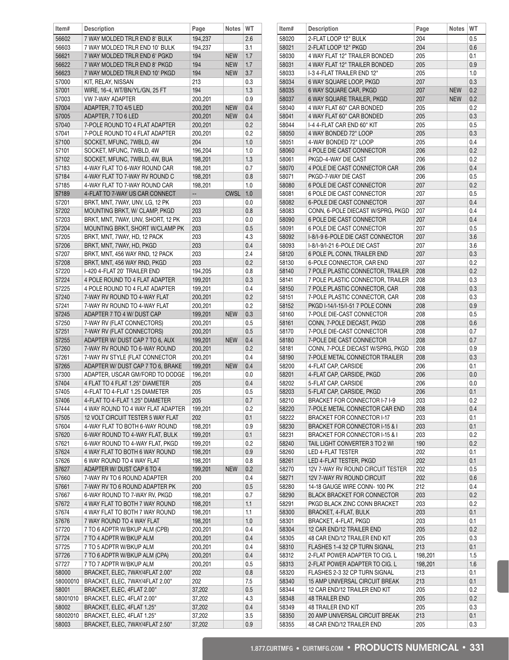| Item#    | <b>Description</b>                 | Page    | Notes WT   |     | Item# | <b>Description</b>                 | Page    | Notes      | <b>WT</b> |
|----------|------------------------------------|---------|------------|-----|-------|------------------------------------|---------|------------|-----------|
| 56602    | 7 WAY MOLDED TRLR END 8' BULK      | 194,237 |            | 2.6 | 58020 | 2-FLAT LOOP 12" BULK               | 204     |            | 0.5       |
| 56603    | 7 WAY MOLDED TRLR END 10' BULK     | 194,237 |            | 3.1 | 58021 | 2-FLAT LOOP 12" PKGD               | 204     |            | 0.6       |
| 56621    | 7 WAY MOLDED TRLR END 6' PGKD      | 194     | <b>NEW</b> | 1.7 | 58030 | 4 WAY FLAT 12" TRAILER BONDED      | 205     |            | 0.1       |
| 56622    | 7 WAY MOLDED TRLR END 8' PKGD      | 194     | <b>NEW</b> | 1.7 | 58031 | 4 WAY FLAT 12" TRAILER BONDED      | 205     |            | 0.9       |
| 56623    | 7 WAY MOLDED TRLR END 10' PKGD     | 194     | <b>NEW</b> | 3.7 | 58033 | I-3 4-FLAT TRAILER END 12"         | 205     |            | 1.0       |
| 57000    | KIT, RELAY, NISSAN                 | 213     |            | 0.3 | 58034 | 6 WAY SQUARE LOOP, PKGD            | 207     |            | 0.3       |
| 57001    | WIRE, 16-4, WT/BN/YL/GN, 25 FT     | 194     |            | 1.3 | 58035 | 6 WAY SQUARE CAR, PKGD             | 207     | <b>NEW</b> | 0.2       |
| 57003    | VW 7-WAY ADAPTER                   | 200,201 |            | 0.9 | 58037 | 6 WAY SQUARE TRAILER, PKGD         | 207     | <b>NEW</b> | 0.2       |
| 57004    | ADAPTER, 7 TO 4/5 LED              | 200,201 | <b>NEW</b> | 0.4 | 58040 | 4 WAY FLAT 60" CAR BONDED          | 205     |            | 0.2       |
| 57005    | ADAPTER, 7 TO 6 LED                | 200,201 | <b>NEW</b> | 0.4 | 58041 | 4 WAY FLAT 60" CAR BONDED          | 205     |            | 0.3       |
|          |                                    |         |            |     |       |                                    |         |            |           |
| 57040    | 7-POLE ROUND TO 4 FLAT ADAPTER     | 200,201 |            | 0.2 | 58044 | I-4 4-FLAT CAR END 60" KIT         | 205     |            | 0.5       |
| 57041    | 7-POLE ROUND TO 4 FLAT ADAPTER     | 200.201 |            | 0.2 | 58050 | 4 WAY BONDED 72" LOOP              | 205     |            | 0.3       |
| 57100    | SOCKET, MFUNC, 7WBLD, 4W           | 204     |            | 1.0 | 58051 | 4-WAY BONDED 72" LOOP              | 205     |            | 0.4       |
| 57101    | SOCKET, MFUNC, 7WBLD, 4W           | 196,204 |            | 1.0 | 58060 | 4 POLE DIE CAST CONNECTOR          | 206     |            | 0.2       |
| 57102    | SOCKET, MFUNC, 7WBLD, 4W, BUA      | 198,201 |            | 1.3 | 58061 | PKGD-4-WAY DIE CAST                | 206     |            | 0.2       |
| 57183    | 4-WAY FLAT TO 6-WAY ROUND CAR      | 198,201 |            | 0.7 | 58070 | 4 POLE DIE CAST CONNECTOR CAR      | 206     |            | 0.4       |
| 57184    | 4-WAY FLAT TO 7-WAY RV ROUND C     | 198,201 |            | 0.8 | 58071 | PKGD-7-WAY DIE CAST                | 206     |            | 0.5       |
| 57185    | 4-WAY FLAT TO 7-WAY ROUND CAR      | 198,201 |            | 1.0 | 58080 | 6 POLE DIE CAST CONNECTOR          | 207     |            | 0.2       |
| 57189    | 4-FLAT TO 7-WAY US CAR CONNECT     | Ξ.      | CWSL 1.0   |     | 58081 | 6 POLE DIE CAST CONNECTOR          | 207     |            | 0.5       |
| 57201    | BRKT, MNT, 7WAY, UNV, LG, 12 PK    | 203     |            | 0.0 | 58082 | 6-POLE DIE CAST CONNECTOR          | 207     |            | 0.4       |
| 57202    | MOUNTING BRKT, W/ CLAMP, PKGD      | 203     |            | 0.8 | 58083 | CONN, 6-POLE DIECAST W/SPRG, PKGD  | 207     |            | 0.4       |
| 57203    | BRKT, MNT, 7WAY, UNV, SHORT, 12 PK | 203     |            | 0.0 | 58090 | 6 POLE DIE CAST CONNECTOR          | 207     |            | 0.4       |
| 57204    | MOUNTING BRKT, SHORT W/CLAMP PK    | 203     |            | 0.5 | 58091 | 6 POLE DIE CAST CONNECTOR          | 207     |            | 0.5       |
| 57205    | BRKT, MNT, 7WAY, HD, 12 PACK       | 203     |            | 4.3 | 58092 | I-8/I-9 6-POLE DIE CAST CONNECTOR  | 207     |            | 3.6       |
| 57206    | BRKT, MNT, 7WAY, HD, PKGD          | 203     |            | 0.4 | 58093 | I-8/I-9/I-21 6-POLE DIE CAST       | 207     |            | 3.6       |
| 57207    | BRKT, MNT, 456 WAY RND, 12 PACK    | 203     |            | 2.4 | 58120 | 6 POLE PL CONN, TRAILER END        | 207     |            | 0.3       |
| 57208    | BRKT, MNT, 456 WAY RND, PKGD       | 203     |            | 0.2 | 58130 | 6-POLE CONNECTOR, CAR END          | 207     |            | 0.2       |
| 57220    | I-420 4-FLAT 20' TRAILER END       | 194,205 |            | 0.8 | 58140 | 7 POLE PLASTIC CONNECTOR, TRAILER  | 208     |            | 0.2       |
| 57224    |                                    |         |            | 0.3 |       |                                    |         |            | 0.3       |
|          | 4 POLE ROUND TO 4 FLAT ADAPTER     | 199,201 |            |     | 58141 | 7 POLE PLASTIC CONNECTOR, TRAILER  | 208     |            | 0.3       |
| 57225    | 4 POLE ROUND TO 4 FLAT ADAPTER     | 199,201 |            | 0.4 | 58150 | 7 POLE PLASTIC CONNECTOR, CAR      | 208     |            |           |
| 57240    | 7-WAY RV ROUND TO 4-WAY FLAT       | 200,201 |            | 0.2 | 58151 | 7-POLE PLASTIC CONNECTOR, CAR      | 208     |            | 0.3       |
| 57241    | 7-WAY RV ROUND TO 4-WAY FLAT       | 200,201 |            | 0.2 | 58152 | PKGD I-14/I-15/I-51 7 POLE CONN    | 208     |            | 0.9       |
| 57245    | ADAPTER 7 TO 4 W/ DUST CAP         | 199,201 | <b>NEW</b> | 0.3 | 58160 | 7-POLE DIE-CAST CONNECTOR          | 208     |            | 0.5       |
| 57250    | 7-WAY RV (FLAT CONNECTORS)         | 200,201 |            | 0.5 | 58161 | CONN, 7-POLE DIECAST, PKGD         | 208     |            | 0.6       |
| 57251    | 7-WAY RV (FLAT CONNECTORS)         | 200,201 |            | 0.5 | 58170 | 7-POLE DIE-CAST CONNECTOR          | 208     |            | 0.7       |
| 57255    | ADAPTER W/ DUST CAP 7 TO 6, AUX    | 199,201 | <b>NEW</b> | 0.4 | 58180 | 7-POLE DIE CAST CONNECTOR          | 208     |            | 0.7       |
| 57260    | 7-WAY RV ROUND TO 6-WAY ROUND      | 200,201 |            | 0.2 | 58181 | CONN, 7-POLE DIECAST W/SPRG, PKGD  | 208     |            | 0.9       |
| 57261    | 7-WAY RV STYLE (FLAT CONNECTOR     | 200,201 |            | 0.4 | 58190 | 7-POLE METAL CONNECTOR TRAILER     | 208     |            | 0.3       |
| 57265    | ADAPTER W/ DUST CAP 7 TO 6, BRAKE  | 199,201 | <b>NEW</b> | 0.4 | 58200 | 4-FLAT CAP. CARSIDE                | 206     |            | 0.1       |
| 57300    | ADAPTER, USCAR GM/FORD TO DODGE    | 196,201 |            | 0.0 | 58201 | 4-FLAT CAP, CARSIDE, PKGD          | 206     |            | 0.0       |
| 57404    | 4 FLAT TO 4 FLAT 1.25" DIAMETER    | 205     |            | 0.4 | 58202 | 5-FLAT CAP, CARSIDE                | 206     |            | 0.0       |
| 57405    | 4-FLAT TO 4-FLAT 1.25 DIAMETER     | 205     |            | 0.5 | 58203 | 5-FLAT CAP, CARSIDE, PKGD          | 206     |            | 0.1       |
| 57406    | 4-FLAT TO 4-FLAT 1.25" DIAMETER    | 205     |            | 0.7 | 58210 | BRACKET FOR CONNECTOR I-7 I-9      | 203     |            | 0.2       |
| 57444    | 4 WAY ROUND TO 4 WAY FLAT ADAPTER  | 199,201 |            | 0.2 | 58220 | 7-POLE METAL CONNECTOR CAR END     | 208     |            | 0.4       |
| 57505    | 12 VOLT CIRCUIT TESTER 5 WAY FLAT  | 202     |            | 0.1 | 58222 | BRACKET FOR CONNECTOR I-17         | 203     |            | 0.1       |
| 57604    | 4-WAY FLAT TO BOTH 6-WAY ROUND     | 198,201 |            | 0.9 | 58230 | BRACKET FOR CONNECTOR I-15 & I     | 203     |            | 0.1       |
| 57620    | 6-WAY ROUND TO 4-WAY FLAT, BULK    | 199,201 |            | 0.1 | 58231 | BRACKET FOR CONNECTOR I-15 & I     | 203     |            | 0.2       |
| 57621    | 6-WAY ROUND TO 4-WAY FLAT, PKGD    | 199,201 |            | 0.2 | 58240 | TAIL LIGHT CONVERTER 3 TO 2 WI     | 190     |            | 0.2       |
| 57624    | 4 WAY FLAT TO BOTH 6 WAY ROUND     | 198,201 |            | 0.9 | 58260 | LED 4-FLAT TESTER                  | 202     |            | 0.1       |
| 57626    | 6 WAY ROUND TO 4 WAY FLAT          | 198,201 |            | 0.8 | 58261 | LED 4-FLAT TESTER, PKGD            | 202     |            | 0.1       |
| 57627    | ADAPTER W/ DUST CAP 6 TO 4         | 199,201 | <b>NEW</b> | 0.2 | 58270 | 12V 7-WAY RV ROUND CIRCUIT TESTER  | 202     |            | 0.5       |
| 57660    | 7-WAY RV TO 6 ROUND ADAPTER        | 200     |            | 0.4 | 58271 | 12V 7-WAY RV ROUND CIRCUIT         | 202     |            | 0.6       |
| 57661    | 7-WAY RV TO 6 ROUND ADAPTER PK     | 200     |            | 0.5 | 58280 | 14-18 GAUGE WIRE CONN-100 PK       | 212     |            | 0.4       |
|          |                                    |         |            |     |       |                                    |         |            |           |
| 57667    | 6-WAY ROUND TO 7-WAY RV, PKGD      | 198,201 |            | 0.7 | 58290 | <b>BLACK BRACKET FOR CONNECTOR</b> | 203     |            | 0.2       |
| 57672    | 4 WAY FLAT TO BOTH 7 WAY ROUND     | 198,201 |            | 1.1 | 58291 | PKGD BLACK ZINC CONN BRACKET       | 203     |            | 0.2       |
| 57674    | 4 WAY FLAT TO BOTH 7 WAY ROUND     | 198,201 |            | 1.1 | 58300 | BRACKET, 4-FLAT, BULK              | 203     |            | 0.1       |
| 57676    | 7 WAY ROUND TO 4 WAY FLAT          | 198,201 |            | 1.0 | 58301 | BRACKET, 4-FLAT, PKGD              | 203     |            | 0.1       |
| 57720    | 7 TO 6 ADPTR W/BKUP ALM (CPB)      | 200,201 |            | 0.4 | 58304 | 12 CAR END/12 TRAILER END          | 205     |            | 0.2       |
| 57724    | 7 TO 4 ADPTR W/BKUP ALM            | 200,201 |            | 0.4 | 58305 | 48 CAR END/12 TRAILER END KIT      | 205     |            | 0.3       |
| 57725    | 7 TO 5 ADPTR W/BKUP ALM            | 200,201 |            | 0.4 | 58310 | FLASHES 1-4 32 CP TURN SIGNAL      | 213     |            | 0.1       |
| 57726    | 7 TO 6 ADPTR W/BKUP ALM (CPA)      | 200,201 |            | 0.4 | 58312 | 2-FLAT POWER ADAPTER TO CIG. L     | 198,201 |            | 1.5       |
| 57727    | 7 TO 7 ADPTR W/BKUP ALM            | 200,201 |            | 0.5 | 58313 | 2-FLAT POWER ADAPTER TO CIG. L     | 198,201 |            | 1.6       |
| 58000    | BRACKET, ELEC, 7WAY/4FLAT 2.00"    | 202     |            | 0.8 | 58320 | FLASHES 2-3 32 CP TURN SIGNAL      | 213     |            | 0.1       |
| 58000010 | BRACKET, ELEC, 7WAY/4FLAT 2.00"    | 202     |            | 7.5 | 58340 | 15 AMP UNIVERSAL CIRCUIT BREAK     | 213     |            | 0.1       |
| 58001    | BRACKET, ELEC, 4FLAT 2.00"         | 37,202  |            | 0.5 | 58344 | 12 CAR END/12 TRAILER END KIT      | 205     |            | 0.2       |
| 58001010 | BRACKET, ELEC, 4FLAT 2.00"         | 37,202  |            | 4.3 | 58348 | <b>48 TRAILER END</b>              | 205     |            | 0.2       |
| 58002    | BRACKET, ELEC, 4FLAT 1.25"         | 37,202  |            | 0.4 | 58349 | <b>48 TRAILER END KIT</b>          | 205     |            | 0.3       |
| 58002010 | BRACKET, ELEC, 4FLAT 1.25"         | 37,202  |            | 3.5 | 58350 | 20 AMP UNIVERSAL CIRCUIT BREAK     | 213     |            | 0.1       |
| 58003    | BRACKET, ELEC, 7WAY/4FLAT 2.50"    | 37,202  |            | 0.9 | 58355 | 48 CAR END/12 TRAILER END          | 205     |            | 0.3       |
|          |                                    |         |            |     |       |                                    |         |            |           |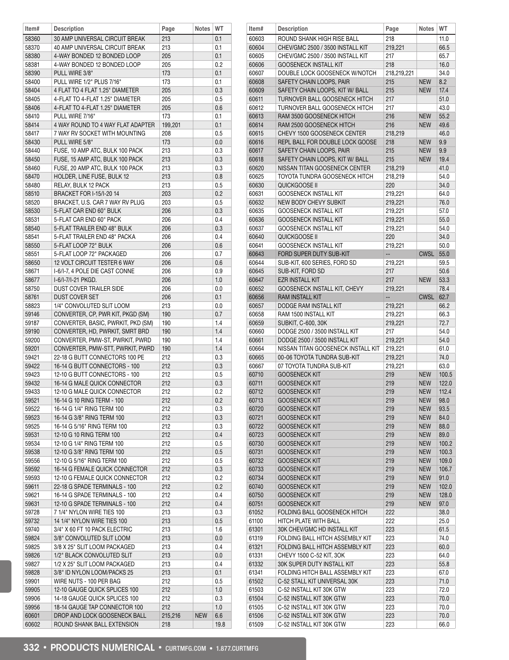| Item# | <b>Description</b>                 | Page    | Notes      | ∣ WT | Item# | <b>Description</b>                   | Page        | Notes            | WT    |
|-------|------------------------------------|---------|------------|------|-------|--------------------------------------|-------------|------------------|-------|
| 58360 | 30 AMP UNIVERSAL CIRCUIT BREAK     | 213     |            | 0.1  | 60603 | ROUND SHANK HIGH RISE BALL           | 218         |                  | 11.0  |
| 58370 | 40 AMP UNIVERSAL CIRCUIT BREAK     | 213     |            | 0.1  | 60604 | CHEV/GMC 2500 / 3500 INSTALL KIT     | 219,221     |                  | 66.5  |
| 58380 | 4-WAY BONDED 12 BONDED LOOP        | 205     |            | 0.1  | 60605 | CHEV/GMC 2500 / 3500 INSTALL KIT     | 217         |                  | 65.7  |
| 58381 | 4-WAY BONDED 12 BONDED LOOP        | 205     |            | 0.2  | 60606 | <b>GOOSENECK INSTALL KIT</b>         | 218         |                  | 16.0  |
| 58390 | PULL WIRE 3/8"                     | 173     |            | 0.1  | 60607 | DOUBLE LOCK GOOSENECK W/NOTCH        | 218.219.221 |                  | 34.0  |
| 58400 | PULL WIRE 1/2" PLUS 7/16"          | 173     |            | 0.1  | 60608 | SAFETY CHAIN LOOPS, PAIR             | 215         | <b>NEW</b>       | 8.2   |
| 58404 | 4 FLAT TO 4 FLAT 1.25" DIAMETER    | 205     |            | 0.3  | 60609 | SAFETY CHAIN LOOPS, KIT W/ BALL      | 215         | <b>NEW</b>       | 17.4  |
| 58405 | 4-FLAT TO 4-FLAT 1.25" DIAMETER    | 205     |            | 0.5  | 60611 | <b>TURNOVER BALL GOOSENECK HITCH</b> | 217         |                  | 51.0  |
| 58406 | 4-FLAT TO 4-FLAT 1.25" DIAMETER    | 205     |            | 0.6  | 60612 | TURNOVER BALL GOOSENECK HITCH        | 217         |                  | 43.0  |
| 58410 | PULL WIRE 7/16"                    | 173     |            | 0.1  | 60613 | RAM 3500 GOOSENECK HITCH             | 216         | <b>NEW</b>       | 55.2  |
| 58414 | 4 WAY ROUND TO 4 WAY FLAT ADAPTER  | 199,201 |            | 0.1  | 60614 | RAM 2500 GOOSENECK HITCH             | 216         | <b>NEW</b>       | 49.6  |
| 58417 | 7 WAY RV SOCKET WITH MOUNTING      | 208     |            | 0.5  | 60615 | CHEVY 1500 GOOSENECK CENTER          | 218,219     |                  | 46.0  |
| 58430 | PULL WIRE 5/8"                     | 173     |            | 0.0  | 60616 | REPL BALL FOR DOUBLE LOCK GOOSE      | 218         | <b>NEW</b>       | 9.9   |
| 58440 | FUSE, 10 AMP ATC, BULK 100 PACK    | 213     |            | 0.3  | 60617 |                                      | 215         | <b>NEW</b>       | 9.9   |
| 58450 |                                    | 213     |            |      |       | SAFETY CHAIN LOOPS, PAIR             | 215         |                  |       |
|       | FUSE, 15 AMP ATC, BULK 100 PACK    |         |            | 0.3  | 60618 | SAFETY CHAIN LOOPS, KIT W/ BALL      |             | <b>NEW</b>       | 19.4  |
| 58460 | FUSE, 20 AMP ATC, BULK 100 PACK    | 213     |            | 0.3  | 60620 | NISSAN TITAN GOOSENECK CENTER        | 218,219     |                  | 41.0  |
| 58470 | HOLDER, LINE FUSE, BULK 12         | 213     |            | 0.8  | 60625 | TOYOTA TUNDRA GOOSENECK HITCH        | 218,219     |                  | 54.0  |
| 58480 | RELAY, BULK 12 PACK                | 213     |            | 0.5  | 60630 | QUICKGOOSE II                        | 220         |                  | 34.0  |
| 58510 | <b>BRACKET FOR I-15/I-20 14</b>    | 203     |            | 0.2  | 60631 | <b>GOOSENECK INSTALL KIT</b>         | 219,221     |                  | 64.0  |
| 58520 | BRACKET, U.S. CAR 7 WAY RV PLUG    | 203     |            | 0.5  | 60632 | NEW BODY CHEVY SUBKIT                | 219,221     |                  | 76.0  |
| 58530 | 5-FLAT CAR END 60" BULK            | 206     |            | 0.3  | 60635 | <b>GOOSENECK INSTALL KIT</b>         | 219,221     |                  | 57.0  |
| 58531 | 5-FLAT CAR END 60" PACK            | 206     |            | 0.4  | 60636 | <b>GOOSENECK INSTALL KIT</b>         | 219.221     |                  | 55.0  |
| 58540 | 5-FLAT TRAILER END 48" BULK        | 206     |            | 0.3  | 60637 | <b>GOOSENECK INSTALL KIT</b>         | 219,221     |                  | 54.0  |
| 58541 | 5-FLAT TRAILER END 48" PACKA       | 206     |            | 0.4  | 60640 | QUICKGOOSE II                        | 220         |                  | 34.0  |
| 58550 | 5-FLAT LOOP 72" BULK               | 206     |            | 0.6  | 60641 | <b>GOOSENECK INSTALL KIT</b>         | 219,221     |                  | 50.0  |
| 58551 | 5-FLAT LOOP 72" PACKAGED           | 206     |            | 0.7  | 60643 | FORD SUPER DUTY SUB-KIT              | Ξ.          | <b>CWSL 55.0</b> |       |
| 58650 | 12 VOLT CIRCUIT TESTER 6 WAY       | 206     |            | 0.6  | 60644 | SUB-KIT, 600 SERIES, FORD SD         | 219,221     |                  | 59.5  |
| 58671 | I-6/I-7, 4 POLE DIE CAST CONNE     | 206     |            | 0.9  | 60645 | SUB-KIT, FORD SD                     | 217         |                  | 50.6  |
| 58677 | I-6/I-7/I-21 PKGD.                 | 206     |            | 1.0  | 60647 | <b>EZR INSTALL KIT</b>               | 217         | <b>NEW</b>       | 53.3  |
| 58750 | DUST COVER TRAILER SIDE            | 206     |            | 0.0  | 60652 | GOOSENECK INSTALL KIT, CHEVY         | 219,221     |                  | 78.4  |
| 58761 | <b>DUST COVER SET</b>              | 206     |            | 0.1  | 60656 | RAM INSTALL KIT                      | Щ,          | <b>CWSL</b>      | 62.7  |
| 58823 | 1/4" CONVOLUTED SLIT LOOM          | 213     |            | 0.0  | 60657 | DODGE RAM INSTALL KIT                | 219,221     |                  | 66.2  |
| 59146 | CONVERTER, CP, PWR KIT, PKGD (SM)  | 190     |            | 0.7  | 60658 | RAM 1500 INSTALL KIT                 | 219,221     |                  | 66.3  |
| 59187 | CONVERTER, BASIC, PWRKIT, PKD (SM) | 190     |            | 1.4  | 60659 | SUBKIT, C-600, 30K                   | 219,221     |                  | 72.7  |
| 59190 | CONVERTER, HD, PWRKIT, SMRT BRD    | 190     |            | 1.4  | 60660 | DODGE 2500 / 3500 INSTALL KIT        | 217         |                  | 54.0  |
| 59200 | CONVERTER, PMW-ST, PWRKIT, PWRD    | 190     |            | 1.4  | 60661 | DODGE 2500 / 3500 INSTALL KIT        | 219,221     |                  | 54.0  |
| 59201 | CONVERTER, PMW-STT, PWRKIT, PWRD   | 190     |            | 1.4  | 60664 | NISSAN TITAN GOOSENECK INSTALL KIT   | 219,221     |                  | 61.0  |
| 59421 | 22-18 G BUTT CONNECTORS 100 PE     | 212     |            | 0.3  | 60665 | 00-06 TOYOTA TUNDRA SUB-KIT          | 219,221     |                  | 74.0  |
| 59422 |                                    | 212     |            |      |       |                                      |             |                  |       |
|       | 16-14 G BUTT CONNECTORS - 100      |         |            | 0.3  | 60667 | 07 TOYOTA TUNDRA SUB-KIT             | 219,221     |                  | 63.0  |
| 59423 | 12-10 G BUTT CONNECTORS - 100      | 212     |            | 0.5  | 60710 | <b>GOOSENECK KIT</b>                 | 219         | <b>NEW</b>       | 100.5 |
| 59432 | 16-14 G MALE QUICK CONNECTOR       | 212     |            | 0.3  | 60711 | <b>GOOSENECK KIT</b>                 | 219         | <b>NEW</b>       | 122.0 |
| 59433 | 12-10 G MALE QUICK CONNECTOR       | 212     |            | 0.2  | 60712 | <b>GOOSENECK KIT</b>                 | 219         | <b>NEW</b>       | 112.4 |
| 59521 | 16-14 G 10 RING TERM - 100         | 212     |            | 0.2  | 60713 | <b>GOOSENECK KIT</b>                 | 219         | <b>NEW</b>       | 98.0  |
| 59522 | 16-14 G 1/4" RING TERM 100         | 212     |            | 0.3  | 60720 | <b>GOOSENECK KIT</b>                 | 219         | <b>NEW</b>       | 93.5  |
| 59523 | 16-14 G 3/8" RING TERM 100         | 212     |            | 0.3  | 60721 | <b>GOOSENECK KIT</b>                 | 219         | <b>NEW</b>       | 84.0  |
| 59525 | 16-14 G 5/16" RING TERM 100        | 212     |            | 0.3  | 60722 | <b>GOOSENECK KIT</b>                 | 219         | <b>NEW</b>       | 88.0  |
| 59531 | 12-10 G 10 RING TERM 100           | 212     |            | 0.4  | 60723 | <b>GOOSENECK KIT</b>                 | 219         | <b>NEW</b>       | 89.0  |
| 59534 | 12-10 G 1/4" RING TERM 100         | 212     |            | 0.5  | 60730 | <b>GOOSENECK KIT</b>                 | 219         | <b>NEW</b>       | 100.2 |
| 59538 | 12-10 G 3/8" RING TERM 100         | 212     |            | 0.5  | 60731 | <b>GOOSENECK KIT</b>                 | 219         | <b>NEW</b>       | 100.3 |
| 59556 | 12-10 G 5/16" RING TERM 100        | 212     |            | 0.5  | 60732 | <b>GOOSENECK KIT</b>                 | 219         | <b>NEW</b>       | 109.0 |
| 59592 | 16-14 G FEMALE QUICK CONNECTOR     | 212     |            | 0.3  | 60733 | <b>GOOSENECK KIT</b>                 | 219         | <b>NEW</b>       | 106.7 |
| 59593 | 12-10 G FEMALE QUICK CONNECTOR     | 212     |            | 0.2  | 60734 | <b>GOOSENECK KIT</b>                 | 219         | <b>NEW</b>       | 91.0  |
| 59611 | 22-18 G SPADE TERMINALS - 100      | 212     |            | 0.2  | 60740 | <b>GOOSENECK KIT</b>                 | 219         | <b>NEW</b>       | 102.0 |
| 59621 | 16-14 G SPADE TERMINALS - 100      | 212     |            | 0.4  | 60750 | <b>GOOSENECK KIT</b>                 | 219         | <b>NEW</b>       | 128.0 |
| 59631 | 12-10 G SPADE TERMINALS - 100      | 212     |            | 0.4  | 60751 | <b>GOOSENECK KIT</b>                 | 219         | <b>NEW</b>       | 97.0  |
| 59728 | 7 1/4" NYLON WIRE TIES 100         | 213     |            | 0.3  | 61052 | FOLDING BALL GOOSENECK HITCH         | 222         |                  | 38.0  |
| 59732 | 14 1/4" NYLON WIRE TIES 100        | 213     |            | 0.5  | 61100 | HITCH PLATE WITH BALL                | 222         |                  | 25.0  |
| 59740 | 3/4" X 60 FT 10 PACK ELECTRIC      | 213     |            | 1.6  | 61301 | 30K CHEV/GMC HD INSTALL KIT          | 223         |                  | 61.5  |
|       |                                    |         |            |      |       |                                      |             |                  |       |
| 59824 | 3/8" CONVOLUTED SLIT LOOM          | 213     |            | 0.0  | 61319 | FOLDING BALL HITCH ASSEMBLY KIT      | 223         |                  | 74.0  |
| 59825 | 3/8 X 25" SLIT LOOM PACKAGED       | 213     |            | 0.4  | 61321 | FOLDING BALL HITCH ASSEMBLY KIT      | 223         |                  | 60.0  |
| 59826 | 1/2" BLACK CONVOLUTED SLIT         | 213     |            | 0.0  | 61331 | CHEVY 1500 C-52 KIT, 3OK             | 223         |                  | 64.0  |
| 59827 | 1/2 X 25" SLIT LOOM PACKAGED       | 213     |            | 0.4  | 61332 | 30K SUPER DUTY INSTALL KIT           | 223         |                  | 55.8  |
| 59828 | 3/8" ID NYLON LOOM/PACKS 25        | 213     |            | 0.1  | 61341 | FOLDING HITCH BALL ASSEMBLY KIT      | 223         |                  | 67.0  |
| 59901 | WIRE NUTS - 100 PER BAG            | 212     |            | 0.5  | 61502 | C-52 STALL KIT UNIVERSAL 30K         | 223         |                  | 71.0  |
| 59905 | 12-10 GAUGE QUICK SPLICES 100      | 212     |            | 1.0  | 61503 | C-52 INSTALL KIT 30K GTW             | 223         |                  | 72.0  |
| 59906 | 14-18 GAUGE QUICK SPLICES 100      | 212     |            | 0.3  | 61504 | C-52 INSTALL KIT 30K GTW             | 223         |                  | 70.0  |
| 59956 | 18-14 GAUGE TAP CONNECTOR 100      | 212     |            | 1.0  | 61505 | C-52 INSTALL KIT 30K GTW             | 223         |                  | 70.0  |
| 60601 | DROP AND LOCK GOOSENECK BALL       | 215,216 | <b>NEW</b> | 6.6  | 61506 | C-52 INSTALL KIT 30K GTW             | 223         |                  | 70.0  |
|       |                                    |         |            |      |       |                                      |             |                  |       |

T.L. T.  $\Box$  T.

т.,

T.

Г

T.

Page Notes WT